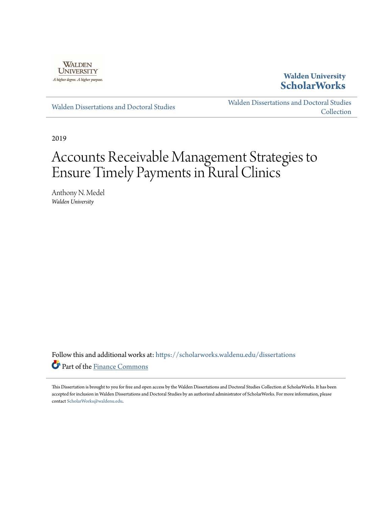

## **Walden University [ScholarWorks](https://scholarworks.waldenu.edu?utm_source=scholarworks.waldenu.edu%2Fdissertations%2F6798&utm_medium=PDF&utm_campaign=PDFCoverPages)**

[Walden Dissertations and Doctoral Studies](https://scholarworks.waldenu.edu/dissertations?utm_source=scholarworks.waldenu.edu%2Fdissertations%2F6798&utm_medium=PDF&utm_campaign=PDFCoverPages)

[Walden Dissertations and Doctoral Studies](https://scholarworks.waldenu.edu/dissanddoc?utm_source=scholarworks.waldenu.edu%2Fdissertations%2F6798&utm_medium=PDF&utm_campaign=PDFCoverPages) **[Collection](https://scholarworks.waldenu.edu/dissanddoc?utm_source=scholarworks.waldenu.edu%2Fdissertations%2F6798&utm_medium=PDF&utm_campaign=PDFCoverPages)** 

2019

# Accounts Receivable Management Strategies to Ensure Timely Payments in Rural Clinics

Anthony N. Medel *Walden University*

Follow this and additional works at: [https://scholarworks.waldenu.edu/dissertations](https://scholarworks.waldenu.edu/dissertations?utm_source=scholarworks.waldenu.edu%2Fdissertations%2F6798&utm_medium=PDF&utm_campaign=PDFCoverPages) Part of the [Finance Commons](http://network.bepress.com/hgg/discipline/345?utm_source=scholarworks.waldenu.edu%2Fdissertations%2F6798&utm_medium=PDF&utm_campaign=PDFCoverPages)

This Dissertation is brought to you for free and open access by the Walden Dissertations and Doctoral Studies Collection at ScholarWorks. It has been accepted for inclusion in Walden Dissertations and Doctoral Studies by an authorized administrator of ScholarWorks. For more information, please contact [ScholarWorks@waldenu.edu](mailto:ScholarWorks@waldenu.edu).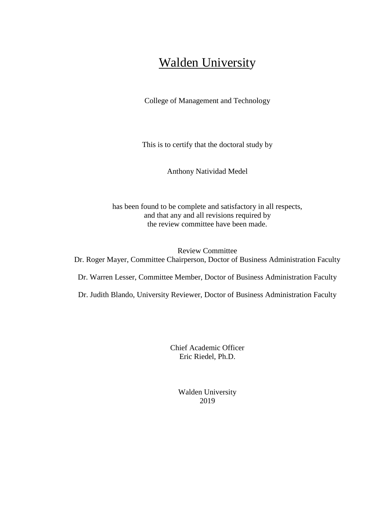# Walden University

College of Management and Technology

This is to certify that the doctoral study by

Anthony Natividad Medel

has been found to be complete and satisfactory in all respects, and that any and all revisions required by the review committee have been made.

Review Committee Dr. Roger Mayer, Committee Chairperson, Doctor of Business Administration Faculty

Dr. Warren Lesser, Committee Member, Doctor of Business Administration Faculty

Dr. Judith Blando, University Reviewer, Doctor of Business Administration Faculty

Chief Academic Officer Eric Riedel, Ph.D.

> Walden University 2019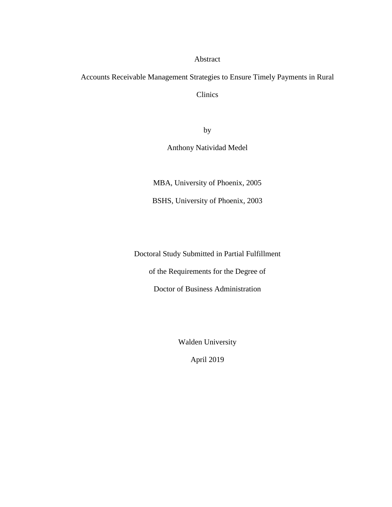#### Abstract

Accounts Receivable Management Strategies to Ensure Timely Payments in Rural

Clinics

by

Anthony Natividad Medel

MBA, University of Phoenix, 2005

BSHS, University of Phoenix, 2003

Doctoral Study Submitted in Partial Fulfillment

of the Requirements for the Degree of

Doctor of Business Administration

Walden University

April 2019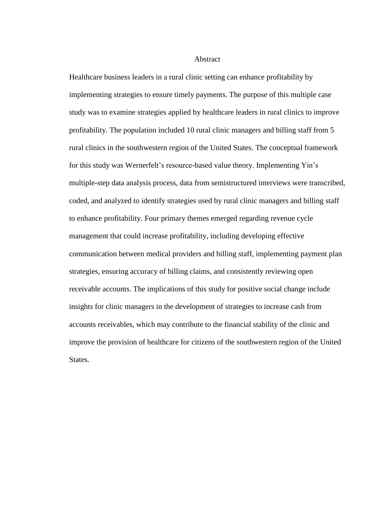#### **Abstract**

Healthcare business leaders in a rural clinic setting can enhance profitability by implementing strategies to ensure timely payments. The purpose of this multiple case study was to examine strategies applied by healthcare leaders in rural clinics to improve profitability. The population included 10 rural clinic managers and billing staff from 5 rural clinics in the southwestern region of the United States. The conceptual framework for this study was Wernerfelt's resource-based value theory. Implementing Yin's multiple-step data analysis process, data from semistructured interviews were transcribed, coded, and analyzed to identify strategies used by rural clinic managers and billing staff to enhance profitability. Four primary themes emerged regarding revenue cycle management that could increase profitability, including developing effective communication between medical providers and billing staff, implementing payment plan strategies, ensuring accuracy of billing claims, and consistently reviewing open receivable accounts. The implications of this study for positive social change include insights for clinic managers in the development of strategies to increase cash from accounts receivables, which may contribute to the financial stability of the clinic and improve the provision of healthcare for citizens of the southwestern region of the United States.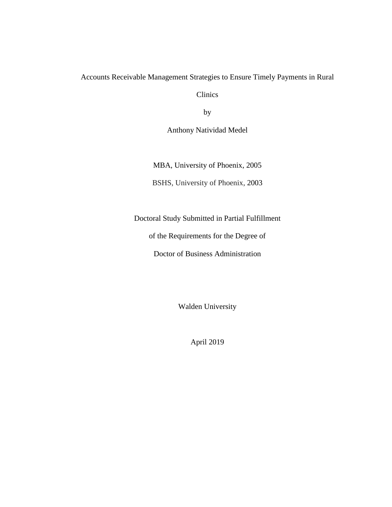### Accounts Receivable Management Strategies to Ensure Timely Payments in Rural

Clinics

by

Anthony Natividad Medel

MBA, University of Phoenix, 2005

BSHS, University of Phoenix, 2003

Doctoral Study Submitted in Partial Fulfillment

of the Requirements for the Degree of

Doctor of Business Administration

Walden University

April 2019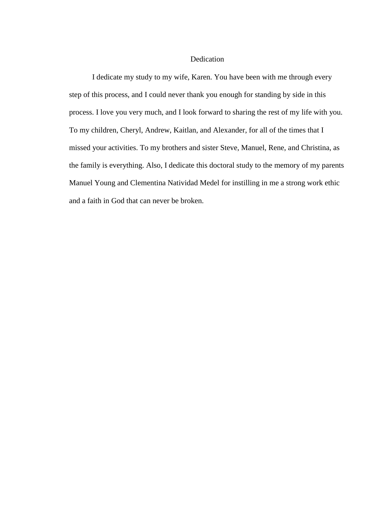#### Dedication

I dedicate my study to my wife, Karen. You have been with me through every step of this process, and I could never thank you enough for standing by side in this process. I love you very much, and I look forward to sharing the rest of my life with you. To my children, Cheryl, Andrew, Kaitlan, and Alexander, for all of the times that I missed your activities. To my brothers and sister Steve, Manuel, Rene, and Christina, as the family is everything. Also, I dedicate this doctoral study to the memory of my parents Manuel Young and Clementina Natividad Medel for instilling in me a strong work ethic and a faith in God that can never be broken.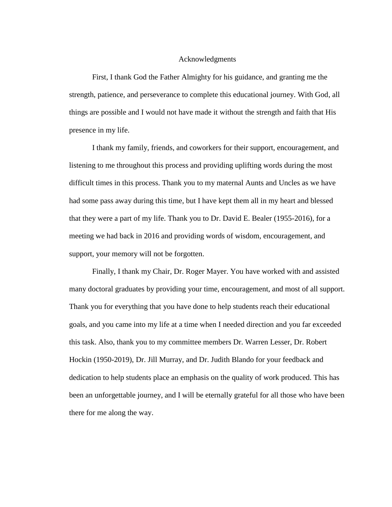#### Acknowledgments

First, I thank God the Father Almighty for his guidance, and granting me the strength, patience, and perseverance to complete this educational journey. With God, all things are possible and I would not have made it without the strength and faith that His presence in my life.

I thank my family, friends, and coworkers for their support, encouragement, and listening to me throughout this process and providing uplifting words during the most difficult times in this process. Thank you to my maternal Aunts and Uncles as we have had some pass away during this time, but I have kept them all in my heart and blessed that they were a part of my life. Thank you to Dr. David E. Bealer (1955-2016), for a meeting we had back in 2016 and providing words of wisdom, encouragement, and support, your memory will not be forgotten.

Finally, I thank my Chair, Dr. Roger Mayer. You have worked with and assisted many doctoral graduates by providing your time, encouragement, and most of all support. Thank you for everything that you have done to help students reach their educational goals, and you came into my life at a time when I needed direction and you far exceeded this task. Also, thank you to my committee members Dr. Warren Lesser, Dr. Robert Hockin (1950-2019), Dr. Jill Murray, and Dr. Judith Blando for your feedback and dedication to help students place an emphasis on the quality of work produced. This has been an unforgettable journey, and I will be eternally grateful for all those who have been there for me along the way.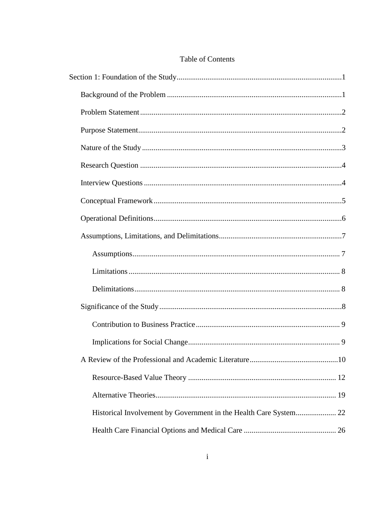### Table of Contents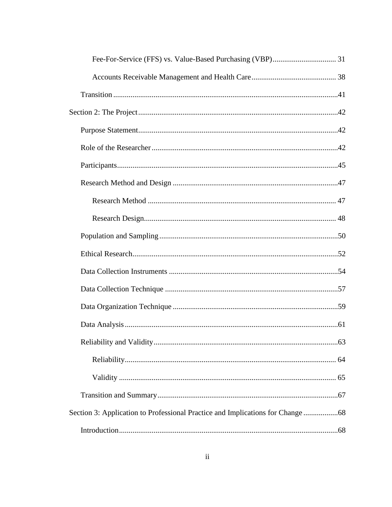| Section 3: Application to Professional Practice and Implications for Change |  |
|-----------------------------------------------------------------------------|--|
|                                                                             |  |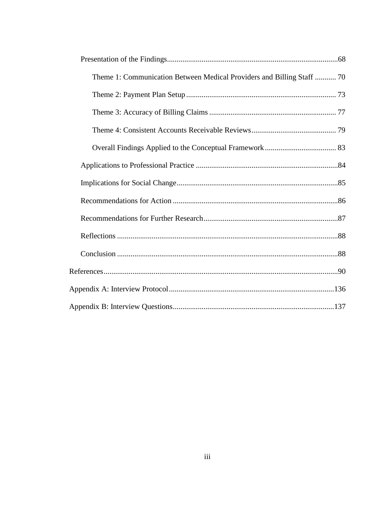| Theme 1: Communication Between Medical Providers and Billing Staff  70 |  |
|------------------------------------------------------------------------|--|
|                                                                        |  |
|                                                                        |  |
|                                                                        |  |
|                                                                        |  |
|                                                                        |  |
|                                                                        |  |
|                                                                        |  |
|                                                                        |  |
|                                                                        |  |
|                                                                        |  |
|                                                                        |  |
|                                                                        |  |
|                                                                        |  |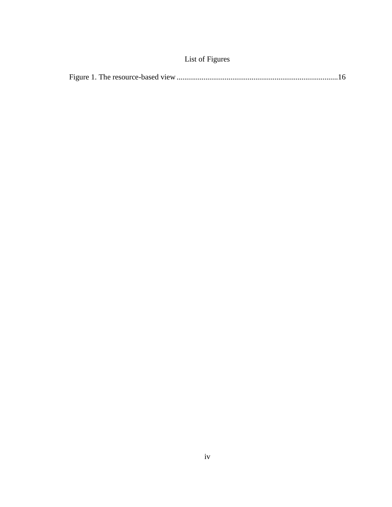# List of Figures

|--|--|--|--|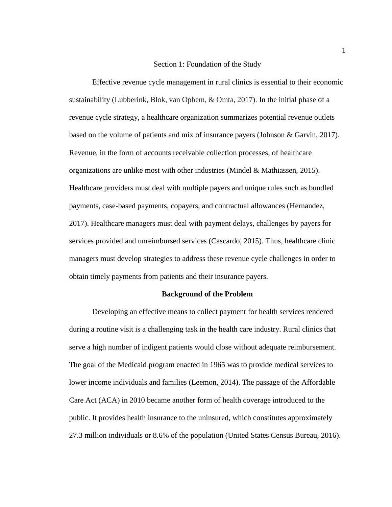#### Section 1: Foundation of the Study

<span id="page-11-0"></span>Effective revenue cycle management in rural clinics is essential to their economic sustainability (Lubberink, Blok, van Ophem, & Omta, 2017). In the initial phase of a revenue cycle strategy, a healthcare organization summarizes potential revenue outlets based on the volume of patients and mix of insurance payers (Johnson & Garvin, 2017). Revenue, in the form of accounts receivable collection processes, of healthcare organizations are unlike most with other industries (Mindel & Mathiassen, 2015). Healthcare providers must deal with multiple payers and unique rules such as bundled payments, case-based payments, copayers, and contractual allowances (Hernandez, 2017). Healthcare managers must deal with payment delays, challenges by payers for services provided and unreimbursed services (Cascardo, 2015). Thus, healthcare clinic managers must develop strategies to address these revenue cycle challenges in order to obtain timely payments from patients and their insurance payers.

#### **Background of the Problem**

<span id="page-11-1"></span>Developing an effective means to collect payment for health services rendered during a routine visit is a challenging task in the health care industry. Rural clinics that serve a high number of indigent patients would close without adequate reimbursement. The goal of the Medicaid program enacted in 1965 was to provide medical services to lower income individuals and families (Leemon, 2014). The passage of the Affordable Care Act (ACA) in 2010 became another form of health coverage introduced to the public. It provides health insurance to the uninsured, which constitutes approximately 27.3 million individuals or 8.6% of the population (United States Census Bureau, 2016).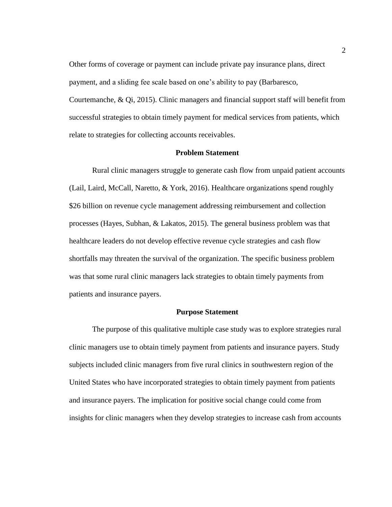Other forms of coverage or payment can include private pay insurance plans, direct payment, and a sliding fee scale based on one's ability to pay (Barbaresco, Courtemanche, & Qi, 2015). Clinic managers and financial support staff will benefit from successful strategies to obtain timely payment for medical services from patients, which relate to strategies for collecting accounts receivables.

#### **Problem Statement**

<span id="page-12-0"></span>Rural clinic managers struggle to generate cash flow from unpaid patient accounts (Lail, Laird, McCall, Naretto, & York, 2016). Healthcare organizations spend roughly \$26 billion on revenue cycle management addressing reimbursement and collection processes (Hayes, Subhan, & Lakatos, 2015). The general business problem was that healthcare leaders do not develop effective revenue cycle strategies and cash flow shortfalls may threaten the survival of the organization. The specific business problem was that some rural clinic managers lack strategies to obtain timely payments from patients and insurance payers.

#### **Purpose Statement**

<span id="page-12-1"></span>The purpose of this qualitative multiple case study was to explore strategies rural clinic managers use to obtain timely payment from patients and insurance payers. Study subjects included clinic managers from five rural clinics in southwestern region of the United States who have incorporated strategies to obtain timely payment from patients and insurance payers. The implication for positive social change could come from insights for clinic managers when they develop strategies to increase cash from accounts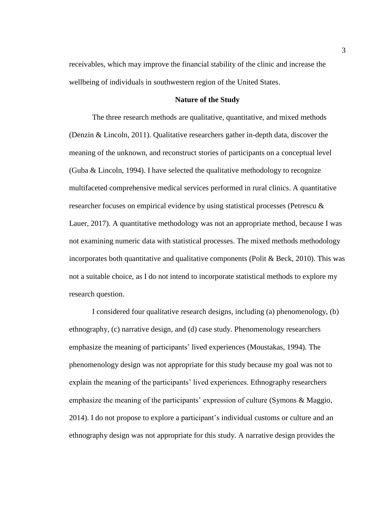receivables, which may improve the financial stability of the clinic and increase the wellbeing of individuals in southwestern region of the United States.

#### **Nature of the Study**

<span id="page-13-0"></span>The three research methods are qualitative, quantitative, and mixed methods (Denzin & Lincoln, 2011). Qualitative researchers gather in-depth data, discover the meaning of the unknown, and reconstruct stories of participants on a conceptual level (Guba & Lincoln, 1994). I have selected the qualitative methodology to recognize multifaceted comprehensive medical services performed in rural clinics. A quantitative researcher focuses on empirical evidence by using statistical processes (Petrescu & Lauer, 2017). A quantitative methodology was not an appropriate method, because I was not examining numeric data with statistical processes. The mixed methods methodology incorporates both quantitative and qualitative components (Polit & Beck, 2010). This was not a suitable choice, as I do not intend to incorporate statistical methods to explore my research question.

I considered four qualitative research designs, including (a) phenomenology, (b) ethnography, (c) narrative design, and (d) case study. Phenomenology researchers emphasize the meaning of participants' lived experiences (Moustakas, 1994). The phenomenology design was not appropriate for this study because my goal was not to explain the meaning of the participants' lived experiences. Ethnography researchers emphasize the meaning of the participants' expression of culture (Symons & Maggio, 2014). I do not propose to explore a participant's individual customs or culture and an ethnography design was not appropriate for this study. A narrative design provides the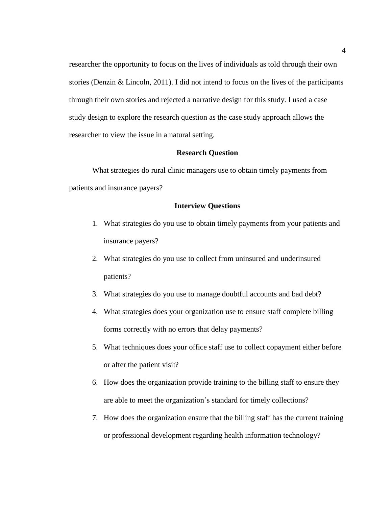researcher the opportunity to focus on the lives of individuals as told through their own stories (Denzin & Lincoln, 2011). I did not intend to focus on the lives of the participants through their own stories and rejected a narrative design for this study. I used a case study design to explore the research question as the case study approach allows the researcher to view the issue in a natural setting.

#### **Research Question**

<span id="page-14-0"></span>What strategies do rural clinic managers use to obtain timely payments from patients and insurance payers?

#### **Interview Questions**

- <span id="page-14-1"></span>1. What strategies do you use to obtain timely payments from your patients and insurance payers?
- 2. What strategies do you use to collect from uninsured and underinsured patients?
- 3. What strategies do you use to manage doubtful accounts and bad debt?
- 4. What strategies does your organization use to ensure staff complete billing forms correctly with no errors that delay payments?
- 5. What techniques does your office staff use to collect copayment either before or after the patient visit?
- 6. How does the organization provide training to the billing staff to ensure they are able to meet the organization's standard for timely collections?
- 7. How does the organization ensure that the billing staff has the current training or professional development regarding health information technology?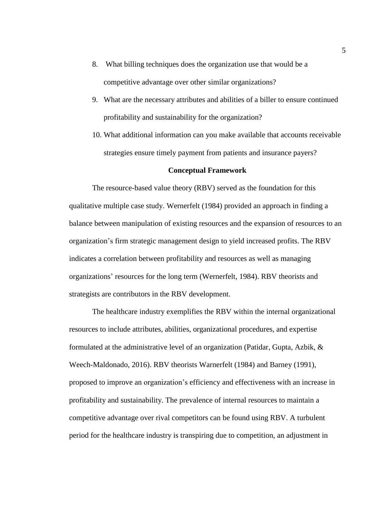- 8. What billing techniques does the organization use that would be a competitive advantage over other similar organizations?
- 9. What are the necessary attributes and abilities of a biller to ensure continued profitability and sustainability for the organization?
- 10. What additional information can you make available that accounts receivable strategies ensure timely payment from patients and insurance payers?

#### **Conceptual Framework**

<span id="page-15-0"></span>The resource-based value theory (RBV) served as the foundation for this qualitative multiple case study. Wernerfelt (1984) provided an approach in finding a balance between manipulation of existing resources and the expansion of resources to an organization's firm strategic management design to yield increased profits. The RBV indicates a correlation between profitability and resources as well as managing organizations' resources for the long term (Wernerfelt, 1984). RBV theorists and strategists are contributors in the RBV development.

The healthcare industry exemplifies the RBV within the internal organizational resources to include attributes, abilities, organizational procedures, and expertise formulated at the administrative level of an organization (Patidar, Gupta, Azbik, & Weech-Maldonado, 2016). RBV theorists Warnerfelt (1984) and Barney (1991), proposed to improve an organization's efficiency and effectiveness with an increase in profitability and sustainability. The prevalence of internal resources to maintain a competitive advantage over rival competitors can be found using RBV. A turbulent period for the healthcare industry is transpiring due to competition, an adjustment in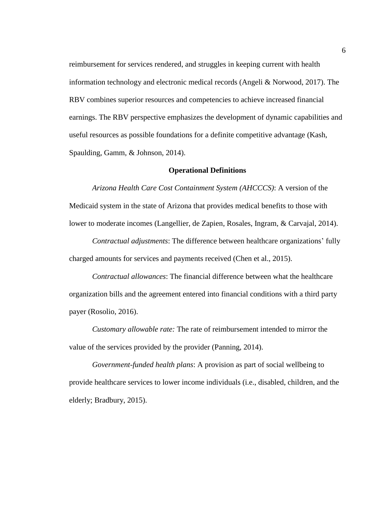reimbursement for services rendered, and struggles in keeping current with health information technology and electronic medical records (Angeli & Norwood, 2017). The RBV combines superior resources and competencies to achieve increased financial earnings. The RBV perspective emphasizes the development of dynamic capabilities and useful resources as possible foundations for a definite competitive advantage (Kash, Spaulding, Gamm, & Johnson, 2014).

#### **Operational Definitions**

<span id="page-16-0"></span>*Arizona Health Care Cost Containment System (AHCCCS)*: A version of the Medicaid system in the state of Arizona that provides medical benefits to those with lower to moderate incomes (Langellier, de Zapien, Rosales, Ingram, & Carvajal, 2014).

*Contractual adjustments*: The difference between healthcare organizations' fully charged amounts for services and payments received (Chen et al., 2015).

*Contractual allowances*: The financial difference between what the healthcare organization bills and the agreement entered into financial conditions with a third party payer (Rosolio, 2016).

*Customary allowable rate:* The rate of reimbursement intended to mirror the value of the services provided by the provider (Panning, 2014).

*Government-funded health plans*: A provision as part of social wellbeing to provide healthcare services to lower income individuals (i.e., disabled, children, and the elderly; Bradbury, 2015).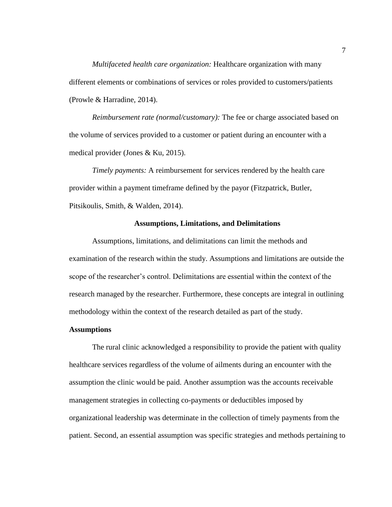*Multifaceted health care organization:* Healthcare organization with many different elements or combinations of services or roles provided to customers/patients (Prowle & Harradine, 2014).

*Reimbursement rate (normal/customary):* The fee or charge associated based on the volume of services provided to a customer or patient during an encounter with a medical provider (Jones & Ku, 2015).

*Timely payments:* A reimbursement for services rendered by the health care provider within a payment timeframe defined by the payor (Fitzpatrick, Butler, Pitsikoulis, Smith, & Walden, 2014).

#### **Assumptions, Limitations, and Delimitations**

<span id="page-17-0"></span>Assumptions, limitations, and delimitations can limit the methods and examination of the research within the study. Assumptions and limitations are outside the scope of the researcher's control. Delimitations are essential within the context of the research managed by the researcher. Furthermore, these concepts are integral in outlining methodology within the context of the research detailed as part of the study.

#### <span id="page-17-1"></span>**Assumptions**

The rural clinic acknowledged a responsibility to provide the patient with quality healthcare services regardless of the volume of ailments during an encounter with the assumption the clinic would be paid. Another assumption was the accounts receivable management strategies in collecting co-payments or deductibles imposed by organizational leadership was determinate in the collection of timely payments from the patient. Second, an essential assumption was specific strategies and methods pertaining to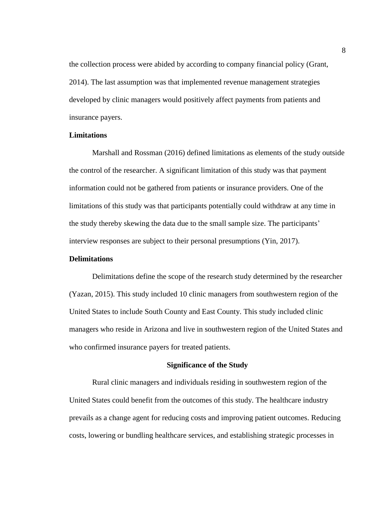the collection process were abided by according to company financial policy (Grant, 2014). The last assumption was that implemented revenue management strategies developed by clinic managers would positively affect payments from patients and insurance payers.

#### <span id="page-18-0"></span>**Limitations**

Marshall and Rossman (2016) defined limitations as elements of the study outside the control of the researcher. A significant limitation of this study was that payment information could not be gathered from patients or insurance providers. One of the limitations of this study was that participants potentially could withdraw at any time in the study thereby skewing the data due to the small sample size. The participants' interview responses are subject to their personal presumptions (Yin, 2017).

#### <span id="page-18-1"></span>**Delimitations**

Delimitations define the scope of the research study determined by the researcher (Yazan, 2015). This study included 10 clinic managers from southwestern region of the United States to include South County and East County. This study included clinic managers who reside in Arizona and live in southwestern region of the United States and who confirmed insurance payers for treated patients.

#### **Significance of the Study**

<span id="page-18-2"></span>Rural clinic managers and individuals residing in southwestern region of the United States could benefit from the outcomes of this study. The healthcare industry prevails as a change agent for reducing costs and improving patient outcomes. Reducing costs, lowering or bundling healthcare services, and establishing strategic processes in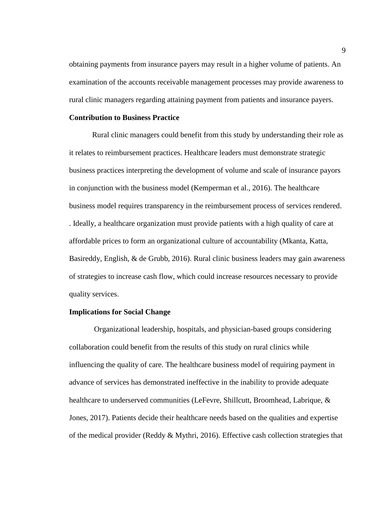obtaining payments from insurance payers may result in a higher volume of patients. An examination of the accounts receivable management processes may provide awareness to rural clinic managers regarding attaining payment from patients and insurance payers.

#### <span id="page-19-0"></span>**Contribution to Business Practice**

Rural clinic managers could benefit from this study by understanding their role as it relates to reimbursement practices. Healthcare leaders must demonstrate strategic business practices interpreting the development of volume and scale of insurance payors in conjunction with the business model (Kemperman et al., 2016). The healthcare business model requires transparency in the reimbursement process of services rendered. . Ideally, a healthcare organization must provide patients with a high quality of care at affordable prices to form an organizational culture of accountability (Mkanta, Katta, Basireddy, English, & de Grubb, 2016). Rural clinic business leaders may gain awareness of strategies to increase cash flow, which could increase resources necessary to provide quality services.

#### <span id="page-19-1"></span>**Implications for Social Change**

Organizational leadership, hospitals, and physician-based groups considering collaboration could benefit from the results of this study on rural clinics while influencing the quality of care. The healthcare business model of requiring payment in advance of services has demonstrated ineffective in the inability to provide adequate healthcare to underserved communities (LeFevre, Shillcutt, Broomhead, Labrique, & Jones, 2017). Patients decide their healthcare needs based on the qualities and expertise of the medical provider (Reddy & Mythri, 2016). Effective cash collection strategies that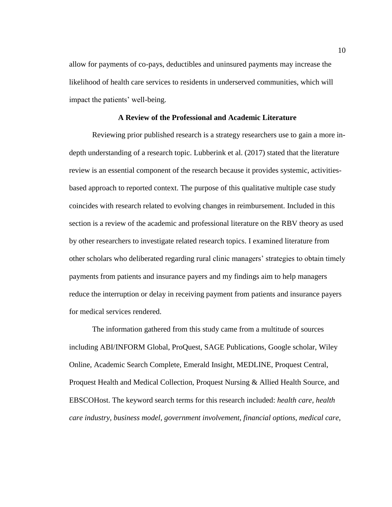allow for payments of co-pays, deductibles and uninsured payments may increase the likelihood of health care services to residents in underserved communities, which will impact the patients' well-being.

#### **A Review of the Professional and Academic Literature**

<span id="page-20-0"></span>Reviewing prior published research is a strategy researchers use to gain a more indepth understanding of a research topic. Lubberink et al. (2017) stated that the literature review is an essential component of the research because it provides systemic, activitiesbased approach to reported context. The purpose of this qualitative multiple case study coincides with research related to evolving changes in reimbursement. Included in this section is a review of the academic and professional literature on the RBV theory as used by other researchers to investigate related research topics. I examined literature from other scholars who deliberated regarding rural clinic managers' strategies to obtain timely payments from patients and insurance payers and my findings aim to help managers reduce the interruption or delay in receiving payment from patients and insurance payers for medical services rendered.

The information gathered from this study came from a multitude of sources including ABI/INFORM Global, ProQuest, SAGE Publications, Google scholar, Wiley Online, Academic Search Complete, Emerald Insight, MEDLINE, Proquest Central, Proquest Health and Medical Collection, Proquest Nursing & Allied Health Source, and EBSCOHost. The keyword search terms for this research included: *health care, health care industry, business model*, *government involvement*, *financial options*, *medical care*,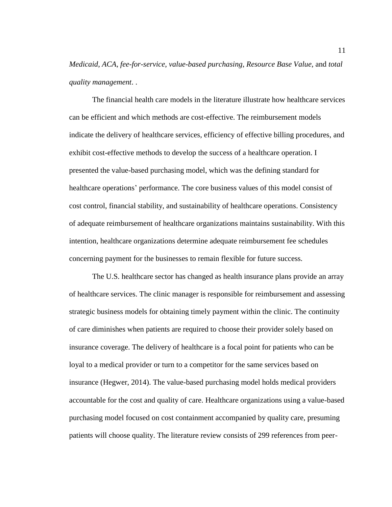*Medicaid*, *ACA*, *fee-for-service*, *value-based purchasing*, *Resource Base Value*, and *total quality management*. .

The financial health care models in the literature illustrate how healthcare services can be efficient and which methods are cost-effective. The reimbursement models indicate the delivery of healthcare services, efficiency of effective billing procedures, and exhibit cost-effective methods to develop the success of a healthcare operation. I presented the value-based purchasing model, which was the defining standard for healthcare operations' performance. The core business values of this model consist of cost control, financial stability, and sustainability of healthcare operations. Consistency of adequate reimbursement of healthcare organizations maintains sustainability. With this intention, healthcare organizations determine adequate reimbursement fee schedules concerning payment for the businesses to remain flexible for future success.

The U.S. healthcare sector has changed as health insurance plans provide an array of healthcare services. The clinic manager is responsible for reimbursement and assessing strategic business models for obtaining timely payment within the clinic. The continuity of care diminishes when patients are required to choose their provider solely based on insurance coverage. The delivery of healthcare is a focal point for patients who can be loyal to a medical provider or turn to a competitor for the same services based on insurance (Hegwer, 2014). The value-based purchasing model holds medical providers accountable for the cost and quality of care. Healthcare organizations using a value-based purchasing model focused on cost containment accompanied by quality care, presuming patients will choose quality. The literature review consists of 299 references from peer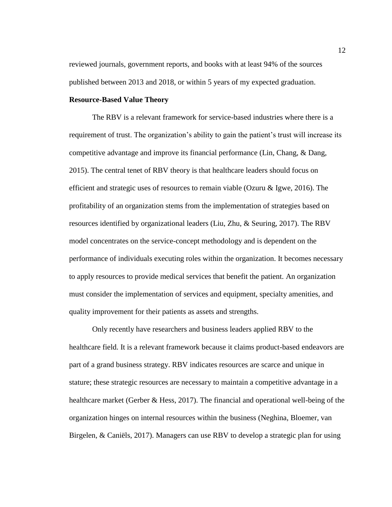reviewed journals, government reports, and books with at least 94% of the sources published between 2013 and 2018, or within 5 years of my expected graduation.

#### <span id="page-22-0"></span>**Resource-Based Value Theory**

The RBV is a relevant framework for service-based industries where there is a requirement of trust. The organization's ability to gain the patient's trust will increase its competitive advantage and improve its financial performance (Lin, Chang, & Dang, 2015). The central tenet of RBV theory is that healthcare leaders should focus on efficient and strategic uses of resources to remain viable (Ozuru & Igwe, 2016). The profitability of an organization stems from the implementation of strategies based on resources identified by organizational leaders (Liu, Zhu, & Seuring, 2017). The RBV model concentrates on the service-concept methodology and is dependent on the performance of individuals executing roles within the organization. It becomes necessary to apply resources to provide medical services that benefit the patient. An organization must consider the implementation of services and equipment, specialty amenities, and quality improvement for their patients as assets and strengths.

Only recently have researchers and business leaders applied RBV to the healthcare field. It is a relevant framework because it claims product-based endeavors are part of a grand business strategy. RBV indicates resources are scarce and unique in stature; these strategic resources are necessary to maintain a competitive advantage in a healthcare market (Gerber & Hess, 2017). The financial and operational well-being of the organization hinges on internal resources within the business (Neghina, Bloemer, van Birgelen, & Caniëls, 2017). Managers can use RBV to develop a strategic plan for using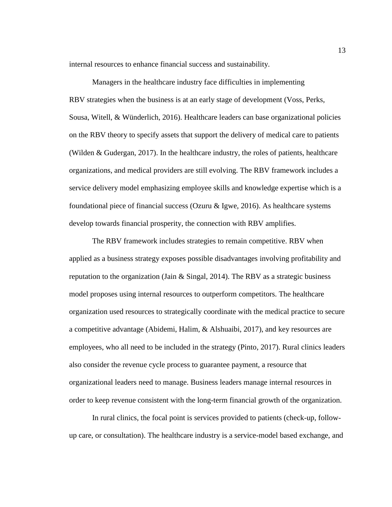internal resources to enhance financial success and sustainability.

Managers in the healthcare industry face difficulties in implementing RBV strategies when the business is at an early stage of development (Voss, Perks, Sousa, Witell, & Wünderlich, 2016). Healthcare leaders can base organizational policies on the RBV theory to specify assets that support the delivery of medical care to patients (Wilden & Gudergan, 2017). In the healthcare industry, the roles of patients, healthcare organizations, and medical providers are still evolving. The RBV framework includes a service delivery model emphasizing employee skills and knowledge expertise which is a foundational piece of financial success (Ozuru  $\&$  Igwe, 2016). As healthcare systems develop towards financial prosperity, the connection with RBV amplifies.

The RBV framework includes strategies to remain competitive. RBV when applied as a business strategy exposes possible disadvantages involving profitability and reputation to the organization (Jain  $\&$  Singal, 2014). The RBV as a strategic business model proposes using internal resources to outperform competitors. The healthcare organization used resources to strategically coordinate with the medical practice to secure a competitive advantage (Abidemi, Halim, & Alshuaibi, 2017), and key resources are employees, who all need to be included in the strategy (Pinto, 2017). Rural clinics leaders also consider the revenue cycle process to guarantee payment, a resource that organizational leaders need to manage. Business leaders manage internal resources in order to keep revenue consistent with the long-term financial growth of the organization.

In rural clinics, the focal point is services provided to patients (check-up, followup care, or consultation). The healthcare industry is a service-model based exchange, and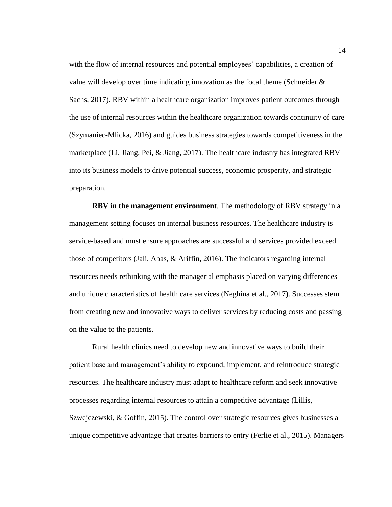with the flow of internal resources and potential employees' capabilities, a creation of value will develop over time indicating innovation as the focal theme (Schneider & Sachs, 2017). RBV within a healthcare organization improves patient outcomes through the use of internal resources within the healthcare organization towards continuity of care (Szymaniec-Mlicka, 2016) and guides business strategies towards competitiveness in the marketplace (Li, Jiang, Pei, & Jiang, 2017). The healthcare industry has integrated RBV into its business models to drive potential success, economic prosperity, and strategic preparation.

**RBV in the management environment**. The methodology of RBV strategy in a management setting focuses on internal business resources. The healthcare industry is service-based and must ensure approaches are successful and services provided exceed those of competitors (Jali, Abas, & Ariffin, 2016). The indicators regarding internal resources needs rethinking with the managerial emphasis placed on varying differences and unique characteristics of health care services (Neghina et al., 2017). Successes stem from creating new and innovative ways to deliver services by reducing costs and passing on the value to the patients.

Rural health clinics need to develop new and innovative ways to build their patient base and management's ability to expound, implement, and reintroduce strategic resources. The healthcare industry must adapt to healthcare reform and seek innovative processes regarding internal resources to attain a competitive advantage (Lillis, Szwejczewski, & Goffin, 2015). The control over strategic resources gives businesses a unique competitive advantage that creates barriers to entry (Ferlie et al., 2015). Managers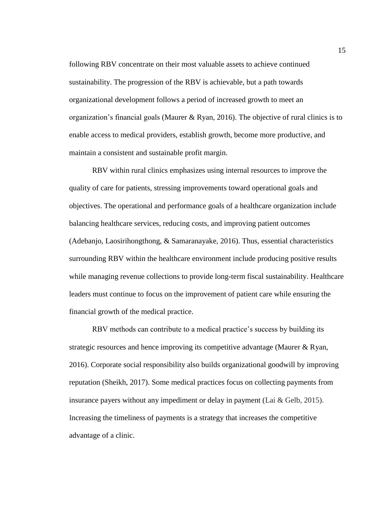following RBV concentrate on their most valuable assets to achieve continued sustainability. The progression of the RBV is achievable, but a path towards organizational development follows a period of increased growth to meet an organization's financial goals (Maurer & Ryan, 2016). The objective of rural clinics is to enable access to medical providers, establish growth, become more productive, and maintain a consistent and sustainable profit margin.

RBV within rural clinics emphasizes using internal resources to improve the quality of care for patients, stressing improvements toward operational goals and objectives. The operational and performance goals of a healthcare organization include balancing healthcare services, reducing costs, and improving patient outcomes (Adebanjo, Laosirihongthong, & Samaranayake, 2016). Thus, essential characteristics surrounding RBV within the healthcare environment include producing positive results while managing revenue collections to provide long-term fiscal sustainability. Healthcare leaders must continue to focus on the improvement of patient care while ensuring the financial growth of the medical practice.

RBV methods can contribute to a medical practice's success by building its strategic resources and hence improving its competitive advantage (Maurer & Ryan, 2016). Corporate social responsibility also builds organizational goodwill by improving reputation (Sheikh, 2017). Some medical practices focus on collecting payments from insurance payers without any impediment or delay in payment (Lai  $&$  Gelb, 2015). Increasing the timeliness of payments is a strategy that increases the competitive advantage of a clinic.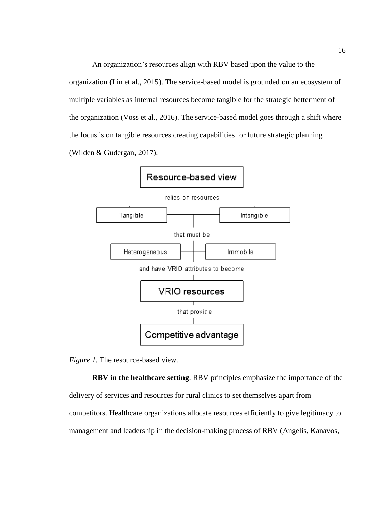An organization's resources align with RBV based upon the value to the organization (Lin et al., 2015). The service-based model is grounded on an ecosystem of multiple variables as internal resources become tangible for the strategic betterment of the organization (Voss et al., 2016). The service-based model goes through a shift where the focus is on tangible resources creating capabilities for future strategic planning (Wilden & Gudergan, 2017).





**RBV in the healthcare setting**. RBV principles emphasize the importance of the delivery of services and resources for rural clinics to set themselves apart from competitors. Healthcare organizations allocate resources efficiently to give legitimacy to management and leadership in the decision-making process of RBV (Angelis, Kanavos,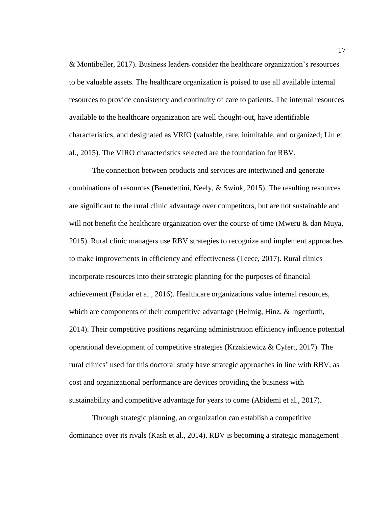& Montibeller, 2017). Business leaders consider the healthcare organization's resources to be valuable assets. The healthcare organization is poised to use all available internal resources to provide consistency and continuity of care to patients. The internal resources available to the healthcare organization are well thought-out, have identifiable characteristics, and designated as VRIO (valuable, rare, inimitable, and organized; Lin et al., 2015). The VIRO characteristics selected are the foundation for RBV.

The connection between products and services are intertwined and generate combinations of resources (Benedettini, Neely, & Swink, 2015). The resulting resources are significant to the rural clinic advantage over competitors, but are not sustainable and will not benefit the healthcare organization over the course of time (Mweru  $\&$  dan Muya, 2015). Rural clinic managers use RBV strategies to recognize and implement approaches to make improvements in efficiency and effectiveness (Teece, 2017). Rural clinics incorporate resources into their strategic planning for the purposes of financial achievement (Patidar et al., 2016). Healthcare organizations value internal resources, which are components of their competitive advantage (Helmig, Hinz, & Ingerfurth, 2014). Their competitive positions regarding administration efficiency influence potential operational development of competitive strategies (Krzakiewicz & Cyfert, 2017). The rural clinics' used for this doctoral study have strategic approaches in line with RBV, as cost and organizational performance are devices providing the business with sustainability and competitive advantage for years to come (Abidemi et al., 2017).

Through strategic planning, an organization can establish a competitive dominance over its rivals (Kash et al., 2014). RBV is becoming a strategic management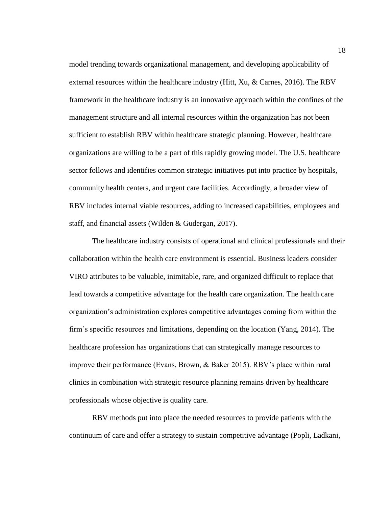model trending towards organizational management, and developing applicability of external resources within the healthcare industry (Hitt, Xu, & Carnes, 2016). The RBV framework in the healthcare industry is an innovative approach within the confines of the management structure and all internal resources within the organization has not been sufficient to establish RBV within healthcare strategic planning. However, healthcare organizations are willing to be a part of this rapidly growing model. The U.S. healthcare sector follows and identifies common strategic initiatives put into practice by hospitals, community health centers, and urgent care facilities. Accordingly, a broader view of RBV includes internal viable resources, adding to increased capabilities, employees and staff, and financial assets (Wilden & Gudergan, 2017).

The healthcare industry consists of operational and clinical professionals and their collaboration within the health care environment is essential. Business leaders consider VIRO attributes to be valuable, inimitable, rare, and organized difficult to replace that lead towards a competitive advantage for the health care organization. The health care organization's administration explores competitive advantages coming from within the firm's specific resources and limitations, depending on the location (Yang, 2014). The healthcare profession has organizations that can strategically manage resources to improve their performance (Evans, Brown, & Baker 2015). RBV's place within rural clinics in combination with strategic resource planning remains driven by healthcare professionals whose objective is quality care.

RBV methods put into place the needed resources to provide patients with the continuum of care and offer a strategy to sustain competitive advantage (Popli, Ladkani,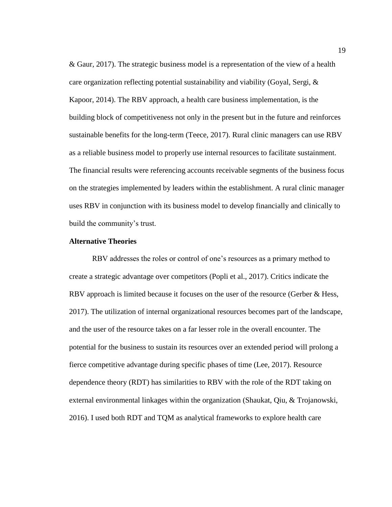& Gaur, 2017). The strategic business model is a representation of the view of a health care organization reflecting potential sustainability and viability (Goyal, Sergi, & Kapoor, 2014). The RBV approach, a health care business implementation, is the building block of competitiveness not only in the present but in the future and reinforces sustainable benefits for the long-term (Teece, 2017). Rural clinic managers can use RBV as a reliable business model to properly use internal resources to facilitate sustainment. The financial results were referencing accounts receivable segments of the business focus on the strategies implemented by leaders within the establishment. A rural clinic manager uses RBV in conjunction with its business model to develop financially and clinically to build the community's trust.

#### <span id="page-29-0"></span>**Alternative Theories**

RBV addresses the roles or control of one's resources as a primary method to create a strategic advantage over competitors (Popli et al., 2017). Critics indicate the RBV approach is limited because it focuses on the user of the resource (Gerber & Hess, 2017). The utilization of internal organizational resources becomes part of the landscape, and the user of the resource takes on a far lesser role in the overall encounter. The potential for the business to sustain its resources over an extended period will prolong a fierce competitive advantage during specific phases of time (Lee, 2017). Resource dependence theory (RDT) has similarities to RBV with the role of the RDT taking on external environmental linkages within the organization (Shaukat, Qiu, & Trojanowski, 2016). I used both RDT and TQM as analytical frameworks to explore health care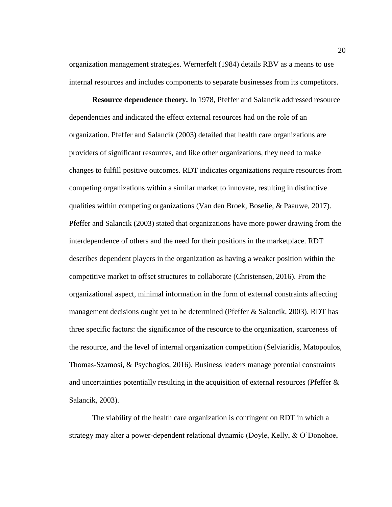organization management strategies. Wernerfelt (1984) details RBV as a means to use internal resources and includes components to separate businesses from its competitors.

**Resource dependence theory.** In 1978, Pfeffer and Salancik addressed resource dependencies and indicated the effect external resources had on the role of an organization. Pfeffer and Salancik (2003) detailed that health care organizations are providers of significant resources, and like other organizations, they need to make changes to fulfill positive outcomes. RDT indicates organizations require resources from competing organizations within a similar market to innovate, resulting in distinctive qualities within competing organizations (Van den Broek, Boselie, & Paauwe, 2017). Pfeffer and Salancik (2003) stated that organizations have more power drawing from the interdependence of others and the need for their positions in the marketplace. RDT describes dependent players in the organization as having a weaker position within the competitive market to offset structures to collaborate (Christensen, 2016). From the organizational aspect, minimal information in the form of external constraints affecting management decisions ought yet to be determined (Pfeffer & Salancik, 2003). RDT has three specific factors: the significance of the resource to the organization, scarceness of the resource, and the level of internal organization competition (Selviaridis, Matopoulos, Thomas-Szamosi, & Psychogios, 2016). Business leaders manage potential constraints and uncertainties potentially resulting in the acquisition of external resources (Pfeffer & Salancik, 2003).

The viability of the health care organization is contingent on RDT in which a strategy may alter a power-dependent relational dynamic (Doyle, Kelly, & O'Donohoe,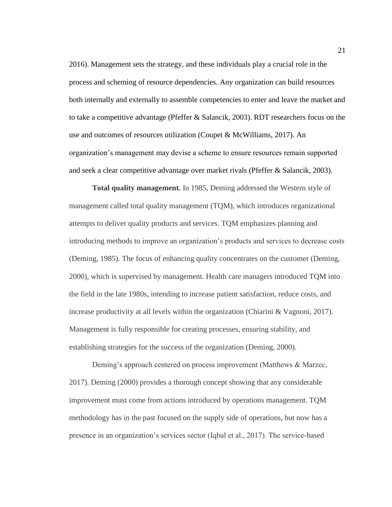2016). Management sets the strategy, and these individuals play a crucial role in the process and scheming of resource dependencies. Any organization can build resources both internally and externally to assemble competencies to enter and leave the market and to take a competitive advantage (Pfeffer & Salancik, 2003). RDT researchers focus on the use and outcomes of resources utilization (Coupet & McWilliams, 2017). An organization's management may devise a scheme to ensure resources remain supported and seek a clear competitive advantage over market rivals (Pfeffer & Salancik, 2003).

**Total quality management.** In 1985, Deming addressed the Western style of management called total quality management (TQM), which introduces organizational attempts to deliver quality products and services. TQM emphasizes planning and introducing methods to improve an organization's products and services to decrease costs (Deming, 1985). The focus of enhancing quality concentrates on the customer (Deming, 2000), which is supervised by management. Health care managers introduced TQM into the field in the late 1980s, intending to increase patient satisfaction, reduce costs, and increase productivity at all levels within the organization (Chiarini & Vagnoni, 2017). Management is fully responsible for creating processes, ensuring stability, and establishing strategies for the success of the organization (Deming, 2000).

Deming's approach centered on process improvement (Matthews & Marzec, 2017). Deming (2000) provides a thorough concept showing that any considerable improvement must come from actions introduced by operations management. TQM methodology has in the past focused on the supply side of operations, but now has a presence in an organization's services sector (Iqbal et al., 2017). The service-based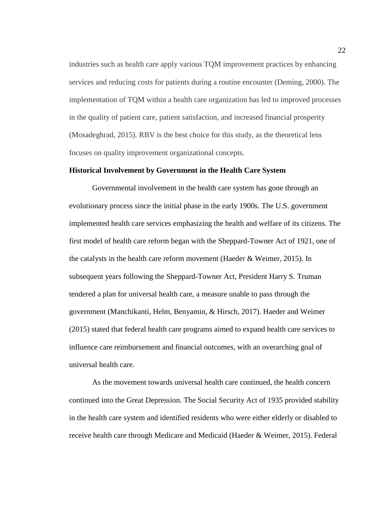industries such as health care apply various TQM improvement practices by enhancing services and reducing costs for patients during a routine encounter (Deming, 2000). The implementation of TQM within a health care organization has led to improved processes in the quality of patient care, patient satisfaction, and increased financial prosperity (Mosadeghrad, 2015). RBV is the best choice for this study, as the theoretical lens focuses on quality improvement organizational concepts.

#### <span id="page-32-0"></span>**Historical Involvement by Government in the Health Care System**

Governmental involvement in the health care system has gone through an evolutionary process since the initial phase in the early 1900s. The U.S. government implemented health care services emphasizing the health and welfare of its citizens. The first model of health care reform began with the Sheppard-Towner Act of 1921, one of the catalysts in the health care reform movement (Haeder & Weimer, 2015). In subsequent years following the Sheppard-Towner Act, President Harry S. Truman tendered a plan for universal health care, a measure unable to pass through the government (Manchikanti, Helm, Benyamin, & Hirsch, 2017). Haeder and Weimer (2015) stated that federal health care programs aimed to expand health care services to influence care reimbursement and financial outcomes, with an overarching goal of universal health care.

As the movement towards universal health care continued, the health concern continued into the Great Depression. The Social Security Act of 1935 provided stability in the health care system and identified residents who were either elderly or disabled to receive health care through Medicare and Medicaid (Haeder & Weimer, 2015). Federal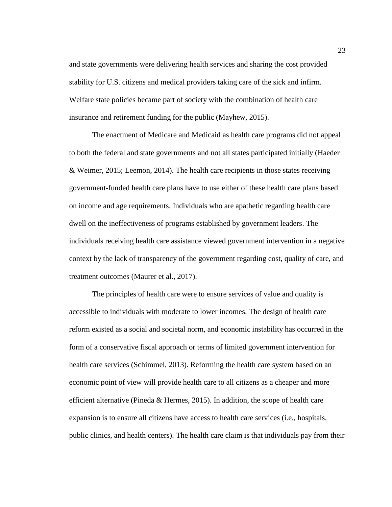and state governments were delivering health services and sharing the cost provided stability for U.S. citizens and medical providers taking care of the sick and infirm. Welfare state policies became part of society with the combination of health care insurance and retirement funding for the public (Mayhew, 2015).

The enactment of Medicare and Medicaid as health care programs did not appeal to both the federal and state governments and not all states participated initially (Haeder & Weimer, 2015; Leemon, 2014). The health care recipients in those states receiving government-funded health care plans have to use either of these health care plans based on income and age requirements. Individuals who are apathetic regarding health care dwell on the ineffectiveness of programs established by government leaders. The individuals receiving health care assistance viewed government intervention in a negative context by the lack of transparency of the government regarding cost, quality of care, and treatment outcomes (Maurer et al., 2017).

The principles of health care were to ensure services of value and quality is accessible to individuals with moderate to lower incomes. The design of health care reform existed as a social and societal norm, and economic instability has occurred in the form of a conservative fiscal approach or terms of limited government intervention for health care services (Schimmel, 2013). Reforming the health care system based on an economic point of view will provide health care to all citizens as a cheaper and more efficient alternative (Pineda & Hermes, 2015). In addition, the scope of health care expansion is to ensure all citizens have access to health care services (i.e., hospitals, public clinics, and health centers). The health care claim is that individuals pay from their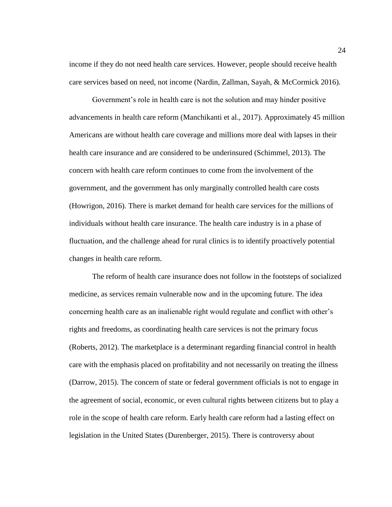income if they do not need health care services. However, people should receive health care services based on need, not income (Nardin, Zallman, Sayah, & McCormick 2016).

Government's role in health care is not the solution and may hinder positive advancements in health care reform (Manchikanti et al., 2017). Approximately 45 million Americans are without health care coverage and millions more deal with lapses in their health care insurance and are considered to be underinsured (Schimmel, 2013). The concern with health care reform continues to come from the involvement of the government, and the government has only marginally controlled health care costs (Howrigon, 2016). There is market demand for health care services for the millions of individuals without health care insurance. The health care industry is in a phase of fluctuation, and the challenge ahead for rural clinics is to identify proactively potential changes in health care reform.

The reform of health care insurance does not follow in the footsteps of socialized medicine, as services remain vulnerable now and in the upcoming future. The idea concerning health care as an inalienable right would regulate and conflict with other's rights and freedoms, as coordinating health care services is not the primary focus (Roberts, 2012). The marketplace is a determinant regarding financial control in health care with the emphasis placed on profitability and not necessarily on treating the illness (Darrow, 2015). The concern of state or federal government officials is not to engage in the agreement of social, economic, or even cultural rights between citizens but to play a role in the scope of health care reform. Early health care reform had a lasting effect on legislation in the United States (Durenberger, 2015). There is controversy about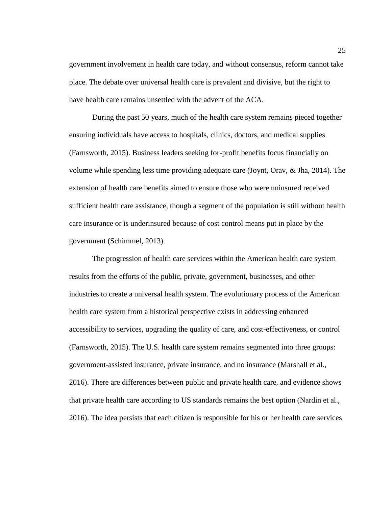government involvement in health care today, and without consensus, reform cannot take place. The debate over universal health care is prevalent and divisive, but the right to have health care remains unsettled with the advent of the ACA.

During the past 50 years, much of the health care system remains pieced together ensuring individuals have access to hospitals, clinics, doctors, and medical supplies (Farnsworth, 2015). Business leaders seeking for-profit benefits focus financially on volume while spending less time providing adequate care (Joynt, Orav, & Jha, 2014). The extension of health care benefits aimed to ensure those who were uninsured received sufficient health care assistance, though a segment of the population is still without health care insurance or is underinsured because of cost control means put in place by the government (Schimmel, 2013).

The progression of health care services within the American health care system results from the efforts of the public, private, government, businesses, and other industries to create a universal health system. The evolutionary process of the American health care system from a historical perspective exists in addressing enhanced accessibility to services, upgrading the quality of care, and cost-effectiveness, or control (Farnsworth, 2015). The U.S. health care system remains segmented into three groups: government-assisted insurance, private insurance, and no insurance (Marshall et al., 2016). There are differences between public and private health care, and evidence shows that private health care according to US standards remains the best option (Nardin et al., 2016). The idea persists that each citizen is responsible for his or her health care services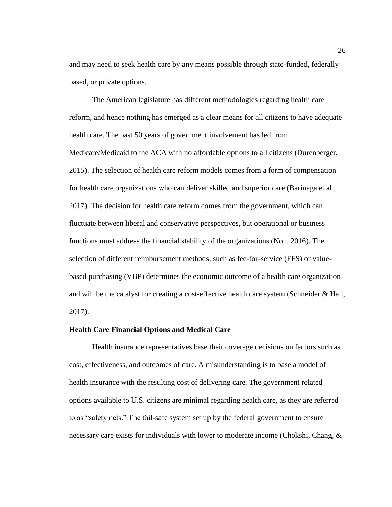and may need to seek health care by any means possible through state-funded, federally based, or private options.

The American legislature has different methodologies regarding health care reform, and hence nothing has emerged as a clear means for all citizens to have adequate health care. The past 50 years of government involvement has led from Medicare/Medicaid to the ACA with no affordable options to all citizens (Durenberger, 2015). The selection of health care reform models comes from a form of compensation for health care organizations who can deliver skilled and superior care (Barinaga et al., 2017). The decision for health care reform comes from the government, which can fluctuate between liberal and conservative perspectives, but operational or business functions must address the financial stability of the organizations (Noh, 2016). The selection of different reimbursement methods, such as fee-for-service (FFS) or valuebased purchasing (VBP) determines the economic outcome of a health care organization and will be the catalyst for creating a cost-effective health care system (Schneider  $\&$  Hall, 2017).

## **Health Care Financial Options and Medical Care**

Health insurance representatives base their coverage decisions on factors such as cost, effectiveness, and outcomes of care. A misunderstanding is to base a model of health insurance with the resulting cost of delivering care. The government related options available to U.S. citizens are minimal regarding health care, as they are referred to as "safety nets." The fail-safe system set up by the federal government to ensure necessary care exists for individuals with lower to moderate income (Chokshi, Chang, &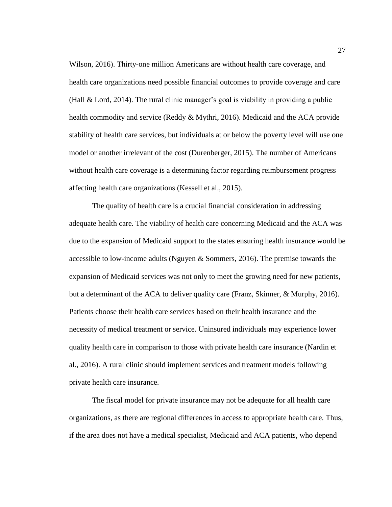Wilson, 2016). Thirty-one million Americans are without health care coverage, and health care organizations need possible financial outcomes to provide coverage and care (Hall & Lord, 2014). The rural clinic manager's goal is viability in providing a public health commodity and service (Reddy & Mythri, 2016). Medicaid and the ACA provide stability of health care services, but individuals at or below the poverty level will use one model or another irrelevant of the cost (Durenberger, 2015). The number of Americans without health care coverage is a determining factor regarding reimbursement progress affecting health care organizations (Kessell et al., 2015).

The quality of health care is a crucial financial consideration in addressing adequate health care. The viability of health care concerning Medicaid and the ACA was due to the expansion of Medicaid support to the states ensuring health insurance would be accessible to low-income adults (Nguyen & Sommers, 2016). The premise towards the expansion of Medicaid services was not only to meet the growing need for new patients, but a determinant of the ACA to deliver quality care (Franz, Skinner, & Murphy, 2016). Patients choose their health care services based on their health insurance and the necessity of medical treatment or service. Uninsured individuals may experience lower quality health care in comparison to those with private health care insurance (Nardin et al., 2016). A rural clinic should implement services and treatment models following private health care insurance.

The fiscal model for private insurance may not be adequate for all health care organizations, as there are regional differences in access to appropriate health care. Thus, if the area does not have a medical specialist, Medicaid and ACA patients, who depend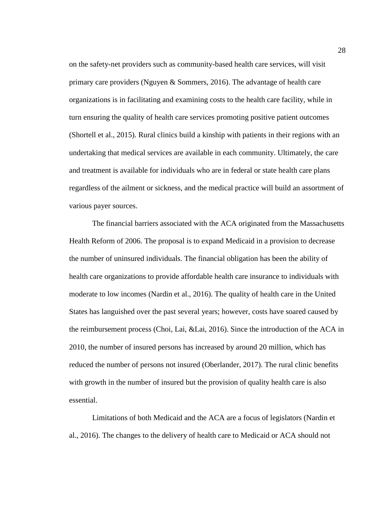on the safety-net providers such as community-based health care services, will visit primary care providers (Nguyen & Sommers, 2016). The advantage of health care organizations is in facilitating and examining costs to the health care facility, while in turn ensuring the quality of health care services promoting positive patient outcomes (Shortell et al., 2015). Rural clinics build a kinship with patients in their regions with an undertaking that medical services are available in each community. Ultimately, the care and treatment is available for individuals who are in federal or state health care plans regardless of the ailment or sickness, and the medical practice will build an assortment of various payer sources.

The financial barriers associated with the ACA originated from the Massachusetts Health Reform of 2006. The proposal is to expand Medicaid in a provision to decrease the number of uninsured individuals. The financial obligation has been the ability of health care organizations to provide affordable health care insurance to individuals with moderate to low incomes (Nardin et al., 2016). The quality of health care in the United States has languished over the past several years; however, costs have soared caused by the reimbursement process (Choi, Lai, &Lai, 2016). Since the introduction of the ACA in 2010, the number of insured persons has increased by around 20 million, which has reduced the number of persons not insured (Oberlander, 2017). The rural clinic benefits with growth in the number of insured but the provision of quality health care is also essential.

Limitations of both Medicaid and the ACA are a focus of legislators (Nardin et al., 2016). The changes to the delivery of health care to Medicaid or ACA should not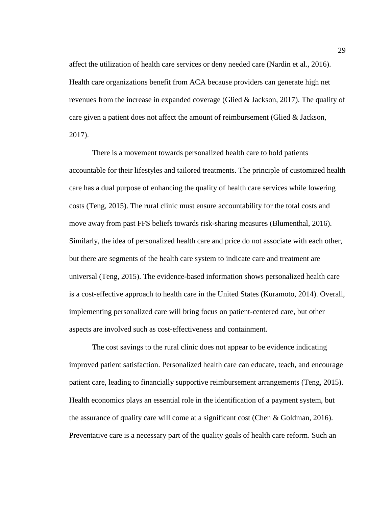affect the utilization of health care services or deny needed care (Nardin et al., 2016). Health care organizations benefit from ACA because providers can generate high net revenues from the increase in expanded coverage (Glied & Jackson, 2017). The quality of care given a patient does not affect the amount of reimbursement (Glied & Jackson, 2017).

There is a movement towards personalized health care to hold patients accountable for their lifestyles and tailored treatments. The principle of customized health care has a dual purpose of enhancing the quality of health care services while lowering costs (Teng, 2015). The rural clinic must ensure accountability for the total costs and move away from past FFS beliefs towards risk-sharing measures (Blumenthal, 2016). Similarly, the idea of personalized health care and price do not associate with each other, but there are segments of the health care system to indicate care and treatment are universal (Teng, 2015). The evidence-based information shows personalized health care is a cost-effective approach to health care in the United States (Kuramoto, 2014). Overall, implementing personalized care will bring focus on patient-centered care, but other aspects are involved such as cost-effectiveness and containment.

The cost savings to the rural clinic does not appear to be evidence indicating improved patient satisfaction. Personalized health care can educate, teach, and encourage patient care, leading to financially supportive reimbursement arrangements (Teng, 2015). Health economics plays an essential role in the identification of a payment system, but the assurance of quality care will come at a significant cost (Chen & Goldman, 2016). Preventative care is a necessary part of the quality goals of health care reform. Such an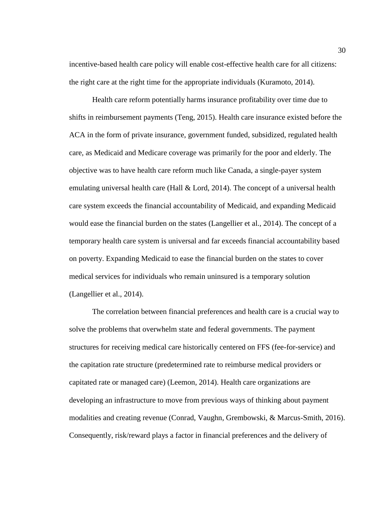incentive-based health care policy will enable cost-effective health care for all citizens: the right care at the right time for the appropriate individuals (Kuramoto, 2014).

Health care reform potentially harms insurance profitability over time due to shifts in reimbursement payments (Teng, 2015). Health care insurance existed before the ACA in the form of private insurance, government funded, subsidized, regulated health care, as Medicaid and Medicare coverage was primarily for the poor and elderly. The objective was to have health care reform much like Canada, a single-payer system emulating universal health care (Hall  $&$  Lord, 2014). The concept of a universal health care system exceeds the financial accountability of Medicaid, and expanding Medicaid would ease the financial burden on the states (Langellier et al., 2014). The concept of a temporary health care system is universal and far exceeds financial accountability based on poverty. Expanding Medicaid to ease the financial burden on the states to cover medical services for individuals who remain uninsured is a temporary solution (Langellier et al., 2014).

The correlation between financial preferences and health care is a crucial way to solve the problems that overwhelm state and federal governments. The payment structures for receiving medical care historically centered on FFS (fee-for-service) and the capitation rate structure (predetermined rate to reimburse medical providers or capitated rate or managed care) (Leemon, 2014). Health care organizations are developing an infrastructure to move from previous ways of thinking about payment modalities and creating revenue (Conrad, Vaughn, Grembowski, & Marcus-Smith, 2016). Consequently, risk/reward plays a factor in financial preferences and the delivery of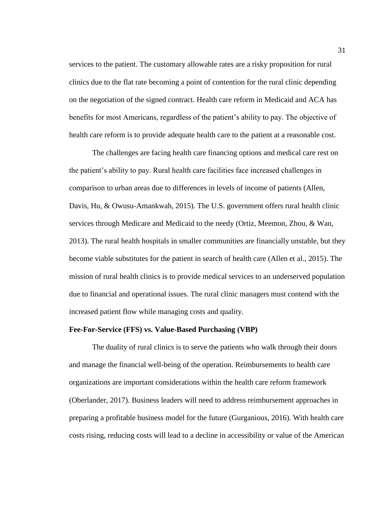services to the patient. The customary allowable rates are a risky proposition for rural clinics due to the flat rate becoming a point of contention for the rural clinic depending on the negotiation of the signed contract. Health care reform in Medicaid and ACA has benefits for most Americans, regardless of the patient's ability to pay. The objective of health care reform is to provide adequate health care to the patient at a reasonable cost.

The challenges are facing health care financing options and medical care rest on the patient's ability to pay. Rural health care facilities face increased challenges in comparison to urban areas due to differences in levels of income of patients (Allen, Davis, Hu, & Owusu-Amankwah, 2015). The U.S. government offers rural health clinic services through Medicare and Medicaid to the needy (Ortiz, Meemon, Zhou, & Wan, 2013). The rural health hospitals in smaller communities are financially unstable, but they become viable substitutes for the patient in search of health care (Allen et al., 2015). The mission of rural health clinics is to provide medical services to an underserved population due to financial and operational issues. The rural clinic managers must contend with the increased patient flow while managing costs and quality.

### **Fee-For-Service (FFS) vs. Value-Based Purchasing (VBP)**

The duality of rural clinics is to serve the patients who walk through their doors and manage the financial well-being of the operation. Reimbursements to health care organizations are important considerations within the health care reform framework (Oberlander, 2017). Business leaders will need to address reimbursement approaches in preparing a profitable business model for the future (Gurganious, 2016). With health care costs rising, reducing costs will lead to a decline in accessibility or value of the American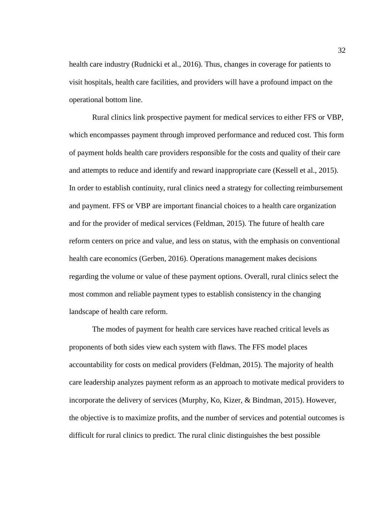health care industry (Rudnicki et al., 2016). Thus, changes in coverage for patients to visit hospitals, health care facilities, and providers will have a profound impact on the operational bottom line.

Rural clinics link prospective payment for medical services to either FFS or VBP, which encompasses payment through improved performance and reduced cost. This form of payment holds health care providers responsible for the costs and quality of their care and attempts to reduce and identify and reward inappropriate care (Kessell et al., 2015). In order to establish continuity, rural clinics need a strategy for collecting reimbursement and payment. FFS or VBP are important financial choices to a health care organization and for the provider of medical services (Feldman, 2015). The future of health care reform centers on price and value, and less on status, with the emphasis on conventional health care economics (Gerben, 2016). Operations management makes decisions regarding the volume or value of these payment options. Overall, rural clinics select the most common and reliable payment types to establish consistency in the changing landscape of health care reform.

The modes of payment for health care services have reached critical levels as proponents of both sides view each system with flaws. The FFS model places accountability for costs on medical providers (Feldman, 2015). The majority of health care leadership analyzes payment reform as an approach to motivate medical providers to incorporate the delivery of services (Murphy, Ko, Kizer, & Bindman, 2015). However, the objective is to maximize profits, and the number of services and potential outcomes is difficult for rural clinics to predict. The rural clinic distinguishes the best possible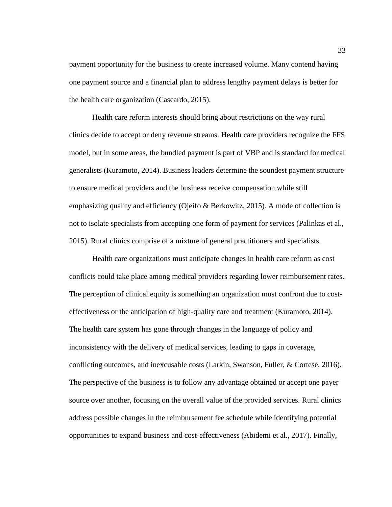payment opportunity for the business to create increased volume. Many contend having one payment source and a financial plan to address lengthy payment delays is better for the health care organization (Cascardo, 2015).

Health care reform interests should bring about restrictions on the way rural clinics decide to accept or deny revenue streams. Health care providers recognize the FFS model, but in some areas, the bundled payment is part of VBP and is standard for medical generalists (Kuramoto, 2014). Business leaders determine the soundest payment structure to ensure medical providers and the business receive compensation while still emphasizing quality and efficiency (Ojeifo & Berkowitz, 2015). A mode of collection is not to isolate specialists from accepting one form of payment for services (Palinkas et al., 2015). Rural clinics comprise of a mixture of general practitioners and specialists.

Health care organizations must anticipate changes in health care reform as cost conflicts could take place among medical providers regarding lower reimbursement rates. The perception of clinical equity is something an organization must confront due to costeffectiveness or the anticipation of high-quality care and treatment (Kuramoto, 2014). The health care system has gone through changes in the language of policy and inconsistency with the delivery of medical services, leading to gaps in coverage, conflicting outcomes, and inexcusable costs (Larkin, Swanson, Fuller, & Cortese, 2016). The perspective of the business is to follow any advantage obtained or accept one payer source over another, focusing on the overall value of the provided services. Rural clinics address possible changes in the reimbursement fee schedule while identifying potential opportunities to expand business and cost-effectiveness (Abidemi et al., 2017). Finally,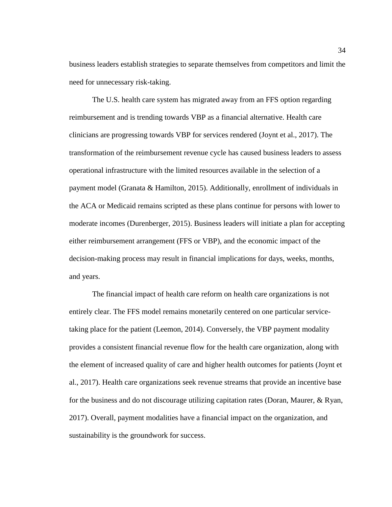business leaders establish strategies to separate themselves from competitors and limit the need for unnecessary risk-taking.

The U.S. health care system has migrated away from an FFS option regarding reimbursement and is trending towards VBP as a financial alternative. Health care clinicians are progressing towards VBP for services rendered (Joynt et al., 2017). The transformation of the reimbursement revenue cycle has caused business leaders to assess operational infrastructure with the limited resources available in the selection of a payment model (Granata & Hamilton, 2015). Additionally, enrollment of individuals in the ACA or Medicaid remains scripted as these plans continue for persons with lower to moderate incomes (Durenberger, 2015). Business leaders will initiate a plan for accepting either reimbursement arrangement (FFS or VBP), and the economic impact of the decision-making process may result in financial implications for days, weeks, months, and years.

The financial impact of health care reform on health care organizations is not entirely clear. The FFS model remains monetarily centered on one particular servicetaking place for the patient (Leemon, 2014). Conversely, the VBP payment modality provides a consistent financial revenue flow for the health care organization, along with the element of increased quality of care and higher health outcomes for patients (Joynt et al., 2017). Health care organizations seek revenue streams that provide an incentive base for the business and do not discourage utilizing capitation rates (Doran, Maurer, & Ryan, 2017). Overall, payment modalities have a financial impact on the organization, and sustainability is the groundwork for success.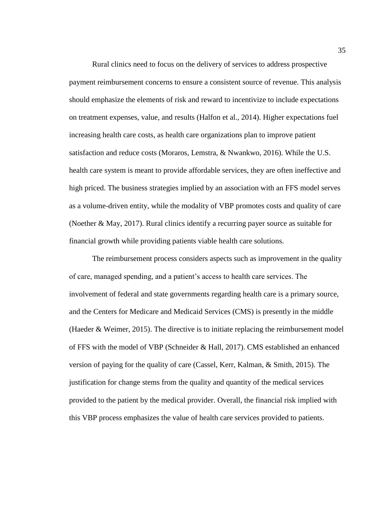Rural clinics need to focus on the delivery of services to address prospective payment reimbursement concerns to ensure a consistent source of revenue. This analysis should emphasize the elements of risk and reward to incentivize to include expectations on treatment expenses, value, and results (Halfon et al., 2014). Higher expectations fuel increasing health care costs, as health care organizations plan to improve patient satisfaction and reduce costs (Moraros, Lemstra, & Nwankwo, 2016). While the U.S. health care system is meant to provide affordable services, they are often ineffective and high priced. The business strategies implied by an association with an FFS model serves as a volume-driven entity, while the modality of VBP promotes costs and quality of care (Noether & May, 2017). Rural clinics identify a recurring payer source as suitable for financial growth while providing patients viable health care solutions.

The reimbursement process considers aspects such as improvement in the quality of care, managed spending, and a patient's access to health care services. The involvement of federal and state governments regarding health care is a primary source, and the Centers for Medicare and Medicaid Services (CMS) is presently in the middle (Haeder & Weimer, 2015). The directive is to initiate replacing the reimbursement model of FFS with the model of VBP (Schneider & Hall, 2017). CMS established an enhanced version of paying for the quality of care (Cassel, Kerr, Kalman, & Smith, 2015). The justification for change stems from the quality and quantity of the medical services provided to the patient by the medical provider. Overall, the financial risk implied with this VBP process emphasizes the value of health care services provided to patients.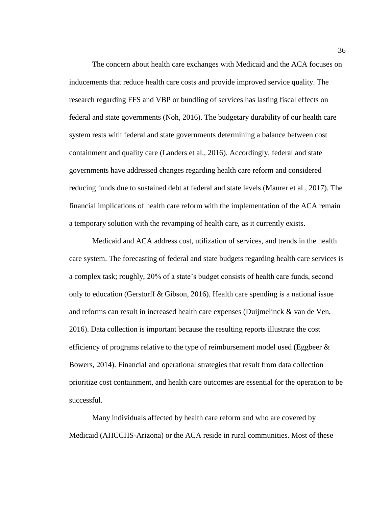The concern about health care exchanges with Medicaid and the ACA focuses on inducements that reduce health care costs and provide improved service quality. The research regarding FFS and VBP or bundling of services has lasting fiscal effects on federal and state governments (Noh, 2016). The budgetary durability of our health care system rests with federal and state governments determining a balance between cost containment and quality care (Landers et al., 2016). Accordingly, federal and state governments have addressed changes regarding health care reform and considered reducing funds due to sustained debt at federal and state levels (Maurer et al., 2017). The financial implications of health care reform with the implementation of the ACA remain a temporary solution with the revamping of health care, as it currently exists.

Medicaid and ACA address cost, utilization of services, and trends in the health care system. The forecasting of federal and state budgets regarding health care services is a complex task; roughly, 20% of a state's budget consists of health care funds, second only to education (Gerstorff & Gibson, 2016). Health care spending is a national issue and reforms can result in increased health care expenses (Duijmelinck & van de Ven, 2016). Data collection is important because the resulting reports illustrate the cost efficiency of programs relative to the type of reimbursement model used (Eggbeer  $\&$ Bowers, 2014). Financial and operational strategies that result from data collection prioritize cost containment, and health care outcomes are essential for the operation to be successful.

Many individuals affected by health care reform and who are covered by Medicaid (AHCCHS-Arizona) or the ACA reside in rural communities. Most of these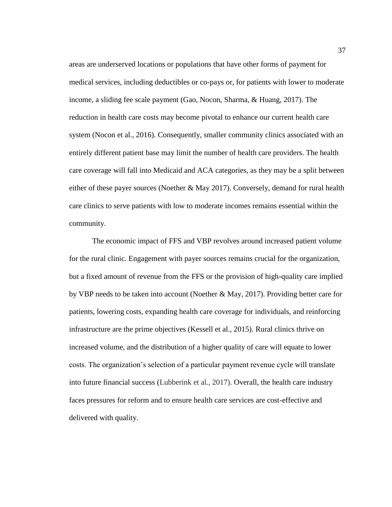areas are underserved locations or populations that have other forms of payment for medical services, including deductibles or co-pays or, for patients with lower to moderate income, a sliding fee scale payment (Gao, Nocon, Sharma, & Huang, 2017). The reduction in health care costs may become pivotal to enhance our current health care system (Nocon et al., 2016). Consequently, smaller community clinics associated with an entirely different patient base may limit the number of health care providers. The health care coverage will fall into Medicaid and ACA categories, as they may be a split between either of these payer sources (Noether & May 2017). Conversely, demand for rural health care clinics to serve patients with low to moderate incomes remains essential within the community.

The economic impact of FFS and VBP revolves around increased patient volume for the rural clinic. Engagement with payer sources remains crucial for the organization, but a fixed amount of revenue from the FFS or the provision of high-quality care implied by VBP needs to be taken into account (Noether & May, 2017). Providing better care for patients, lowering costs, expanding health care coverage for individuals, and reinforcing infrastructure are the prime objectives (Kessell et al., 2015). Rural clinics thrive on increased volume, and the distribution of a higher quality of care will equate to lower costs. The organization's selection of a particular payment revenue cycle will translate into future financial success (Lubberink et al., 2017). Overall, the health care industry faces pressures for reform and to ensure health care services are cost-effective and delivered with quality.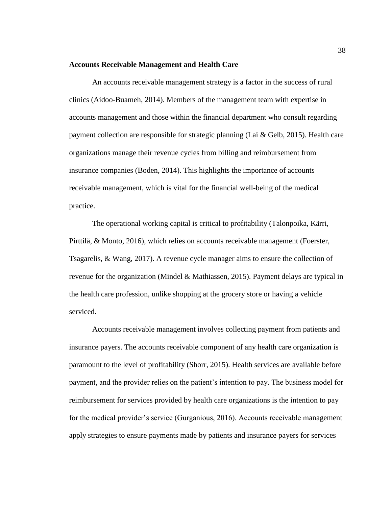### **Accounts Receivable Management and Health Care**

An accounts receivable management strategy is a factor in the success of rural clinics (Aidoo-Buameh, 2014). Members of the management team with expertise in accounts management and those within the financial department who consult regarding payment collection are responsible for strategic planning (Lai & Gelb, 2015). Health care organizations manage their revenue cycles from billing and reimbursement from insurance companies (Boden, 2014). This highlights the importance of accounts receivable management, which is vital for the financial well-being of the medical practice.

The operational working capital is critical to profitability (Talonpoika, Kärri, Pirttilä, & Monto, 2016), which relies on accounts receivable management (Foerster, Tsagarelis, & Wang, 2017). A revenue cycle manager aims to ensure the collection of revenue for the organization (Mindel & Mathiassen, 2015). Payment delays are typical in the health care profession, unlike shopping at the grocery store or having a vehicle serviced.

Accounts receivable management involves collecting payment from patients and insurance payers. The accounts receivable component of any health care organization is paramount to the level of profitability (Shorr, 2015). Health services are available before payment, and the provider relies on the patient's intention to pay. The business model for reimbursement for services provided by health care organizations is the intention to pay for the medical provider's service (Gurganious, 2016). Accounts receivable management apply strategies to ensure payments made by patients and insurance payers for services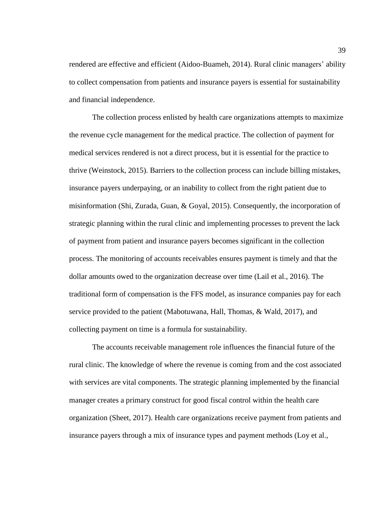rendered are effective and efficient (Aidoo-Buameh, 2014). Rural clinic managers' ability to collect compensation from patients and insurance payers is essential for sustainability and financial independence.

The collection process enlisted by health care organizations attempts to maximize the revenue cycle management for the medical practice. The collection of payment for medical services rendered is not a direct process, but it is essential for the practice to thrive (Weinstock, 2015). Barriers to the collection process can include billing mistakes, insurance payers underpaying, or an inability to collect from the right patient due to misinformation (Shi, Zurada, Guan, & Goyal, 2015). Consequently, the incorporation of strategic planning within the rural clinic and implementing processes to prevent the lack of payment from patient and insurance payers becomes significant in the collection process. The monitoring of accounts receivables ensures payment is timely and that the dollar amounts owed to the organization decrease over time (Lail et al., 2016). The traditional form of compensation is the FFS model, as insurance companies pay for each service provided to the patient (Mabotuwana, Hall, Thomas, & Wald, 2017), and collecting payment on time is a formula for sustainability.

The accounts receivable management role influences the financial future of the rural clinic. The knowledge of where the revenue is coming from and the cost associated with services are vital components. The strategic planning implemented by the financial manager creates a primary construct for good fiscal control within the health care organization (Sheet, 2017). Health care organizations receive payment from patients and insurance payers through a mix of insurance types and payment methods (Loy et al.,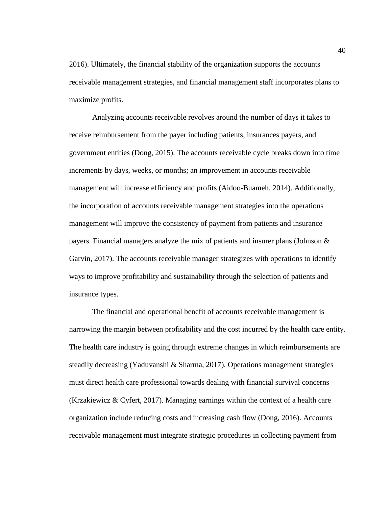2016). Ultimately, the financial stability of the organization supports the accounts receivable management strategies, and financial management staff incorporates plans to maximize profits.

Analyzing accounts receivable revolves around the number of days it takes to receive reimbursement from the payer including patients, insurances payers, and government entities (Dong, 2015). The accounts receivable cycle breaks down into time increments by days, weeks, or months; an improvement in accounts receivable management will increase efficiency and profits (Aidoo-Buameh, 2014). Additionally, the incorporation of accounts receivable management strategies into the operations management will improve the consistency of payment from patients and insurance payers. Financial managers analyze the mix of patients and insurer plans (Johnson & Garvin, 2017). The accounts receivable manager strategizes with operations to identify ways to improve profitability and sustainability through the selection of patients and insurance types.

The financial and operational benefit of accounts receivable management is narrowing the margin between profitability and the cost incurred by the health care entity. The health care industry is going through extreme changes in which reimbursements are steadily decreasing (Yaduvanshi & Sharma, 2017). Operations management strategies must direct health care professional towards dealing with financial survival concerns (Krzakiewicz & Cyfert, 2017). Managing earnings within the context of a health care organization include reducing costs and increasing cash flow (Dong, 2016). Accounts receivable management must integrate strategic procedures in collecting payment from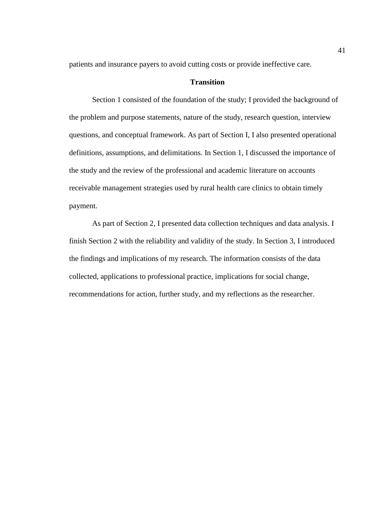patients and insurance payers to avoid cutting costs or provide ineffective care.

## **Transition**

Section 1 consisted of the foundation of the study; I provided the background of the problem and purpose statements, nature of the study, research question, interview questions, and conceptual framework. As part of Section I, I also presented operational definitions, assumptions, and delimitations. In Section 1, I discussed the importance of the study and the review of the professional and academic literature on accounts receivable management strategies used by rural health care clinics to obtain timely payment.

As part of Section 2, I presented data collection techniques and data analysis. I finish Section 2 with the reliability and validity of the study. In Section 3, I introduced the findings and implications of my research. The information consists of the data collected, applications to professional practice, implications for social change, recommendations for action, further study, and my reflections as the researcher.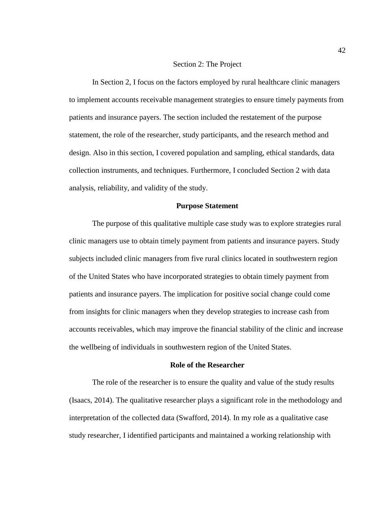#### Section 2: The Project

In Section 2, I focus on the factors employed by rural healthcare clinic managers to implement accounts receivable management strategies to ensure timely payments from patients and insurance payers. The section included the restatement of the purpose statement, the role of the researcher, study participants, and the research method and design. Also in this section, I covered population and sampling, ethical standards, data collection instruments, and techniques. Furthermore, I concluded Section 2 with data analysis, reliability, and validity of the study.

## **Purpose Statement**

The purpose of this qualitative multiple case study was to explore strategies rural clinic managers use to obtain timely payment from patients and insurance payers. Study subjects included clinic managers from five rural clinics located in southwestern region of the United States who have incorporated strategies to obtain timely payment from patients and insurance payers. The implication for positive social change could come from insights for clinic managers when they develop strategies to increase cash from accounts receivables, which may improve the financial stability of the clinic and increase the wellbeing of individuals in southwestern region of the United States.

### **Role of the Researcher**

The role of the researcher is to ensure the quality and value of the study results (Isaacs, 2014). The qualitative researcher plays a significant role in the methodology and interpretation of the collected data (Swafford, 2014). In my role as a qualitative case study researcher, I identified participants and maintained a working relationship with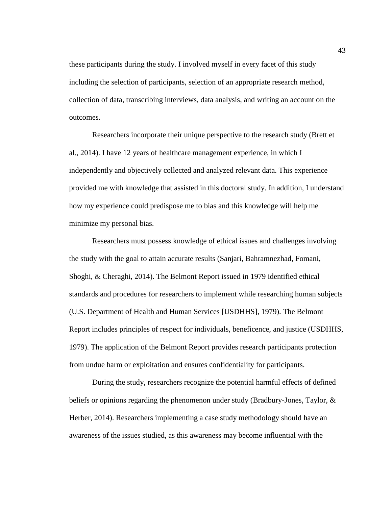these participants during the study. I involved myself in every facet of this study including the selection of participants, selection of an appropriate research method, collection of data, transcribing interviews, data analysis, and writing an account on the outcomes.

Researchers incorporate their unique perspective to the research study (Brett et al., 2014). I have 12 years of healthcare management experience, in which I independently and objectively collected and analyzed relevant data. This experience provided me with knowledge that assisted in this doctoral study. In addition, I understand how my experience could predispose me to bias and this knowledge will help me minimize my personal bias.

Researchers must possess knowledge of ethical issues and challenges involving the study with the goal to attain accurate results (Sanjari, Bahramnezhad, Fomani, Shoghi, & Cheraghi, 2014). The Belmont Report issued in 1979 identified ethical standards and procedures for researchers to implement while researching human subjects (U.S. Department of Health and Human Services [USDHHS], 1979). The Belmont Report includes principles of respect for individuals, beneficence, and justice (USDHHS, 1979). The application of the Belmont Report provides research participants protection from undue harm or exploitation and ensures confidentiality for participants.

During the study, researchers recognize the potential harmful effects of defined beliefs or opinions regarding the phenomenon under study (Bradbury-Jones, Taylor, & Herber, 2014). Researchers implementing a case study methodology should have an awareness of the issues studied, as this awareness may become influential with the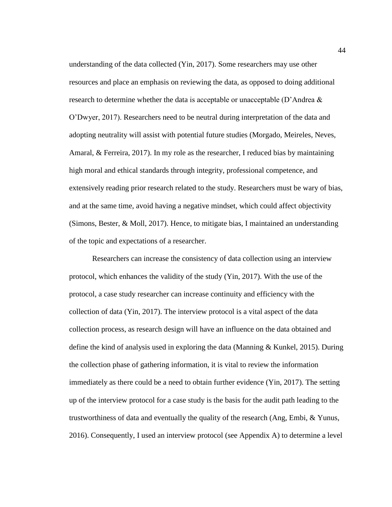understanding of the data collected (Yin, 2017). Some researchers may use other resources and place an emphasis on reviewing the data, as opposed to doing additional research to determine whether the data is acceptable or unacceptable (D'Andrea  $\&$ O'Dwyer, 2017). Researchers need to be neutral during interpretation of the data and adopting neutrality will assist with potential future studies (Morgado, Meireles, Neves, Amaral, & Ferreira, 2017). In my role as the researcher, I reduced bias by maintaining high moral and ethical standards through integrity, professional competence, and extensively reading prior research related to the study. Researchers must be wary of bias, and at the same time, avoid having a negative mindset, which could affect objectivity (Simons, Bester, & Moll, 2017). Hence, to mitigate bias, I maintained an understanding of the topic and expectations of a researcher.

Researchers can increase the consistency of data collection using an interview protocol, which enhances the validity of the study (Yin, 2017). With the use of the protocol, a case study researcher can increase continuity and efficiency with the collection of data (Yin, 2017). The interview protocol is a vital aspect of the data collection process, as research design will have an influence on the data obtained and define the kind of analysis used in exploring the data (Manning & Kunkel, 2015). During the collection phase of gathering information, it is vital to review the information immediately as there could be a need to obtain further evidence (Yin, 2017). The setting up of the interview protocol for a case study is the basis for the audit path leading to the trustworthiness of data and eventually the quality of the research (Ang, Embi, & Yunus, 2016). Consequently, I used an interview protocol (see Appendix A) to determine a level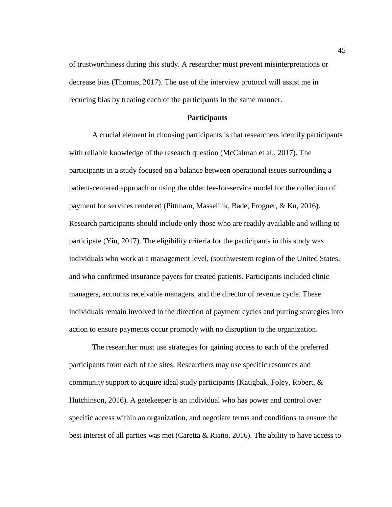of trustworthiness during this study. A researcher must prevent misinterpretations or decrease bias (Thomas, 2017). The use of the interview protocol will assist me in reducing bias by treating each of the participants in the same manner.

## **Participants**

A crucial element in choosing participants is that researchers identify participants with reliable knowledge of the research question (McCalman et al., 2017). The participants in a study focused on a balance between operational issues surrounding a patient-centered approach or using the older fee-for-service model for the collection of payment for services rendered (Pittmam, Masselink, Bade, Frogner, & Ku, 2016). Research participants should include only those who are readily available and willing to participate (Yin, 2017). The eligibility criteria for the participants in this study was individuals who work at a management level, (southwestern region of the United States, and who confirmed insurance payers for treated patients. Participants included clinic managers, accounts receivable managers, and the director of revenue cycle. These individuals remain involved in the direction of payment cycles and putting strategies into action to ensure payments occur promptly with no disruption to the organization.

The researcher must use strategies for gaining access to each of the preferred participants from each of the sites. Researchers may use specific resources and community support to acquire ideal study participants (Katigbak, Foley, Robert, & Hutchinson, 2016). A gatekeeper is an individual who has power and control over specific access within an organization, and negotiate terms and conditions to ensure the best interest of all parties was met (Caretta & Riaño, 2016). The ability to have access to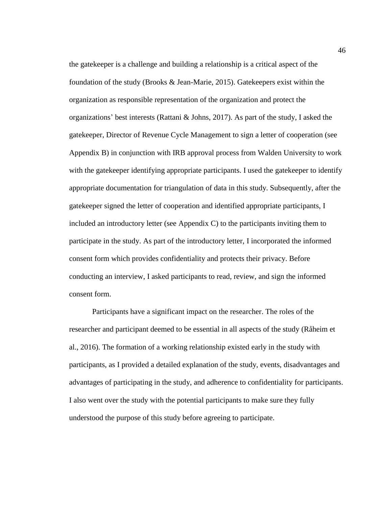the gatekeeper is a challenge and building a relationship is a critical aspect of the foundation of the study (Brooks & Jean-Marie, 2015). Gatekeepers exist within the organization as responsible representation of the organization and protect the organizations' best interests (Rattani & Johns, 2017). As part of the study, I asked the gatekeeper, Director of Revenue Cycle Management to sign a letter of cooperation (see Appendix B) in conjunction with IRB approval process from Walden University to work with the gatekeeper identifying appropriate participants. I used the gatekeeper to identify appropriate documentation for triangulation of data in this study. Subsequently, after the gatekeeper signed the letter of cooperation and identified appropriate participants, I included an introductory letter (see Appendix C) to the participants inviting them to participate in the study. As part of the introductory letter, I incorporated the informed consent form which provides confidentiality and protects their privacy. Before conducting an interview, I asked participants to read, review, and sign the informed consent form.

Participants have a significant impact on the researcher. The roles of the researcher and participant deemed to be essential in all aspects of the study (Råheim et al., 2016). The formation of a working relationship existed early in the study with participants, as I provided a detailed explanation of the study, events, disadvantages and advantages of participating in the study, and adherence to confidentiality for participants. I also went over the study with the potential participants to make sure they fully understood the purpose of this study before agreeing to participate.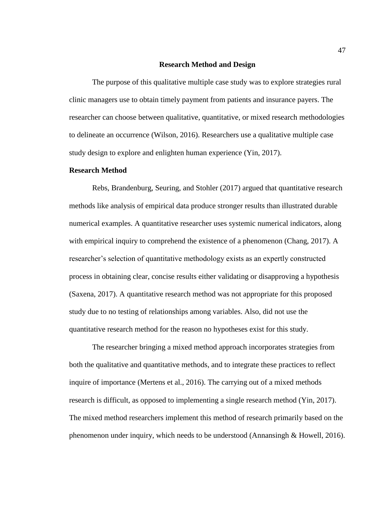### **Research Method and Design**

The purpose of this qualitative multiple case study was to explore strategies rural clinic managers use to obtain timely payment from patients and insurance payers. The researcher can choose between qualitative, quantitative, or mixed research methodologies to delineate an occurrence (Wilson, 2016). Researchers use a qualitative multiple case study design to explore and enlighten human experience (Yin, 2017).

# **Research Method**

Rebs, Brandenburg, Seuring, and Stohler (2017) argued that quantitative research methods like analysis of empirical data produce stronger results than illustrated durable numerical examples. A quantitative researcher uses systemic numerical indicators, along with empirical inquiry to comprehend the existence of a phenomenon (Chang, 2017). A researcher's selection of quantitative methodology exists as an expertly constructed process in obtaining clear, concise results either validating or disapproving a hypothesis (Saxena, 2017). A quantitative research method was not appropriate for this proposed study due to no testing of relationships among variables. Also, did not use the quantitative research method for the reason no hypotheses exist for this study.

The researcher bringing a mixed method approach incorporates strategies from both the qualitative and quantitative methods, and to integrate these practices to reflect inquire of importance (Mertens et al., 2016). The carrying out of a mixed methods research is difficult, as opposed to implementing a single research method (Yin, 2017). The mixed method researchers implement this method of research primarily based on the phenomenon under inquiry, which needs to be understood (Annansingh & Howell, 2016).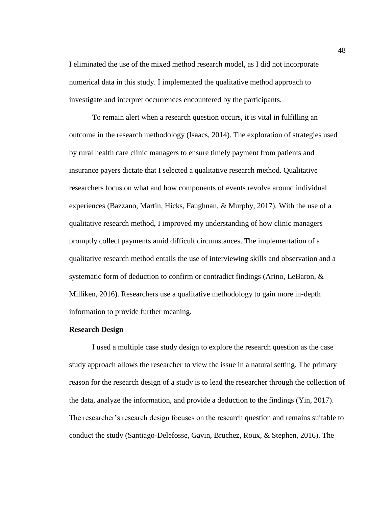I eliminated the use of the mixed method research model, as I did not incorporate numerical data in this study. I implemented the qualitative method approach to investigate and interpret occurrences encountered by the participants.

To remain alert when a research question occurs, it is vital in fulfilling an outcome in the research methodology (Isaacs, 2014). The exploration of strategies used by rural health care clinic managers to ensure timely payment from patients and insurance payers dictate that I selected a qualitative research method. Qualitative researchers focus on what and how components of events revolve around individual experiences (Bazzano, Martin, Hicks, Faughnan, & Murphy, 2017). With the use of a qualitative research method, I improved my understanding of how clinic managers promptly collect payments amid difficult circumstances. The implementation of a qualitative research method entails the use of interviewing skills and observation and a systematic form of deduction to confirm or contradict findings (Arino, LeBaron, & Milliken, 2016). Researchers use a qualitative methodology to gain more in-depth information to provide further meaning.

### **Research Design**

I used a multiple case study design to explore the research question as the case study approach allows the researcher to view the issue in a natural setting. The primary reason for the research design of a study is to lead the researcher through the collection of the data, analyze the information, and provide a deduction to the findings (Yin, 2017). The researcher's research design focuses on the research question and remains suitable to conduct the study (Santiago-Delefosse, Gavin, Bruchez, Roux, & Stephen, 2016). The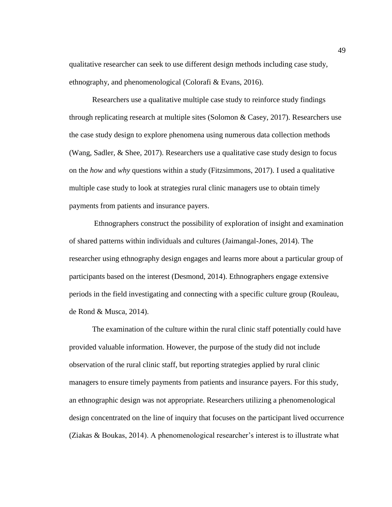qualitative researcher can seek to use different design methods including case study, ethnography, and phenomenological (Colorafi & Evans, 2016).

Researchers use a qualitative multiple case study to reinforce study findings through replicating research at multiple sites (Solomon & Casey, 2017). Researchers use the case study design to explore phenomena using numerous data collection methods (Wang, Sadler, & Shee, 2017). Researchers use a qualitative case study design to focus on the *how* and *why* questions within a study (Fitzsimmons, 2017). I used a qualitative multiple case study to look at strategies rural clinic managers use to obtain timely payments from patients and insurance payers.

Ethnographers construct the possibility of exploration of insight and examination of shared patterns within individuals and cultures (Jaimangal-Jones, 2014). The researcher using ethnography design engages and learns more about a particular group of participants based on the interest (Desmond, 2014). Ethnographers engage extensive periods in the field investigating and connecting with a specific culture group (Rouleau, de Rond & Musca, 2014).

The examination of the culture within the rural clinic staff potentially could have provided valuable information. However, the purpose of the study did not include observation of the rural clinic staff, but reporting strategies applied by rural clinic managers to ensure timely payments from patients and insurance payers. For this study, an ethnographic design was not appropriate. Researchers utilizing a phenomenological design concentrated on the line of inquiry that focuses on the participant lived occurrence (Ziakas & Boukas, 2014). A phenomenological researcher's interest is to illustrate what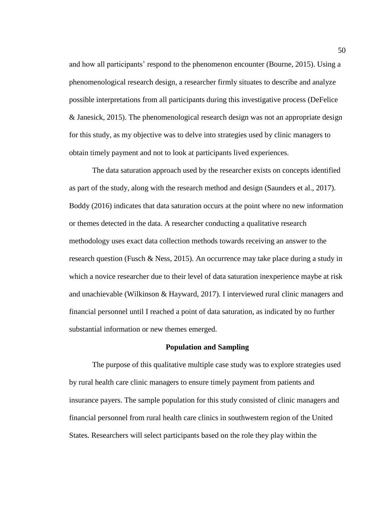and how all participants' respond to the phenomenon encounter (Bourne, 2015). Using a phenomenological research design, a researcher firmly situates to describe and analyze possible interpretations from all participants during this investigative process (DeFelice & Janesick, 2015). The phenomenological research design was not an appropriate design for this study, as my objective was to delve into strategies used by clinic managers to obtain timely payment and not to look at participants lived experiences.

The data saturation approach used by the researcher exists on concepts identified as part of the study, along with the research method and design (Saunders et al., 2017). Boddy (2016) indicates that data saturation occurs at the point where no new information or themes detected in the data. A researcher conducting a qualitative research methodology uses exact data collection methods towards receiving an answer to the research question (Fusch & Ness, 2015). An occurrence may take place during a study in which a novice researcher due to their level of data saturation inexperience maybe at risk and unachievable (Wilkinson & Hayward, 2017). I interviewed rural clinic managers and financial personnel until I reached a point of data saturation, as indicated by no further substantial information or new themes emerged.

#### **Population and Sampling**

The purpose of this qualitative multiple case study was to explore strategies used by rural health care clinic managers to ensure timely payment from patients and insurance payers. The sample population for this study consisted of clinic managers and financial personnel from rural health care clinics in southwestern region of the United States. Researchers will select participants based on the role they play within the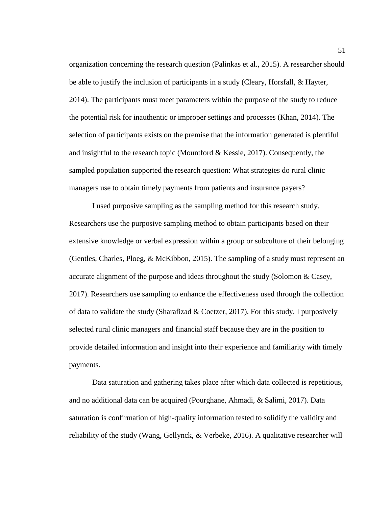organization concerning the research question (Palinkas et al., 2015). A researcher should be able to justify the inclusion of participants in a study (Cleary, Horsfall, & Hayter, 2014). The participants must meet parameters within the purpose of the study to reduce the potential risk for inauthentic or improper settings and processes (Khan, 2014). The selection of participants exists on the premise that the information generated is plentiful and insightful to the research topic (Mountford & Kessie, 2017). Consequently, the sampled population supported the research question: What strategies do rural clinic managers use to obtain timely payments from patients and insurance payers?

I used purposive sampling as the sampling method for this research study. Researchers use the purposive sampling method to obtain participants based on their extensive knowledge or verbal expression within a group or subculture of their belonging (Gentles, Charles, Ploeg, & McKibbon, 2015). The sampling of a study must represent an accurate alignment of the purpose and ideas throughout the study (Solomon & Casey, 2017). Researchers use sampling to enhance the effectiveness used through the collection of data to validate the study (Sharafizad & Coetzer, 2017). For this study, I purposively selected rural clinic managers and financial staff because they are in the position to provide detailed information and insight into their experience and familiarity with timely payments.

Data saturation and gathering takes place after which data collected is repetitious, and no additional data can be acquired (Pourghane, Ahmadi, & Salimi, 2017). Data saturation is confirmation of high-quality information tested to solidify the validity and reliability of the study (Wang, Gellynck, & Verbeke, 2016). A qualitative researcher will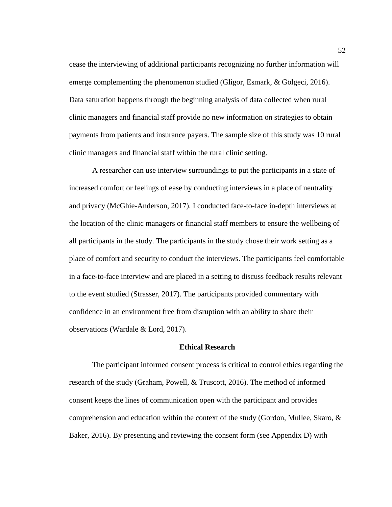cease the interviewing of additional participants recognizing no further information will emerge complementing the phenomenon studied (Gligor, Esmark, & Gölgeci, 2016). Data saturation happens through the beginning analysis of data collected when rural clinic managers and financial staff provide no new information on strategies to obtain payments from patients and insurance payers. The sample size of this study was 10 rural clinic managers and financial staff within the rural clinic setting.

A researcher can use interview surroundings to put the participants in a state of increased comfort or feelings of ease by conducting interviews in a place of neutrality and privacy (McGhie-Anderson, 2017). I conducted face-to-face in-depth interviews at the location of the clinic managers or financial staff members to ensure the wellbeing of all participants in the study. The participants in the study chose their work setting as a place of comfort and security to conduct the interviews. The participants feel comfortable in a face-to-face interview and are placed in a setting to discuss feedback results relevant to the event studied (Strasser, 2017). The participants provided commentary with confidence in an environment free from disruption with an ability to share their observations (Wardale & Lord, 2017).

## **Ethical Research**

The participant informed consent process is critical to control ethics regarding the research of the study (Graham, Powell, & Truscott, 2016). The method of informed consent keeps the lines of communication open with the participant and provides comprehension and education within the context of the study (Gordon, Mullee, Skaro,  $\&$ Baker, 2016). By presenting and reviewing the consent form (see Appendix D) with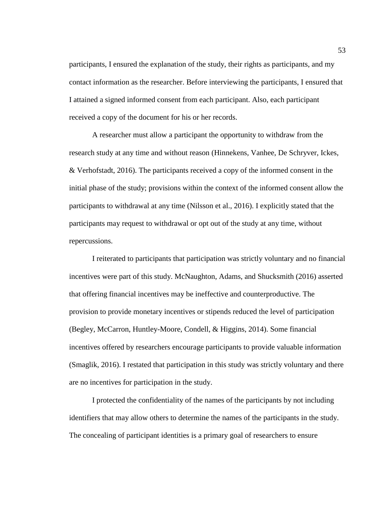participants, I ensured the explanation of the study, their rights as participants, and my contact information as the researcher. Before interviewing the participants, I ensured that I attained a signed informed consent from each participant. Also, each participant received a copy of the document for his or her records.

A researcher must allow a participant the opportunity to withdraw from the research study at any time and without reason (Hinnekens, Vanhee, De Schryver, Ickes, & Verhofstadt, 2016). The participants received a copy of the informed consent in the initial phase of the study; provisions within the context of the informed consent allow the participants to withdrawal at any time (Nilsson et al., 2016). I explicitly stated that the participants may request to withdrawal or opt out of the study at any time, without repercussions.

I reiterated to participants that participation was strictly voluntary and no financial incentives were part of this study. McNaughton, Adams, and Shucksmith (2016) asserted that offering financial incentives may be ineffective and counterproductive. The provision to provide monetary incentives or stipends reduced the level of participation (Begley, McCarron, Huntley-Moore, Condell, & Higgins, 2014). Some financial incentives offered by researchers encourage participants to provide valuable information (Smaglik, 2016). I restated that participation in this study was strictly voluntary and there are no incentives for participation in the study.

I protected the confidentiality of the names of the participants by not including identifiers that may allow others to determine the names of the participants in the study. The concealing of participant identities is a primary goal of researchers to ensure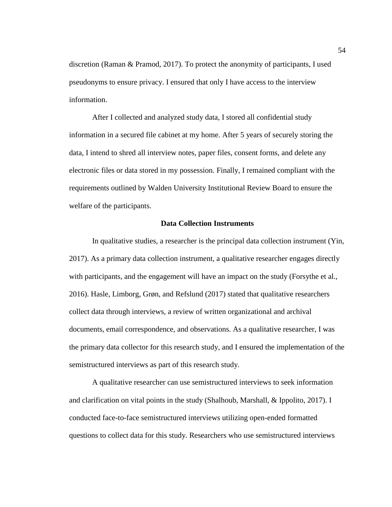discretion (Raman & Pramod, 2017). To protect the anonymity of participants, I used pseudonyms to ensure privacy. I ensured that only I have access to the interview information.

After I collected and analyzed study data, I stored all confidential study information in a secured file cabinet at my home. After 5 years of securely storing the data, I intend to shred all interview notes, paper files, consent forms, and delete any electronic files or data stored in my possession. Finally, I remained compliant with the requirements outlined by Walden University Institutional Review Board to ensure the welfare of the participants.

## **Data Collection Instruments**

In qualitative studies, a researcher is the principal data collection instrument (Yin, 2017). As a primary data collection instrument, a qualitative researcher engages directly with participants, and the engagement will have an impact on the study (Forsythe et al., 2016). Hasle, Limborg, Grøn, and Refslund (2017) stated that qualitative researchers collect data through interviews, a review of written organizational and archival documents, email correspondence, and observations. As a qualitative researcher, I was the primary data collector for this research study, and I ensured the implementation of the semistructured interviews as part of this research study.

A qualitative researcher can use semistructured interviews to seek information and clarification on vital points in the study (Shalhoub, Marshall, & Ippolito, 2017). I conducted face-to-face semistructured interviews utilizing open-ended formatted questions to collect data for this study. Researchers who use semistructured interviews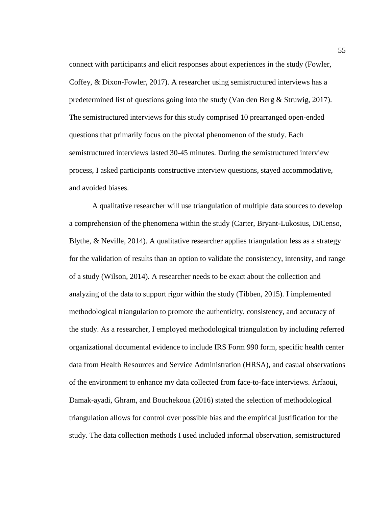connect with participants and elicit responses about experiences in the study (Fowler, Coffey, & Dixon-Fowler, 2017). A researcher using semistructured interviews has a predetermined list of questions going into the study (Van den Berg & Struwig, 2017). The semistructured interviews for this study comprised 10 prearranged open-ended questions that primarily focus on the pivotal phenomenon of the study. Each semistructured interviews lasted 30-45 minutes. During the semistructured interview process, I asked participants constructive interview questions, stayed accommodative, and avoided biases.

A qualitative researcher will use triangulation of multiple data sources to develop a comprehension of the phenomena within the study (Carter, Bryant-Lukosius, DiCenso, Blythe, & Neville, 2014). A qualitative researcher applies triangulation less as a strategy for the validation of results than an option to validate the consistency, intensity, and range of a study (Wilson, 2014). A researcher needs to be exact about the collection and analyzing of the data to support rigor within the study (Tibben, 2015). I implemented methodological triangulation to promote the authenticity, consistency, and accuracy of the study. As a researcher, I employed methodological triangulation by including referred organizational documental evidence to include IRS Form 990 form, specific health center data from Health Resources and Service Administration (HRSA), and casual observations of the environment to enhance my data collected from face-to-face interviews. Arfaoui, Damak-ayadi, Ghram, and Bouchekoua (2016) stated the selection of methodological triangulation allows for control over possible bias and the empirical justification for the study. The data collection methods I used included informal observation, semistructured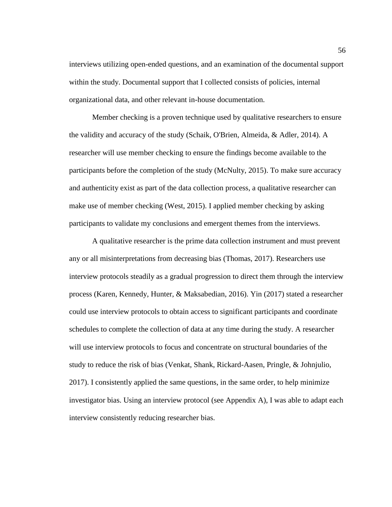interviews utilizing open-ended questions, and an examination of the documental support within the study. Documental support that I collected consists of policies, internal organizational data, and other relevant in-house documentation.

Member checking is a proven technique used by qualitative researchers to ensure the validity and accuracy of the study (Schaik, O'Brien, Almeida, & Adler, 2014). A researcher will use member checking to ensure the findings become available to the participants before the completion of the study (McNulty, 2015). To make sure accuracy and authenticity exist as part of the data collection process, a qualitative researcher can make use of member checking (West, 2015). I applied member checking by asking participants to validate my conclusions and emergent themes from the interviews.

A qualitative researcher is the prime data collection instrument and must prevent any or all misinterpretations from decreasing bias (Thomas, 2017). Researchers use interview protocols steadily as a gradual progression to direct them through the interview process (Karen, Kennedy, Hunter, & Maksabedian, 2016). Yin (2017) stated a researcher could use interview protocols to obtain access to significant participants and coordinate schedules to complete the collection of data at any time during the study. A researcher will use interview protocols to focus and concentrate on structural boundaries of the study to reduce the risk of bias (Venkat, Shank, Rickard-Aasen, Pringle, & Johnjulio, 2017). I consistently applied the same questions, in the same order, to help minimize investigator bias. Using an interview protocol (see Appendix A), I was able to adapt each interview consistently reducing researcher bias.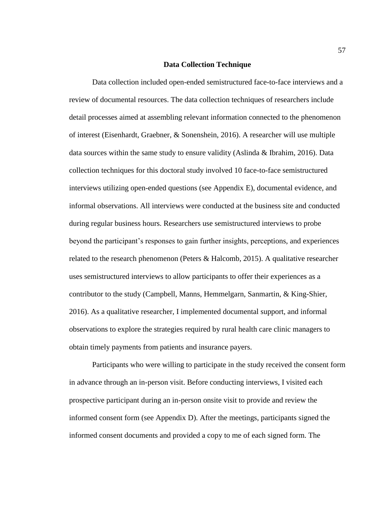### **Data Collection Technique**

Data collection included open-ended semistructured face-to-face interviews and a review of documental resources. The data collection techniques of researchers include detail processes aimed at assembling relevant information connected to the phenomenon of interest (Eisenhardt, Graebner, & Sonenshein, 2016). A researcher will use multiple data sources within the same study to ensure validity (Aslinda & Ibrahim, 2016). Data collection techniques for this doctoral study involved 10 face-to-face semistructured interviews utilizing open-ended questions (see Appendix E), documental evidence, and informal observations. All interviews were conducted at the business site and conducted during regular business hours. Researchers use semistructured interviews to probe beyond the participant's responses to gain further insights, perceptions, and experiences related to the research phenomenon (Peters & Halcomb, 2015). A qualitative researcher uses semistructured interviews to allow participants to offer their experiences as a contributor to the study (Campbell, Manns, Hemmelgarn, Sanmartin, & King-Shier, 2016). As a qualitative researcher, I implemented documental support, and informal observations to explore the strategies required by rural health care clinic managers to obtain timely payments from patients and insurance payers.

Participants who were willing to participate in the study received the consent form in advance through an in-person visit. Before conducting interviews, I visited each prospective participant during an in-person onsite visit to provide and review the informed consent form (see Appendix D). After the meetings, participants signed the informed consent documents and provided a copy to me of each signed form. The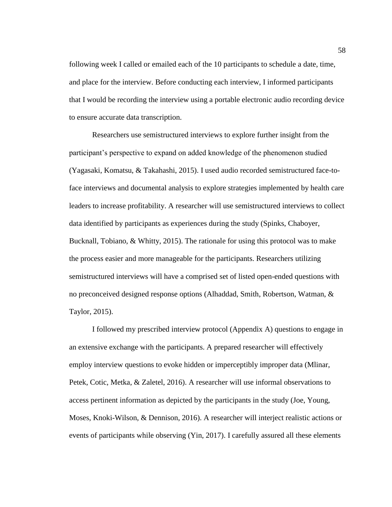following week I called or emailed each of the 10 participants to schedule a date, time, and place for the interview. Before conducting each interview, I informed participants that I would be recording the interview using a portable electronic audio recording device to ensure accurate data transcription.

Researchers use semistructured interviews to explore further insight from the participant's perspective to expand on added knowledge of the phenomenon studied (Yagasaki, Komatsu, & Takahashi, 2015). I used audio recorded semistructured face-toface interviews and documental analysis to explore strategies implemented by health care leaders to increase profitability. A researcher will use semistructured interviews to collect data identified by participants as experiences during the study (Spinks, Chaboyer, Bucknall, Tobiano, & Whitty, 2015). The rationale for using this protocol was to make the process easier and more manageable for the participants. Researchers utilizing semistructured interviews will have a comprised set of listed open-ended questions with no preconceived designed response options (Alhaddad, Smith, Robertson, Watman, & Taylor, 2015).

I followed my prescribed interview protocol (Appendix A) questions to engage in an extensive exchange with the participants. A prepared researcher will effectively employ interview questions to evoke hidden or imperceptibly improper data (Mlinar, Petek, Cotic, Metka, & Zaletel, 2016). A researcher will use informal observations to access pertinent information as depicted by the participants in the study (Joe, Young, Moses, Knoki-Wilson, & Dennison, 2016). A researcher will interject realistic actions or events of participants while observing (Yin, 2017). I carefully assured all these elements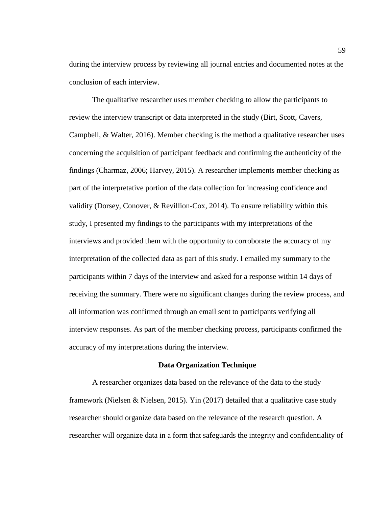during the interview process by reviewing all journal entries and documented notes at the conclusion of each interview.

The qualitative researcher uses member checking to allow the participants to review the interview transcript or data interpreted in the study (Birt, Scott, Cavers, Campbell, & Walter, 2016). Member checking is the method a qualitative researcher uses concerning the acquisition of participant feedback and confirming the authenticity of the findings (Charmaz, 2006; Harvey, 2015). A researcher implements member checking as part of the interpretative portion of the data collection for increasing confidence and validity (Dorsey, Conover, & Revillion-Cox, 2014). To ensure reliability within this study, I presented my findings to the participants with my interpretations of the interviews and provided them with the opportunity to corroborate the accuracy of my interpretation of the collected data as part of this study. I emailed my summary to the participants within 7 days of the interview and asked for a response within 14 days of receiving the summary. There were no significant changes during the review process, and all information was confirmed through an email sent to participants verifying all interview responses. As part of the member checking process, participants confirmed the accuracy of my interpretations during the interview.

#### **Data Organization Technique**

A researcher organizes data based on the relevance of the data to the study framework (Nielsen & Nielsen, 2015). Yin (2017) detailed that a qualitative case study researcher should organize data based on the relevance of the research question. A researcher will organize data in a form that safeguards the integrity and confidentiality of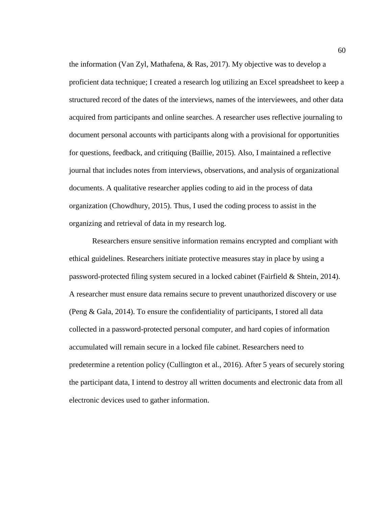the information (Van Zyl, Mathafena, & Ras, 2017). My objective was to develop a proficient data technique; I created a research log utilizing an Excel spreadsheet to keep a structured record of the dates of the interviews, names of the interviewees, and other data acquired from participants and online searches. A researcher uses reflective journaling to document personal accounts with participants along with a provisional for opportunities for questions, feedback, and critiquing (Baillie, 2015). Also, I maintained a reflective journal that includes notes from interviews, observations, and analysis of organizational documents. A qualitative researcher applies coding to aid in the process of data organization (Chowdhury, 2015). Thus, I used the coding process to assist in the organizing and retrieval of data in my research log.

Researchers ensure sensitive information remains encrypted and compliant with ethical guidelines. Researchers initiate protective measures stay in place by using a password-protected filing system secured in a locked cabinet (Fairfield & Shtein, 2014). A researcher must ensure data remains secure to prevent unauthorized discovery or use (Peng & Gala, 2014). To ensure the confidentiality of participants, I stored all data collected in a password-protected personal computer, and hard copies of information accumulated will remain secure in a locked file cabinet. Researchers need to predetermine a retention policy (Cullington et al., 2016). After 5 years of securely storing the participant data, I intend to destroy all written documents and electronic data from all electronic devices used to gather information.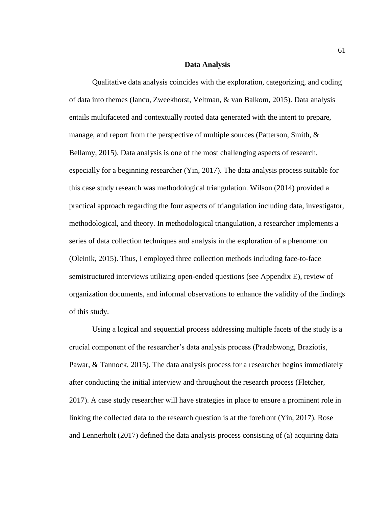### **Data Analysis**

Qualitative data analysis coincides with the exploration, categorizing, and coding of data into themes (Iancu, Zweekhorst, Veltman, & van Balkom, 2015). Data analysis entails multifaceted and contextually rooted data generated with the intent to prepare, manage, and report from the perspective of multiple sources (Patterson, Smith, & Bellamy, 2015). Data analysis is one of the most challenging aspects of research, especially for a beginning researcher (Yin, 2017). The data analysis process suitable for this case study research was methodological triangulation. Wilson (2014) provided a practical approach regarding the four aspects of triangulation including data, investigator, methodological, and theory. In methodological triangulation, a researcher implements a series of data collection techniques and analysis in the exploration of a phenomenon (Oleinik, 2015). Thus, I employed three collection methods including face-to-face semistructured interviews utilizing open-ended questions (see Appendix E), review of organization documents, and informal observations to enhance the validity of the findings of this study.

Using a logical and sequential process addressing multiple facets of the study is a crucial component of the researcher's data analysis process (Pradabwong, Braziotis, Pawar, & Tannock, 2015). The data analysis process for a researcher begins immediately after conducting the initial interview and throughout the research process (Fletcher, 2017). A case study researcher will have strategies in place to ensure a prominent role in linking the collected data to the research question is at the forefront (Yin, 2017). Rose and Lennerholt (2017) defined the data analysis process consisting of (a) acquiring data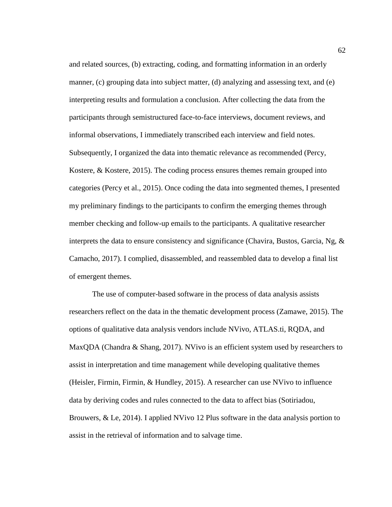and related sources, (b) extracting, coding, and formatting information in an orderly manner, (c) grouping data into subject matter, (d) analyzing and assessing text, and (e) interpreting results and formulation a conclusion. After collecting the data from the participants through semistructured face-to-face interviews, document reviews, and informal observations, I immediately transcribed each interview and field notes. Subsequently, I organized the data into thematic relevance as recommended (Percy, Kostere, & Kostere, 2015). The coding process ensures themes remain grouped into categories (Percy et al., 2015). Once coding the data into segmented themes, I presented my preliminary findings to the participants to confirm the emerging themes through member checking and follow-up emails to the participants. A qualitative researcher interprets the data to ensure consistency and significance (Chavira, Bustos, Garcia, Ng,  $\&$ Camacho, 2017). I complied, disassembled, and reassembled data to develop a final list of emergent themes.

The use of computer-based software in the process of data analysis assists researchers reflect on the data in the thematic development process (Zamawe, 2015). The options of qualitative data analysis vendors include NVivo, ATLAS.ti, RQDA, and MaxQDA (Chandra & Shang, 2017). NVivo is an efficient system used by researchers to assist in interpretation and time management while developing qualitative themes (Heisler, Firmin, Firmin, & Hundley, 2015). A researcher can use NVivo to influence data by deriving codes and rules connected to the data to affect bias (Sotiriadou, Brouwers, & Le, 2014). I applied NVivo 12 Plus software in the data analysis portion to assist in the retrieval of information and to salvage time.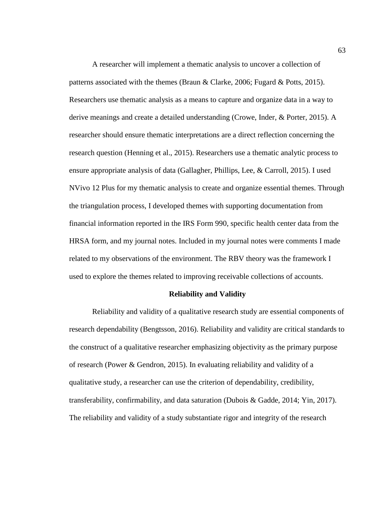A researcher will implement a thematic analysis to uncover a collection of patterns associated with the themes (Braun & Clarke, 2006; Fugard & Potts, 2015). Researchers use thematic analysis as a means to capture and organize data in a way to derive meanings and create a detailed understanding (Crowe, Inder, & Porter, 2015). A researcher should ensure thematic interpretations are a direct reflection concerning the research question (Henning et al., 2015). Researchers use a thematic analytic process to ensure appropriate analysis of data (Gallagher, Phillips, Lee, & Carroll, 2015). I used NVivo 12 Plus for my thematic analysis to create and organize essential themes. Through the triangulation process, I developed themes with supporting documentation from financial information reported in the IRS Form 990, specific health center data from the HRSA form, and my journal notes. Included in my journal notes were comments I made related to my observations of the environment. The RBV theory was the framework I used to explore the themes related to improving receivable collections of accounts.

#### **Reliability and Validity**

Reliability and validity of a qualitative research study are essential components of research dependability (Bengtsson, 2016). Reliability and validity are critical standards to the construct of a qualitative researcher emphasizing objectivity as the primary purpose of research (Power & Gendron, 2015). In evaluating reliability and validity of a qualitative study, a researcher can use the criterion of dependability, credibility, transferability, confirmability, and data saturation (Dubois & Gadde, 2014; Yin, 2017). The reliability and validity of a study substantiate rigor and integrity of the research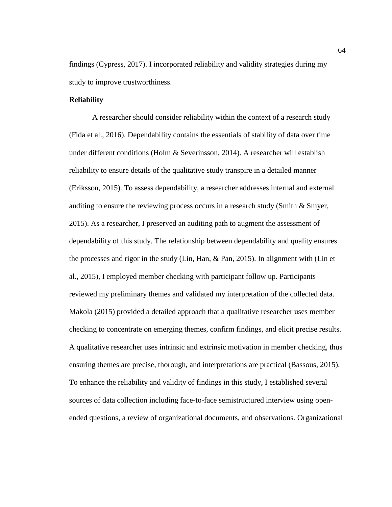findings (Cypress, 2017). I incorporated reliability and validity strategies during my study to improve trustworthiness.

#### **Reliability**

A researcher should consider reliability within the context of a research study (Fida et al., 2016). Dependability contains the essentials of stability of data over time under different conditions (Holm & Severinsson, 2014). A researcher will establish reliability to ensure details of the qualitative study transpire in a detailed manner (Eriksson, 2015). To assess dependability, a researcher addresses internal and external auditing to ensure the reviewing process occurs in a research study (Smith  $\&$  Smyer, 2015). As a researcher, I preserved an auditing path to augment the assessment of dependability of this study. The relationship between dependability and quality ensures the processes and rigor in the study (Lin, Han, & Pan, 2015). In alignment with (Lin et al., 2015), I employed member checking with participant follow up. Participants reviewed my preliminary themes and validated my interpretation of the collected data. Makola (2015) provided a detailed approach that a qualitative researcher uses member checking to concentrate on emerging themes, confirm findings, and elicit precise results. A qualitative researcher uses intrinsic and extrinsic motivation in member checking, thus ensuring themes are precise, thorough, and interpretations are practical (Bassous, 2015). To enhance the reliability and validity of findings in this study, I established several sources of data collection including face-to-face semistructured interview using openended questions, a review of organizational documents, and observations. Organizational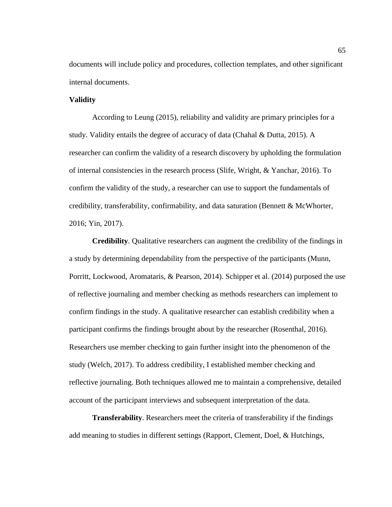documents will include policy and procedures, collection templates, and other significant internal documents.

## **Validity**

According to Leung (2015), reliability and validity are primary principles for a study. Validity entails the degree of accuracy of data (Chahal & Dutta, 2015). A researcher can confirm the validity of a research discovery by upholding the formulation of internal consistencies in the research process (Slife, Wright, & Yanchar, 2016). To confirm the validity of the study, a researcher can use to support the fundamentals of credibility, transferability, confirmability, and data saturation (Bennett & McWhorter, 2016; Yin, 2017).

**Credibility**. Qualitative researchers can augment the credibility of the findings in a study by determining dependability from the perspective of the participants (Munn, Porritt, Lockwood, Aromataris, & Pearson, 2014). Schipper et al. (2014) purposed the use of reflective journaling and member checking as methods researchers can implement to confirm findings in the study. A qualitative researcher can establish credibility when a participant confirms the findings brought about by the researcher (Rosenthal, 2016). Researchers use member checking to gain further insight into the phenomenon of the study (Welch, 2017). To address credibility, I established member checking and reflective journaling. Both techniques allowed me to maintain a comprehensive, detailed account of the participant interviews and subsequent interpretation of the data.

**Transferability**. Researchers meet the criteria of transferability if the findings add meaning to studies in different settings (Rapport, Clement, Doel, & Hutchings,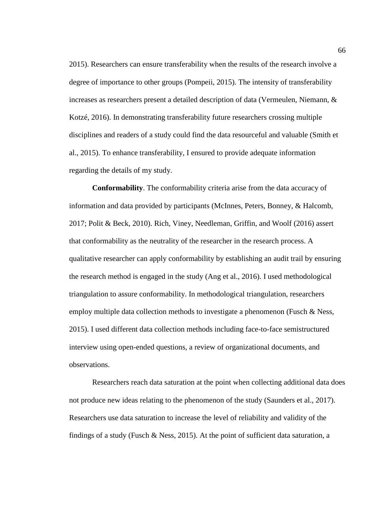2015). Researchers can ensure transferability when the results of the research involve a degree of importance to other groups (Pompeii, 2015). The intensity of transferability increases as researchers present a detailed description of data (Vermeulen, Niemann, & Kotzé, 2016). In demonstrating transferability future researchers crossing multiple disciplines and readers of a study could find the data resourceful and valuable (Smith et al., 2015). To enhance transferability, I ensured to provide adequate information regarding the details of my study.

**Conformability**. The conformability criteria arise from the data accuracy of information and data provided by participants (McInnes, Peters, Bonney, & Halcomb, 2017; Polit & Beck, 2010). Rich, Viney, Needleman, Griffin, and Woolf (2016) assert that conformability as the neutrality of the researcher in the research process. A qualitative researcher can apply conformability by establishing an audit trail by ensuring the research method is engaged in the study (Ang et al., 2016). I used methodological triangulation to assure conformability. In methodological triangulation, researchers employ multiple data collection methods to investigate a phenomenon (Fusch  $\&$  Ness, 2015). I used different data collection methods including face-to-face semistructured interview using open-ended questions, a review of organizational documents, and observations.

Researchers reach data saturation at the point when collecting additional data does not produce new ideas relating to the phenomenon of the study (Saunders et al., 2017). Researchers use data saturation to increase the level of reliability and validity of the findings of a study (Fusch & Ness, 2015). At the point of sufficient data saturation, a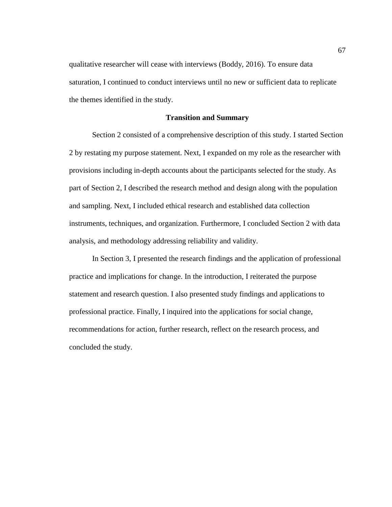qualitative researcher will cease with interviews (Boddy, 2016). To ensure data saturation, I continued to conduct interviews until no new or sufficient data to replicate the themes identified in the study.

## **Transition and Summary**

Section 2 consisted of a comprehensive description of this study. I started Section 2 by restating my purpose statement. Next, I expanded on my role as the researcher with provisions including in-depth accounts about the participants selected for the study. As part of Section 2, I described the research method and design along with the population and sampling. Next, I included ethical research and established data collection instruments, techniques, and organization. Furthermore, I concluded Section 2 with data analysis, and methodology addressing reliability and validity.

In Section 3, I presented the research findings and the application of professional practice and implications for change. In the introduction, I reiterated the purpose statement and research question. I also presented study findings and applications to professional practice. Finally, I inquired into the applications for social change, recommendations for action, further research, reflect on the research process, and concluded the study.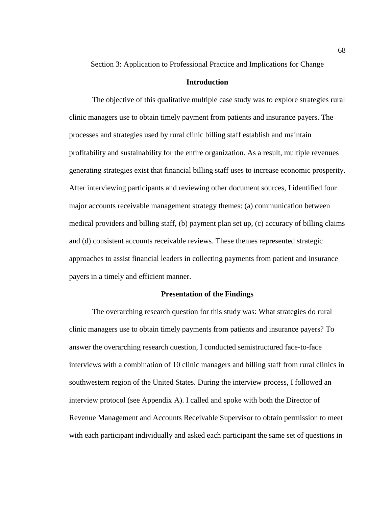Section 3: Application to Professional Practice and Implications for Change

## **Introduction**

The objective of this qualitative multiple case study was to explore strategies rural clinic managers use to obtain timely payment from patients and insurance payers. The processes and strategies used by rural clinic billing staff establish and maintain profitability and sustainability for the entire organization. As a result, multiple revenues generating strategies exist that financial billing staff uses to increase economic prosperity. After interviewing participants and reviewing other document sources, I identified four major accounts receivable management strategy themes: (a) communication between medical providers and billing staff, (b) payment plan set up, (c) accuracy of billing claims and (d) consistent accounts receivable reviews. These themes represented strategic approaches to assist financial leaders in collecting payments from patient and insurance payers in a timely and efficient manner.

## **Presentation of the Findings**

The overarching research question for this study was: What strategies do rural clinic managers use to obtain timely payments from patients and insurance payers? To answer the overarching research question, I conducted semistructured face-to-face interviews with a combination of 10 clinic managers and billing staff from rural clinics in southwestern region of the United States. During the interview process, I followed an interview protocol (see Appendix A). I called and spoke with both the Director of Revenue Management and Accounts Receivable Supervisor to obtain permission to meet with each participant individually and asked each participant the same set of questions in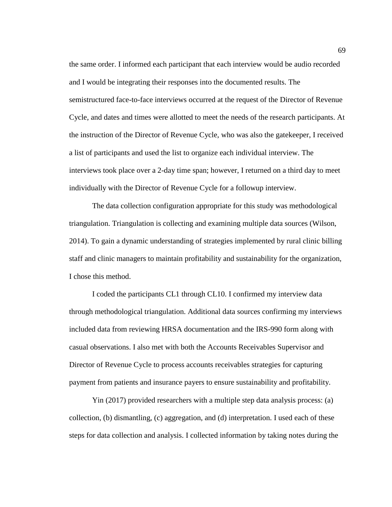the same order. I informed each participant that each interview would be audio recorded and I would be integrating their responses into the documented results. The semistructured face-to-face interviews occurred at the request of the Director of Revenue Cycle, and dates and times were allotted to meet the needs of the research participants. At the instruction of the Director of Revenue Cycle, who was also the gatekeeper, I received a list of participants and used the list to organize each individual interview. The interviews took place over a 2-day time span; however, I returned on a third day to meet individually with the Director of Revenue Cycle for a followup interview.

The data collection configuration appropriate for this study was methodological triangulation. Triangulation is collecting and examining multiple data sources (Wilson, 2014). To gain a dynamic understanding of strategies implemented by rural clinic billing staff and clinic managers to maintain profitability and sustainability for the organization, I chose this method.

I coded the participants CL1 through CL10. I confirmed my interview data through methodological triangulation. Additional data sources confirming my interviews included data from reviewing HRSA documentation and the IRS-990 form along with casual observations. I also met with both the Accounts Receivables Supervisor and Director of Revenue Cycle to process accounts receivables strategies for capturing payment from patients and insurance payers to ensure sustainability and profitability.

Yin (2017) provided researchers with a multiple step data analysis process: (a) collection, (b) dismantling, (c) aggregation, and (d) interpretation. I used each of these steps for data collection and analysis. I collected information by taking notes during the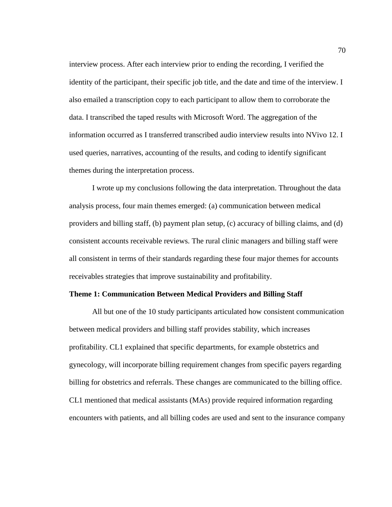interview process. After each interview prior to ending the recording, I verified the identity of the participant, their specific job title, and the date and time of the interview. I also emailed a transcription copy to each participant to allow them to corroborate the data. I transcribed the taped results with Microsoft Word. The aggregation of the information occurred as I transferred transcribed audio interview results into NVivo 12. I used queries, narratives, accounting of the results, and coding to identify significant themes during the interpretation process.

I wrote up my conclusions following the data interpretation. Throughout the data analysis process, four main themes emerged: (a) communication between medical providers and billing staff, (b) payment plan setup, (c) accuracy of billing claims, and (d) consistent accounts receivable reviews. The rural clinic managers and billing staff were all consistent in terms of their standards regarding these four major themes for accounts receivables strategies that improve sustainability and profitability.

## **Theme 1: Communication Between Medical Providers and Billing Staff**

All but one of the 10 study participants articulated how consistent communication between medical providers and billing staff provides stability, which increases profitability. CL1 explained that specific departments, for example obstetrics and gynecology, will incorporate billing requirement changes from specific payers regarding billing for obstetrics and referrals. These changes are communicated to the billing office. CL1 mentioned that medical assistants (MAs) provide required information regarding encounters with patients, and all billing codes are used and sent to the insurance company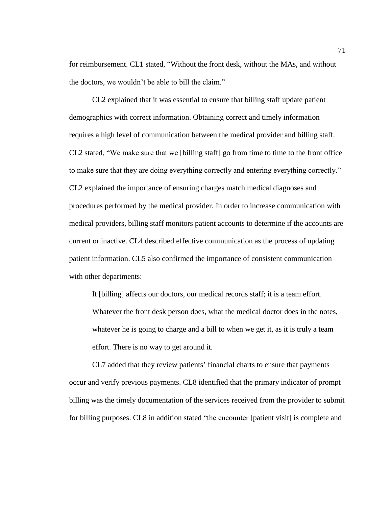for reimbursement. CL1 stated, "Without the front desk, without the MAs, and without the doctors, we wouldn't be able to bill the claim."

CL2 explained that it was essential to ensure that billing staff update patient demographics with correct information. Obtaining correct and timely information requires a high level of communication between the medical provider and billing staff. CL2 stated, "We make sure that we [billing staff] go from time to time to the front office to make sure that they are doing everything correctly and entering everything correctly." CL2 explained the importance of ensuring charges match medical diagnoses and procedures performed by the medical provider. In order to increase communication with medical providers, billing staff monitors patient accounts to determine if the accounts are current or inactive. CL4 described effective communication as the process of updating patient information. CL5 also confirmed the importance of consistent communication with other departments:

It [billing] affects our doctors, our medical records staff; it is a team effort. Whatever the front desk person does, what the medical doctor does in the notes, whatever he is going to charge and a bill to when we get it, as it is truly a team effort. There is no way to get around it.

CL7 added that they review patients' financial charts to ensure that payments occur and verify previous payments. CL8 identified that the primary indicator of prompt billing was the timely documentation of the services received from the provider to submit for billing purposes. CL8 in addition stated "the encounter [patient visit] is complete and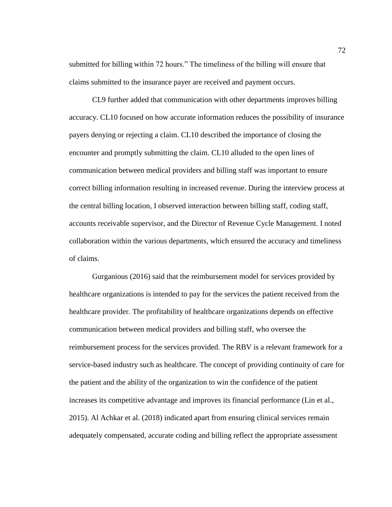submitted for billing within 72 hours." The timeliness of the billing will ensure that claims submitted to the insurance payer are received and payment occurs.

CL9 further added that communication with other departments improves billing accuracy. CL10 focused on how accurate information reduces the possibility of insurance payers denying or rejecting a claim. CL10 described the importance of closing the encounter and promptly submitting the claim. CL10 alluded to the open lines of communication between medical providers and billing staff was important to ensure correct billing information resulting in increased revenue. During the interview process at the central billing location, I observed interaction between billing staff, coding staff, accounts receivable supervisor, and the Director of Revenue Cycle Management. I noted collaboration within the various departments, which ensured the accuracy and timeliness of claims.

Gurganious (2016) said that the reimbursement model for services provided by healthcare organizations is intended to pay for the services the patient received from the healthcare provider. The profitability of healthcare organizations depends on effective communication between medical providers and billing staff, who oversee the reimbursement process for the services provided. The RBV is a relevant framework for a service-based industry such as healthcare. The concept of providing continuity of care for the patient and the ability of the organization to win the confidence of the patient increases its competitive advantage and improves its financial performance (Lin et al., 2015). Al Achkar et al. (2018) indicated apart from ensuring clinical services remain adequately compensated, accurate coding and billing reflect the appropriate assessment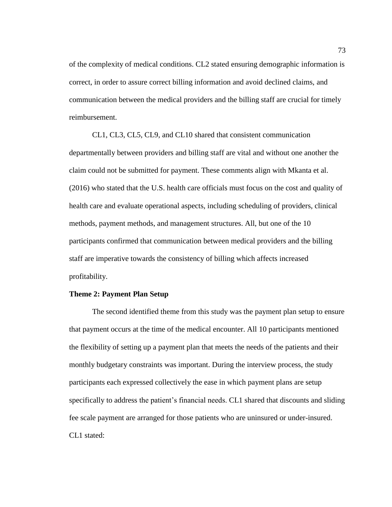of the complexity of medical conditions. CL2 stated ensuring demographic information is correct, in order to assure correct billing information and avoid declined claims, and communication between the medical providers and the billing staff are crucial for timely reimbursement.

CL1, CL3, CL5, CL9, and CL10 shared that consistent communication departmentally between providers and billing staff are vital and without one another the claim could not be submitted for payment. These comments align with Mkanta et al. (2016) who stated that the U.S. health care officials must focus on the cost and quality of health care and evaluate operational aspects, including scheduling of providers, clinical methods, payment methods, and management structures. All, but one of the 10 participants confirmed that communication between medical providers and the billing staff are imperative towards the consistency of billing which affects increased profitability.

# **Theme 2: Payment Plan Setup**

The second identified theme from this study was the payment plan setup to ensure that payment occurs at the time of the medical encounter. All 10 participants mentioned the flexibility of setting up a payment plan that meets the needs of the patients and their monthly budgetary constraints was important. During the interview process, the study participants each expressed collectively the ease in which payment plans are setup specifically to address the patient's financial needs. CL1 shared that discounts and sliding fee scale payment are arranged for those patients who are uninsured or under-insured. CL1 stated: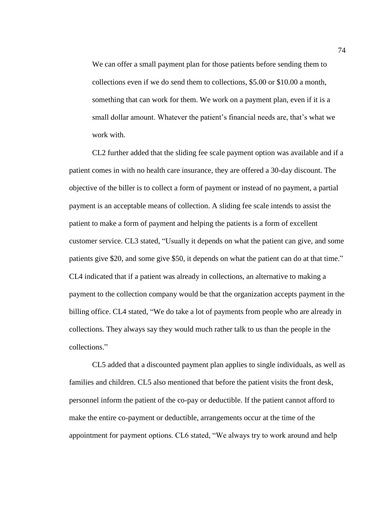We can offer a small payment plan for those patients before sending them to collections even if we do send them to collections, \$5.00 or \$10.00 a month, something that can work for them. We work on a payment plan, even if it is a small dollar amount. Whatever the patient's financial needs are, that's what we work with.

CL2 further added that the sliding fee scale payment option was available and if a patient comes in with no health care insurance, they are offered a 30-day discount. The objective of the biller is to collect a form of payment or instead of no payment, a partial payment is an acceptable means of collection. A sliding fee scale intends to assist the patient to make a form of payment and helping the patients is a form of excellent customer service. CL3 stated, "Usually it depends on what the patient can give, and some patients give \$20, and some give \$50, it depends on what the patient can do at that time." CL4 indicated that if a patient was already in collections, an alternative to making a payment to the collection company would be that the organization accepts payment in the billing office. CL4 stated, "We do take a lot of payments from people who are already in collections. They always say they would much rather talk to us than the people in the collections."

CL5 added that a discounted payment plan applies to single individuals, as well as families and children. CL5 also mentioned that before the patient visits the front desk, personnel inform the patient of the co-pay or deductible. If the patient cannot afford to make the entire co-payment or deductible, arrangements occur at the time of the appointment for payment options. CL6 stated, "We always try to work around and help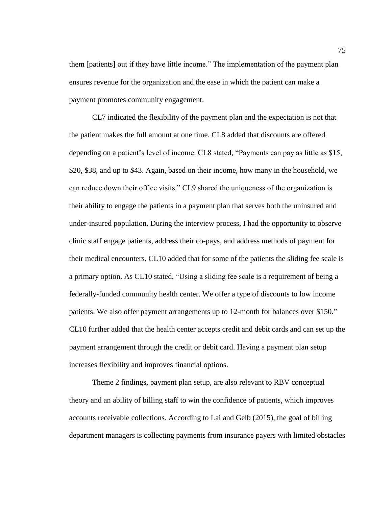them [patients] out if they have little income." The implementation of the payment plan ensures revenue for the organization and the ease in which the patient can make a payment promotes community engagement.

CL7 indicated the flexibility of the payment plan and the expectation is not that the patient makes the full amount at one time. CL8 added that discounts are offered depending on a patient's level of income. CL8 stated, "Payments can pay as little as \$15, \$20, \$38, and up to \$43. Again, based on their income, how many in the household, we can reduce down their office visits." CL9 shared the uniqueness of the organization is their ability to engage the patients in a payment plan that serves both the uninsured and under-insured population. During the interview process, I had the opportunity to observe clinic staff engage patients, address their co-pays, and address methods of payment for their medical encounters. CL10 added that for some of the patients the sliding fee scale is a primary option. As CL10 stated, "Using a sliding fee scale is a requirement of being a federally-funded community health center. We offer a type of discounts to low income patients. We also offer payment arrangements up to 12-month for balances over \$150." CL10 further added that the health center accepts credit and debit cards and can set up the payment arrangement through the credit or debit card. Having a payment plan setup increases flexibility and improves financial options.

Theme 2 findings, payment plan setup, are also relevant to RBV conceptual theory and an ability of billing staff to win the confidence of patients, which improves accounts receivable collections. According to Lai and Gelb (2015), the goal of billing department managers is collecting payments from insurance payers with limited obstacles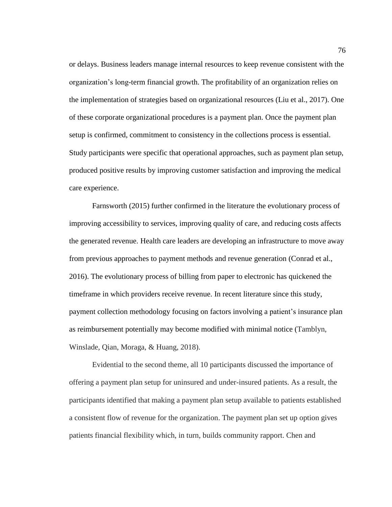or delays. Business leaders manage internal resources to keep revenue consistent with the organization's long-term financial growth. The profitability of an organization relies on the implementation of strategies based on organizational resources (Liu et al., 2017). One of these corporate organizational procedures is a payment plan. Once the payment plan setup is confirmed, commitment to consistency in the collections process is essential. Study participants were specific that operational approaches, such as payment plan setup, produced positive results by improving customer satisfaction and improving the medical care experience.

Farnsworth (2015) further confirmed in the literature the evolutionary process of improving accessibility to services, improving quality of care, and reducing costs affects the generated revenue. Health care leaders are developing an infrastructure to move away from previous approaches to payment methods and revenue generation (Conrad et al., 2016). The evolutionary process of billing from paper to electronic has quickened the timeframe in which providers receive revenue. In recent literature since this study, payment collection methodology focusing on factors involving a patient's insurance plan as reimbursement potentially may become modified with minimal notice (Tamblyn, Winslade, Qian, Moraga, & Huang, 2018).

Evidential to the second theme, all 10 participants discussed the importance of offering a payment plan setup for uninsured and under-insured patients. As a result, the participants identified that making a payment plan setup available to patients established a consistent flow of revenue for the organization. The payment plan set up option gives patients financial flexibility which, in turn, builds community rapport. Chen and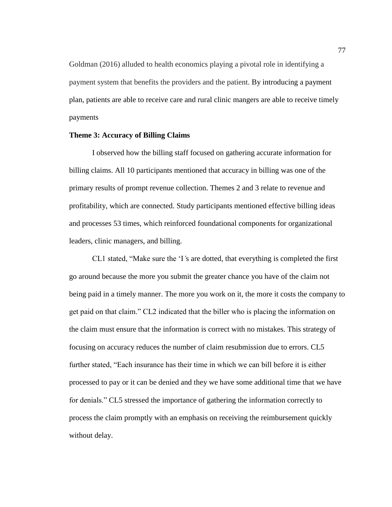Goldman (2016) alluded to health economics playing a pivotal role in identifying a payment system that benefits the providers and the patient. By introducing a payment plan, patients are able to receive care and rural clinic mangers are able to receive timely payments

## **Theme 3: Accuracy of Billing Claims**

I observed how the billing staff focused on gathering accurate information for billing claims. All 10 participants mentioned that accuracy in billing was one of the primary results of prompt revenue collection. Themes 2 and 3 relate to revenue and profitability, which are connected. Study participants mentioned effective billing ideas and processes 53 times, which reinforced foundational components for organizational leaders, clinic managers, and billing.

CL1 stated, "Make sure the 'I*'*s are dotted, that everything is completed the first go around because the more you submit the greater chance you have of the claim not being paid in a timely manner. The more you work on it, the more it costs the company to get paid on that claim." CL2 indicated that the biller who is placing the information on the claim must ensure that the information is correct with no mistakes. This strategy of focusing on accuracy reduces the number of claim resubmission due to errors. CL5 further stated, "Each insurance has their time in which we can bill before it is either processed to pay or it can be denied and they we have some additional time that we have for denials." CL5 stressed the importance of gathering the information correctly to process the claim promptly with an emphasis on receiving the reimbursement quickly without delay.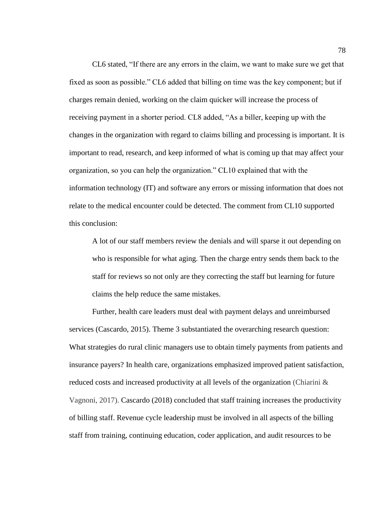CL6 stated, "If there are any errors in the claim, we want to make sure we get that fixed as soon as possible." CL6 added that billing on time was the key component; but if charges remain denied, working on the claim quicker will increase the process of receiving payment in a shorter period. CL8 added, "As a biller, keeping up with the changes in the organization with regard to claims billing and processing is important. It is important to read, research, and keep informed of what is coming up that may affect your organization, so you can help the organization." CL10 explained that with the information technology (IT) and software any errors or missing information that does not relate to the medical encounter could be detected. The comment from CL10 supported this conclusion:

A lot of our staff members review the denials and will sparse it out depending on who is responsible for what aging. Then the charge entry sends them back to the staff for reviews so not only are they correcting the staff but learning for future claims the help reduce the same mistakes.

Further, health care leaders must deal with payment delays and unreimbursed services (Cascardo, 2015). Theme 3 substantiated the overarching research question: What strategies do rural clinic managers use to obtain timely payments from patients and insurance payers? In health care, organizations emphasized improved patient satisfaction, reduced costs and increased productivity at all levels of the organization (Chiarini & Vagnoni, 2017). Cascardo (2018) concluded that staff training increases the productivity of billing staff. Revenue cycle leadership must be involved in all aspects of the billing staff from training, continuing education, coder application, and audit resources to be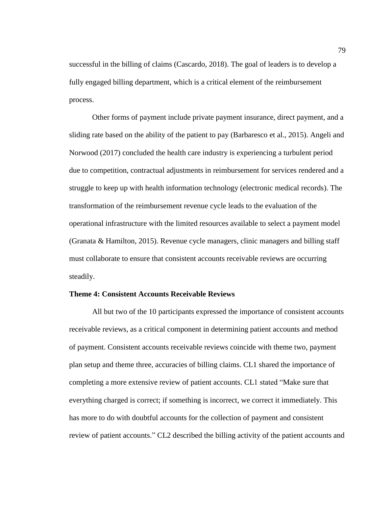successful in the billing of claims (Cascardo, 2018). The goal of leaders is to develop a fully engaged billing department, which is a critical element of the reimbursement process.

Other forms of payment include private payment insurance, direct payment, and a sliding rate based on the ability of the patient to pay (Barbaresco et al., 2015). Angeli and Norwood (2017) concluded the health care industry is experiencing a turbulent period due to competition, contractual adjustments in reimbursement for services rendered and a struggle to keep up with health information technology (electronic medical records). The transformation of the reimbursement revenue cycle leads to the evaluation of the operational infrastructure with the limited resources available to select a payment model (Granata & Hamilton, 2015). Revenue cycle managers, clinic managers and billing staff must collaborate to ensure that consistent accounts receivable reviews are occurring steadily.

## **Theme 4: Consistent Accounts Receivable Reviews**

All but two of the 10 participants expressed the importance of consistent accounts receivable reviews, as a critical component in determining patient accounts and method of payment. Consistent accounts receivable reviews coincide with theme two, payment plan setup and theme three, accuracies of billing claims. CL1 shared the importance of completing a more extensive review of patient accounts. CL1 stated "Make sure that everything charged is correct; if something is incorrect, we correct it immediately. This has more to do with doubtful accounts for the collection of payment and consistent review of patient accounts." CL2 described the billing activity of the patient accounts and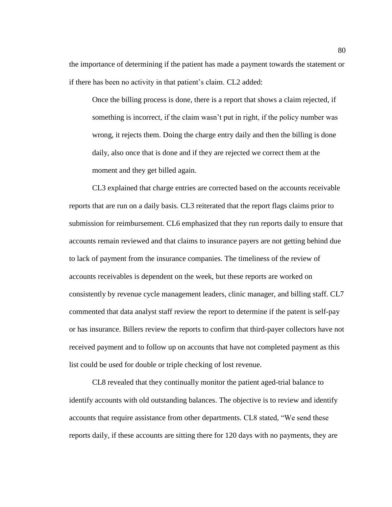the importance of determining if the patient has made a payment towards the statement or if there has been no activity in that patient's claim. CL2 added:

Once the billing process is done, there is a report that shows a claim rejected, if something is incorrect, if the claim wasn't put in right, if the policy number was wrong, it rejects them. Doing the charge entry daily and then the billing is done daily, also once that is done and if they are rejected we correct them at the moment and they get billed again.

CL3 explained that charge entries are corrected based on the accounts receivable reports that are run on a daily basis. CL3 reiterated that the report flags claims prior to submission for reimbursement. CL6 emphasized that they run reports daily to ensure that accounts remain reviewed and that claims to insurance payers are not getting behind due to lack of payment from the insurance companies. The timeliness of the review of accounts receivables is dependent on the week, but these reports are worked on consistently by revenue cycle management leaders, clinic manager, and billing staff. CL7 commented that data analyst staff review the report to determine if the patent is self-pay or has insurance. Billers review the reports to confirm that third-payer collectors have not received payment and to follow up on accounts that have not completed payment as this list could be used for double or triple checking of lost revenue.

CL8 revealed that they continually monitor the patient aged-trial balance to identify accounts with old outstanding balances. The objective is to review and identify accounts that require assistance from other departments. CL8 stated, "We send these reports daily, if these accounts are sitting there for 120 days with no payments, they are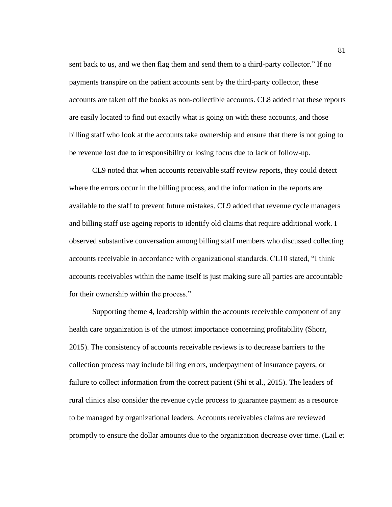sent back to us, and we then flag them and send them to a third-party collector." If no payments transpire on the patient accounts sent by the third-party collector, these accounts are taken off the books as non-collectible accounts. CL8 added that these reports are easily located to find out exactly what is going on with these accounts, and those billing staff who look at the accounts take ownership and ensure that there is not going to be revenue lost due to irresponsibility or losing focus due to lack of follow-up.

CL9 noted that when accounts receivable staff review reports, they could detect where the errors occur in the billing process, and the information in the reports are available to the staff to prevent future mistakes. CL9 added that revenue cycle managers and billing staff use ageing reports to identify old claims that require additional work. I observed substantive conversation among billing staff members who discussed collecting accounts receivable in accordance with organizational standards. CL10 stated, "I think accounts receivables within the name itself is just making sure all parties are accountable for their ownership within the process."

Supporting theme 4, leadership within the accounts receivable component of any health care organization is of the utmost importance concerning profitability (Shorr, 2015). The consistency of accounts receivable reviews is to decrease barriers to the collection process may include billing errors, underpayment of insurance payers, or failure to collect information from the correct patient (Shi et al., 2015). The leaders of rural clinics also consider the revenue cycle process to guarantee payment as a resource to be managed by organizational leaders. Accounts receivables claims are reviewed promptly to ensure the dollar amounts due to the organization decrease over time. (Lail et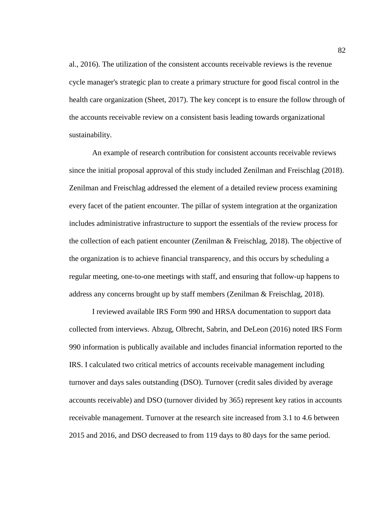al., 2016). The utilization of the consistent accounts receivable reviews is the revenue cycle manager's strategic plan to create a primary structure for good fiscal control in the health care organization (Sheet, 2017). The key concept is to ensure the follow through of the accounts receivable review on a consistent basis leading towards organizational sustainability.

An example of research contribution for consistent accounts receivable reviews since the initial proposal approval of this study included Zenilman and Freischlag (2018). Zenilman and Freischlag addressed the element of a detailed review process examining every facet of the patient encounter. The pillar of system integration at the organization includes administrative infrastructure to support the essentials of the review process for the collection of each patient encounter (Zenilman & Freischlag, 2018). The objective of the organization is to achieve financial transparency, and this occurs by scheduling a regular meeting, one-to-one meetings with staff, and ensuring that follow-up happens to address any concerns brought up by staff members (Zenilman & Freischlag, 2018).

I reviewed available IRS Form 990 and HRSA documentation to support data collected from interviews. Abzug, Olbrecht, Sabrin, and DeLeon (2016) noted IRS Form 990 information is publically available and includes financial information reported to the IRS. I calculated two critical metrics of accounts receivable management including turnover and days sales outstanding (DSO). Turnover (credit sales divided by average accounts receivable) and DSO (turnover divided by 365) represent key ratios in accounts receivable management. Turnover at the research site increased from 3.1 to 4.6 between 2015 and 2016, and DSO decreased to from 119 days to 80 days for the same period.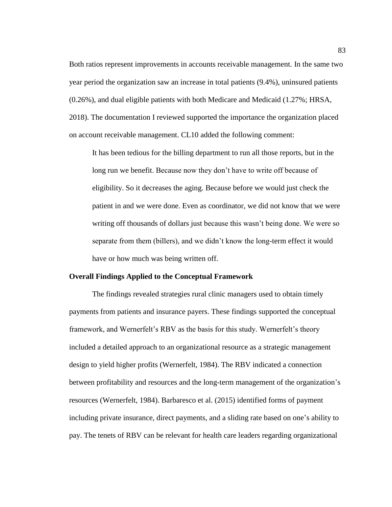Both ratios represent improvements in accounts receivable management. In the same two year period the organization saw an increase in total patients (9.4%), uninsured patients (0.26%), and dual eligible patients with both Medicare and Medicaid (1.27%; HRSA, 2018). The documentation I reviewed supported the importance the organization placed on account receivable management. CL10 added the following comment:

It has been tedious for the billing department to run all those reports, but in the long run we benefit. Because now they don't have to write off because of eligibility. So it decreases the aging. Because before we would just check the patient in and we were done. Even as coordinator, we did not know that we were writing off thousands of dollars just because this wasn't being done. We were so separate from them (billers), and we didn't know the long-term effect it would have or how much was being written off.

#### **Overall Findings Applied to the Conceptual Framework**

The findings revealed strategies rural clinic managers used to obtain timely payments from patients and insurance payers. These findings supported the conceptual framework, and Wernerfelt's RBV as the basis for this study. Wernerfelt's theory included a detailed approach to an organizational resource as a strategic management design to yield higher profits (Wernerfelt, 1984). The RBV indicated a connection between profitability and resources and the long-term management of the organization's resources (Wernerfelt, 1984). Barbaresco et al. (2015) identified forms of payment including private insurance, direct payments, and a sliding rate based on one's ability to pay. The tenets of RBV can be relevant for health care leaders regarding organizational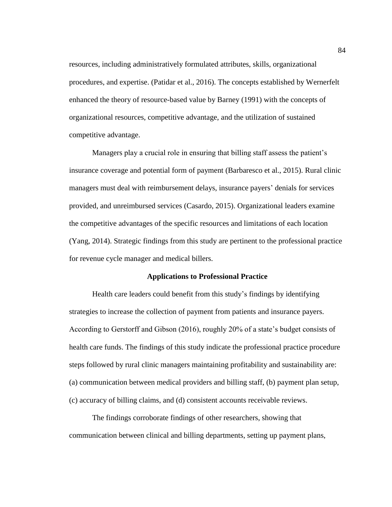resources, including administratively formulated attributes, skills, organizational procedures, and expertise. (Patidar et al., 2016). The concepts established by Wernerfelt enhanced the theory of resource-based value by Barney (1991) with the concepts of organizational resources, competitive advantage, and the utilization of sustained competitive advantage.

Managers play a crucial role in ensuring that billing staff assess the patient's insurance coverage and potential form of payment (Barbaresco et al., 2015). Rural clinic managers must deal with reimbursement delays, insurance payers' denials for services provided, and unreimbursed services (Casardo, 2015). Organizational leaders examine the competitive advantages of the specific resources and limitations of each location (Yang, 2014). Strategic findings from this study are pertinent to the professional practice for revenue cycle manager and medical billers.

#### **Applications to Professional Practice**

Health care leaders could benefit from this study's findings by identifying strategies to increase the collection of payment from patients and insurance payers. According to Gerstorff and Gibson (2016), roughly 20% of a state's budget consists of health care funds. The findings of this study indicate the professional practice procedure steps followed by rural clinic managers maintaining profitability and sustainability are: (a) communication between medical providers and billing staff, (b) payment plan setup, (c) accuracy of billing claims, and (d) consistent accounts receivable reviews.

The findings corroborate findings of other researchers, showing that communication between clinical and billing departments, setting up payment plans,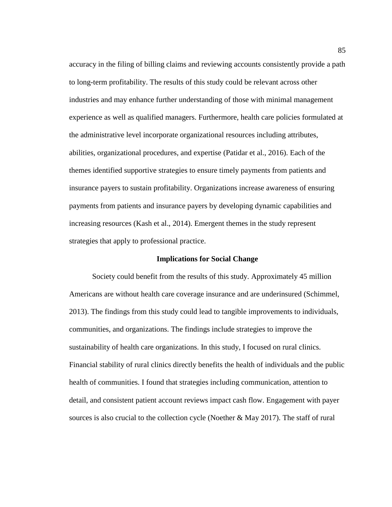accuracy in the filing of billing claims and reviewing accounts consistently provide a path to long-term profitability. The results of this study could be relevant across other industries and may enhance further understanding of those with minimal management experience as well as qualified managers. Furthermore, health care policies formulated at the administrative level incorporate organizational resources including attributes, abilities, organizational procedures, and expertise (Patidar et al., 2016). Each of the themes identified supportive strategies to ensure timely payments from patients and insurance payers to sustain profitability. Organizations increase awareness of ensuring payments from patients and insurance payers by developing dynamic capabilities and increasing resources (Kash et al., 2014). Emergent themes in the study represent strategies that apply to professional practice.

#### **Implications for Social Change**

Society could benefit from the results of this study. Approximately 45 million Americans are without health care coverage insurance and are underinsured (Schimmel, 2013). The findings from this study could lead to tangible improvements to individuals, communities, and organizations. The findings include strategies to improve the sustainability of health care organizations. In this study, I focused on rural clinics. Financial stability of rural clinics directly benefits the health of individuals and the public health of communities. I found that strategies including communication, attention to detail, and consistent patient account reviews impact cash flow. Engagement with payer sources is also crucial to the collection cycle (Noether  $\&$  May 2017). The staff of rural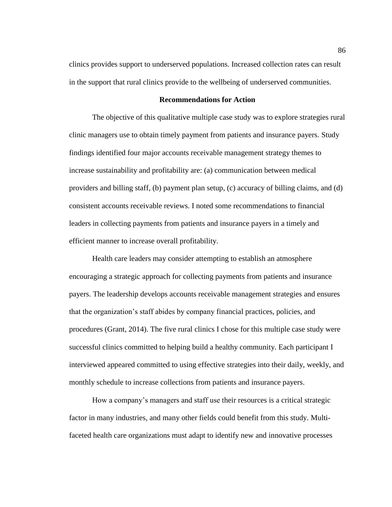clinics provides support to underserved populations. Increased collection rates can result in the support that rural clinics provide to the wellbeing of underserved communities.

#### **Recommendations for Action**

The objective of this qualitative multiple case study was to explore strategies rural clinic managers use to obtain timely payment from patients and insurance payers. Study findings identified four major accounts receivable management strategy themes to increase sustainability and profitability are: (a) communication between medical providers and billing staff, (b) payment plan setup, (c) accuracy of billing claims, and (d) consistent accounts receivable reviews. I noted some recommendations to financial leaders in collecting payments from patients and insurance payers in a timely and efficient manner to increase overall profitability.

Health care leaders may consider attempting to establish an atmosphere encouraging a strategic approach for collecting payments from patients and insurance payers. The leadership develops accounts receivable management strategies and ensures that the organization's staff abides by company financial practices, policies, and procedures (Grant, 2014). The five rural clinics I chose for this multiple case study were successful clinics committed to helping build a healthy community. Each participant I interviewed appeared committed to using effective strategies into their daily, weekly, and monthly schedule to increase collections from patients and insurance payers.

How a company's managers and staff use their resources is a critical strategic factor in many industries, and many other fields could benefit from this study. Multifaceted health care organizations must adapt to identify new and innovative processes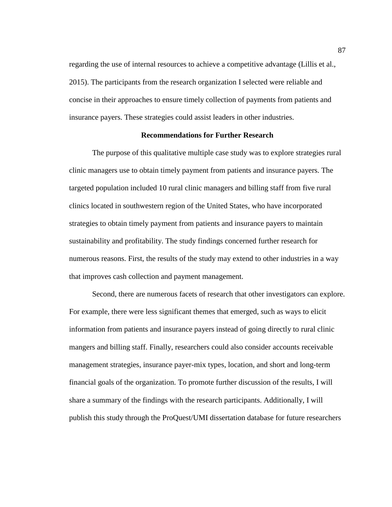regarding the use of internal resources to achieve a competitive advantage (Lillis et al., 2015). The participants from the research organization I selected were reliable and concise in their approaches to ensure timely collection of payments from patients and insurance payers. These strategies could assist leaders in other industries.

#### **Recommendations for Further Research**

The purpose of this qualitative multiple case study was to explore strategies rural clinic managers use to obtain timely payment from patients and insurance payers. The targeted population included 10 rural clinic managers and billing staff from five rural clinics located in southwestern region of the United States, who have incorporated strategies to obtain timely payment from patients and insurance payers to maintain sustainability and profitability. The study findings concerned further research for numerous reasons. First, the results of the study may extend to other industries in a way that improves cash collection and payment management.

Second, there are numerous facets of research that other investigators can explore. For example, there were less significant themes that emerged, such as ways to elicit information from patients and insurance payers instead of going directly to rural clinic mangers and billing staff. Finally, researchers could also consider accounts receivable management strategies, insurance payer-mix types, location, and short and long-term financial goals of the organization. To promote further discussion of the results, I will share a summary of the findings with the research participants. Additionally, I will publish this study through the ProQuest/UMI dissertation database for future researchers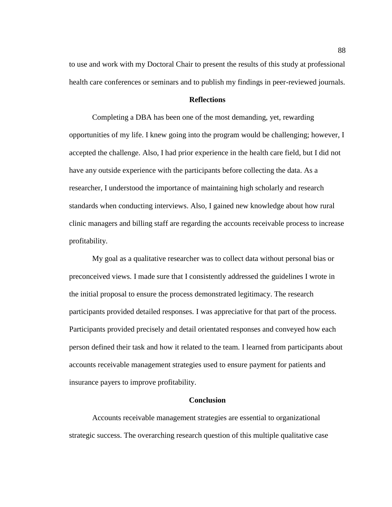to use and work with my Doctoral Chair to present the results of this study at professional health care conferences or seminars and to publish my findings in peer-reviewed journals.

# **Reflections**

Completing a DBA has been one of the most demanding, yet, rewarding opportunities of my life. I knew going into the program would be challenging; however, I accepted the challenge. Also, I had prior experience in the health care field, but I did not have any outside experience with the participants before collecting the data. As a researcher, I understood the importance of maintaining high scholarly and research standards when conducting interviews. Also, I gained new knowledge about how rural clinic managers and billing staff are regarding the accounts receivable process to increase profitability.

My goal as a qualitative researcher was to collect data without personal bias or preconceived views. I made sure that I consistently addressed the guidelines I wrote in the initial proposal to ensure the process demonstrated legitimacy. The research participants provided detailed responses. I was appreciative for that part of the process. Participants provided precisely and detail orientated responses and conveyed how each person defined their task and how it related to the team. I learned from participants about accounts receivable management strategies used to ensure payment for patients and insurance payers to improve profitability.

#### **Conclusion**

Accounts receivable management strategies are essential to organizational strategic success. The overarching research question of this multiple qualitative case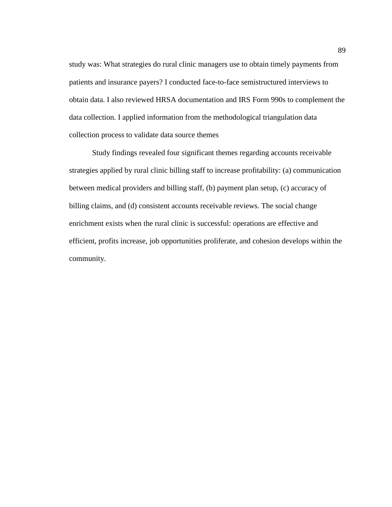study was: What strategies do rural clinic managers use to obtain timely payments from patients and insurance payers? I conducted face-to-face semistructured interviews to obtain data. I also reviewed HRSA documentation and IRS Form 990s to complement the data collection. I applied information from the methodological triangulation data collection process to validate data source themes

Study findings revealed four significant themes regarding accounts receivable strategies applied by rural clinic billing staff to increase profitability: (a) communication between medical providers and billing staff, (b) payment plan setup, (c) accuracy of billing claims, and (d) consistent accounts receivable reviews. The social change enrichment exists when the rural clinic is successful: operations are effective and efficient, profits increase, job opportunities proliferate, and cohesion develops within the community.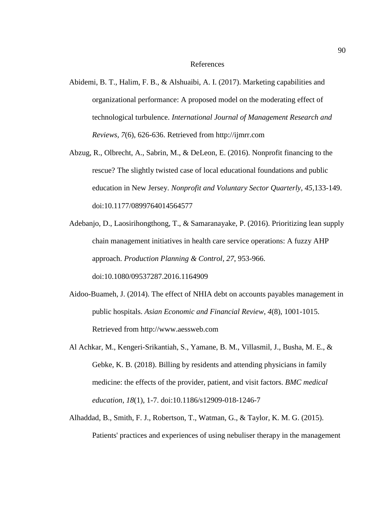- Abidemi, B. T., Halim, F. B., & Alshuaibi, A. I. (2017). Marketing capabilities and organizational performance: A proposed model on the moderating effect of technological turbulence. *International Journal of Management Research and Reviews, 7*(6), 626-636. Retrieved from http://ijmrr.com
- Abzug, R., Olbrecht, A., Sabrin, M., & DeLeon, E. (2016). Nonprofit financing to the rescue? The slightly twisted case of local educational foundations and public education in New Jersey. *Nonprofit and Voluntary Sector Quarterly, 45,*133-149. doi:10.1177/0899764014564577
- Adebanjo, D., Laosirihongthong, T., & Samaranayake, P. (2016). Prioritizing lean supply chain management initiatives in health care service operations: A fuzzy AHP approach. *Production Planning & Control*, *27*, 953-966. doi:10.1080/09537287.2016.1164909
- Aidoo-Buameh, J. (2014). The effect of NHIA debt on accounts payables management in public hospitals. *Asian Economic and Financial Review*, *4*(8), 1001-1015. Retrieved from [http://www.aessweb.com](http://www.aessweb.com/)
- Al Achkar, M., Kengeri-Srikantiah, S., Yamane, B. M., Villasmil, J., Busha, M. E., & Gebke, K. B. (2018). Billing by residents and attending physicians in family medicine: the effects of the provider, patient, and visit factors. *BMC medical education*, *18*(1), 1-7. doi:10.1186/s12909-018-1246-7
- Alhaddad, B., Smith, F. J., Robertson, T., Watman, G., & Taylor, K. M. G. (2015). Patients' practices and experiences of using nebuliser therapy in the management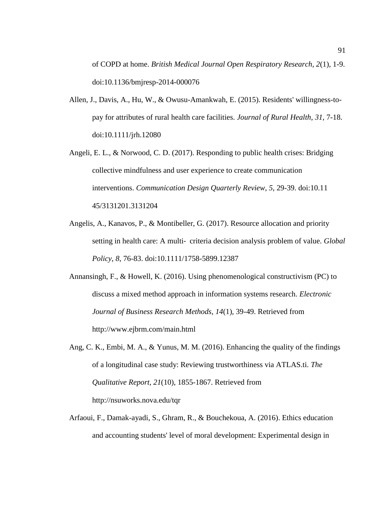of COPD at home. *British Medical Journal Open Respiratory Research, 2*(1)*,* 1-9. doi:10.1136/bmjresp-2014-000076

- Allen, J., Davis, A., Hu, W., & Owusu-Amankwah, E. (2015). Residents' willingness-topay for attributes of rural health care facilities. *Journal of Rural Health*, *31*, 7-18. doi:10.1111/jrh.12080
- Angeli, E. L., & Norwood, C. D. (2017). Responding to public health crises: Bridging collective mindfulness and user experience to create communication interventions. *Communication Design Quarterly Review*, *5*, 29-39. doi:10.11 45/3131201.3131204
- Angelis, A., Kanavos, P., & Montibeller, G. (2017). Resource allocation and priority setting in health care: A multi‐ criteria decision analysis problem of value. *Global Policy*, *8*, 76-83. doi:10.1111/1758-5899.12387
- Annansingh, F., & Howell, K. (2016). Using phenomenological constructivism (PC) to discuss a mixed method approach in information systems research. *Electronic Journal of Business Research Methods*, *14*(1)*,* 39-49. Retrieved from http://www.ejbrm.com/main.html
- Ang, C. K., Embi, M. A., & Yunus, M. M. (2016). Enhancing the quality of the findings of a longitudinal case study: Reviewing trustworthiness via ATLAS.ti. *The Qualitative Report, 21*(10), 1855-1867. Retrieved from http://nsuworks.nova.edu/tqr
- Arfaoui, F., Damak-ayadi, S., Ghram, R., & Bouchekoua, A. (2016). Ethics education and accounting students' level of moral development: Experimental design in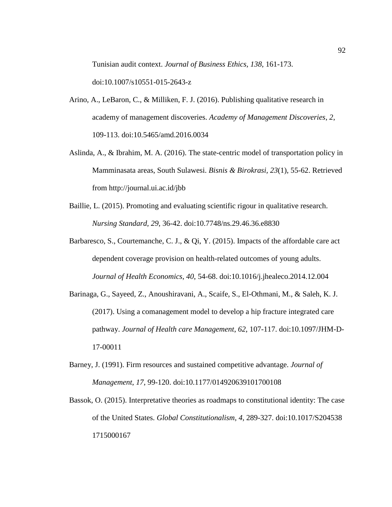Tunisian audit context. *Journal of Business Ethics, 138*, 161-173. doi:10.1007/s10551-015-2643-z

- Arino, A., LeBaron, C., & Milliken, F. J. (2016). Publishing qualitative research in academy of management discoveries. *Academy of Management Discoveries*, *2*, 109-113. doi:10.5465/amd.2016.0034
- Aslinda, A., & Ibrahim, M. A. (2016). The state-centric model of transportation policy in Mamminasata areas, South Sulawesi. *Bisnis & Birokrasi, 23*(1), 55-62. Retrieved from http://journal.ui.ac.id/jbb
- Baillie, L. (2015). Promoting and evaluating scientific rigour in qualitative research. *Nursing Standard, 29*, 36-42. doi:10.7748/ns.29.46.36.e8830
- Barbaresco, S., Courtemanche, C. J., & Qi, Y. (2015). Impacts of the affordable care act dependent coverage provision on health-related outcomes of young adults. *Journal of Health Economics*, *40*, 54-68. doi:10.1016/j.jhealeco.2014.12.004
- Barinaga, G., Sayeed, Z., Anoushiravani, A., Scaife, S., El-Othmani, M., & Saleh, K. J. (2017). Using a comanagement model to develop a hip fracture integrated care pathway. *Journal of Health care Management*, *62*, 107-117. doi:10.1097/JHM-D-17-00011
- Barney, J. (1991). Firm resources and sustained competitive advantage. *Journal of Management*, *17*, 99-120. doi:10.1177/014920639101700108
- Bassok, O. (2015). Interpretative theories as roadmaps to constitutional identity: The case of the United States. *Global Constitutionalism*, *4*, 289-327. doi:10.1017/S204538 1715000167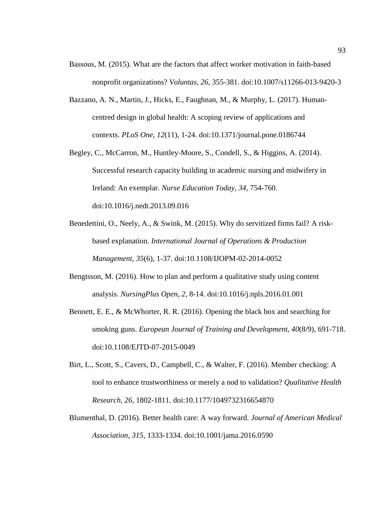- Bassous, M. (2015). What are the factors that affect worker motivation in faith-based nonprofit organizations? *Voluntas, 26*, 355-381. doi:10.1007/s11266-013-9420-3
- Bazzano, A. N., Martin, J., Hicks, E., Faughnan, M., & Murphy, L. (2017). Humancentred design in global health: A scoping review of applications and contexts. *PLoS One, 12*(11)*,* 1-24. doi:10.1371/journal.pone.0186744
- Begley, C., McCarron, M., Huntley-Moore, S., Condell, S., & Higgins, A. (2014). Successful research capacity building in academic nursing and midwifery in Ireland: An exemplar. *Nurse Education Today*, *34*, 754-760. doi:10.1016/j.nedt.2013.09.016
- Benedettini, O., Neely, A., & Swink, M. (2015). Why do servitized firms fail? A riskbased explanation. *International Journal of Operations & Production Management*, *35*(6), 1-37. doi:10.1108/IJOPM-02-2014-0052
- Bengtsson, M. (2016). How to plan and perform a qualitative study using content analysis. *NursingPlus Open*, *2*, 8-14. doi:10.1016/j.npls.2016.01.001
- Bennett, E. E., & McWhorter, R. R. (2016). Opening the black box and searching for smoking guns. *European Journal of Training and Development, 40*(8/9), 691-718. doi:10.1108/EJTD-07-2015-0049
- Birt, L., Scott, S., Cavers, D., Campbell, C., & Walter, F. (2016). Member checking: A tool to enhance trustworthiness or merely a nod to validation? *Qualitative Health Research*, *26*, 1802-1811. doi:10.1177/1049732316654870
- Blumenthal, D. (2016). Better health care: A way forward. *Journal of American Medical Association*, *315*, 1333-1334. doi:10.1001/jama.2016.0590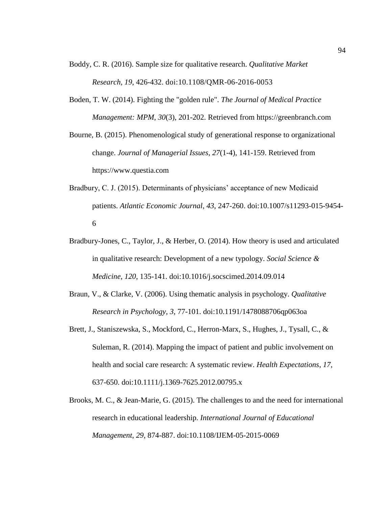- Boddy, C. R. (2016). Sample size for qualitative research. *Qualitative Market Research, 19*, 426-432. [doi:10.1108/QMR-06-2016-0053](https://doi.org/10.1108/QMR-06-2016-0053)
- Boden, T. W. (2014). Fighting the "golden rule". *The Journal of Medical Practice Management: MPM*, *30*(3), 201-202. Retrieved from https://greenbranch.com

Bourne, B. (2015). Phenomenological study of generational response to organizational change. *Journal of Managerial Issues, 27*(1-4), 141-159. Retrieved from https://www.questia.com

- Bradbury, C. J. (2015). Determinants of physicians' acceptance of new Medicaid patients. *Atlantic Economic Journal*, *43*, 247-260. doi:10.1007/s11293-015-9454- 6
- Bradbury-Jones, C., Taylor, J., & Herber, O. (2014). How theory is used and articulated in qualitative research: Development of a new typology. *Social Science & Medicine*, *120*, 135-141. doi:10.1016/j.socscimed.2014.09.014
- Braun, V., & Clarke, V. (2006). Using thematic analysis in psychology. *Qualitative Research in Psychology*, *3*, 77-101. doi:10.1191/1478088706qp063oa
- Brett, J., Staniszewska, S., Mockford, C., Herron-Marx, S., Hughes, J., Tysall, C., & Suleman, R. (2014). Mapping the impact of patient and public involvement on health and social care research: A systematic review. *Health Expectations*, *17*, 637-650. doi:10.1111/j.1369-7625.2012.00795.x
- Brooks, M. C., & Jean-Marie, G. (2015). The challenges to and the need for international research in educational leadership. *International Journal of Educational Management*, *29*, 874-887. doi:10.1108/IJEM-05-2015-0069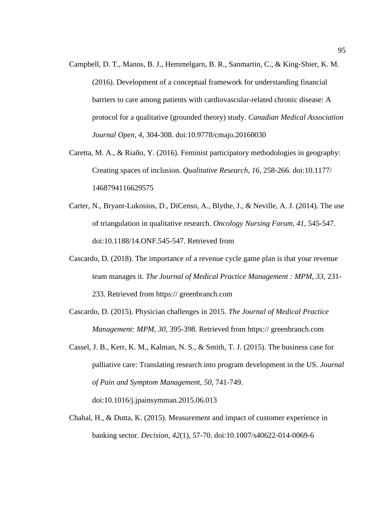- Campbell, D. T., Manns, B. J., Hemmelgarn, B. R., Sanmartin, C., & King-Shier, K. M. (2016). Development of a conceptual framework for understanding financial barriers to care among patients with cardiovascular-related chronic disease: A protocol for a qualitative (grounded theory) study. *Canadian Medical Association Journal Open*, *4*, 304-308. doi:10.9778/cmajo.20160030
- Caretta, M. A., & Riaño, Y. (2016). Feminist participatory methodologies in geography: Creating spaces of inclusion. *Qualitative Research*, *16*, 258-266. doi:10.1177/ 1468794116629575
- Carter, N., Bryant-Lukosius, D., DiCenso, A., Blythe, J., & Neville, A. J. (2014). The use of triangulation in qualitative research. *Oncology Nursing Forum*, *41*, 545-547. doi:10.1188/14.ONF.545-547. Retrieved from
- Cascardo, D. (2018). The importance of a revenue cycle game plan is that your revenue team manages it. *The Journal of Medical Practice Management : MPM, 33*, 231- 233. Retrieved from https:// greenbranch.com
- Cascardo, D. (2015). Physician challenges in 2015. *The Journal of Medical Practice Management: MPM*, *30*, 395-398. Retrieved from https:// greenbranch.com
- Cassel, J. B., Kerr, K. M., Kalman, N. S., & Smith, T. J. (2015). The business case for palliative care: Translating research into program development in the US. *Journal of Pain and Symptom Management*, *50*, 741-749.

doi:10.1016/j.jpainsymman.2015.06.013

Chahal, H., & Dutta, K. (2015). Measurement and impact of customer experience in banking sector. *Decision, 42*(1), 57-70. doi:10.1007/s40622-014-0069-6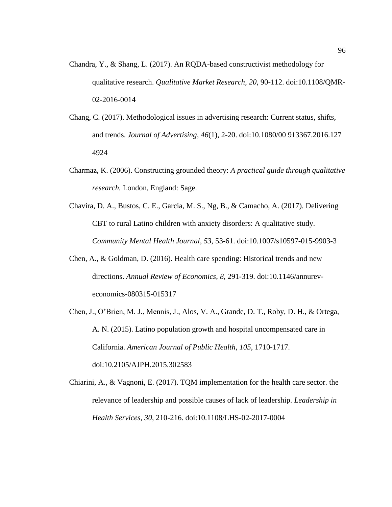- Chandra, Y., & Shang, L. (2017). An RQDA-based constructivist methodology for qualitative research. *Qualitative Market Research, 20*, 90-112. doi:10.1108/QMR-02-2016-0014
- Chang, C. (2017). Methodological issues in advertising research: Current status, shifts, and trends. *Journal of Advertising*, *46*(1), 2-20. doi:10.1080/00 913367.2016.127 4924
- Charmaz, K. (2006). Constructing grounded theory: *A practical guide through qualitative research.* London, England: Sage.
- Chavira, D. A., Bustos, C. E., Garcia, M. S., Ng, B., & Camacho, A. (2017). Delivering CBT to rural Latino children with anxiety disorders: A qualitative study. *Community Mental Health Journal*, *53*, 53-61. doi:10.1007/s10597-015-9903-3
- Chen, A., & Goldman, D. (2016). Health care spending: Historical trends and new directions. *Annual Review of Economics*, *8*, 291-319. doi:10.1146/annureveconomics-080315-015317
- Chen, J., O'Brien, M. J., Mennis, J., Alos, V. A., Grande, D. T., Roby, D. H., & Ortega, A. N. (2015). Latino population growth and hospital uncompensated care in California. *American Journal of Public Health*, *105*, 1710-1717. doi:10.2105/AJPH.2015.302583
- Chiarini, A., & Vagnoni, E. (2017). TQM implementation for the health care sector. the relevance of leadership and possible causes of lack of leadership. *Leadership in Health Services*, *30,* 210-216. doi:10.1108/LHS-02-2017-0004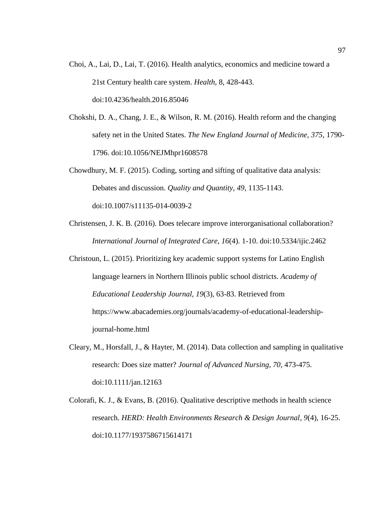- Choi, A., Lai, D., Lai, T. (2016). Health analytics, economics and medicine toward a 21st Century health care system. *Health*, 8, 428-443. doi[:10.4236/health.2016.85046](http://dx.doi.org/10.4236/health.2016.85046)
- Chokshi, D. A., Chang, J. E., & Wilson, R. M. (2016). Health reform and the changing safety net in the United States. *The New England Journal of Medicine, 375*, 1790- 1796. doi:10.1056/NEJMhpr1608578
- Chowdhury, M. F. (2015). Coding, sorting and sifting of qualitative data analysis: Debates and discussion. *Quality and Quantity, 49*, 1135-1143. doi:10.1007/s11135-014-0039-2
- Christensen, J. K. B. (2016). Does telecare improve interorganisational collaboration? *International Journal of Integrated Care*, *16*(4). 1-10. doi:10.5334/ijic.2462
- Christoun, L. (2015). Prioritizing key academic support systems for Latino English language learners in Northern Illinois public school districts. *Academy of Educational Leadership Journal, 19*(3), 63-83. Retrieved from https://www.abacademies.org/journals/academy-of-educational-leadershipjournal-home.html
- Cleary, M., Horsfall, J., & Hayter, M. (2014). Data collection and sampling in qualitative research: Does size matter? *Journal of Advanced Nursing*, *70*, 473-475. doi:10.1111/jan.12163
- Colorafi, K. J., & Evans, B. (2016). Qualitative descriptive methods in health science research. *HERD: Health Environments Research & Design Journal*, *9*(4), 16-25. doi:10.1177/1937586715614171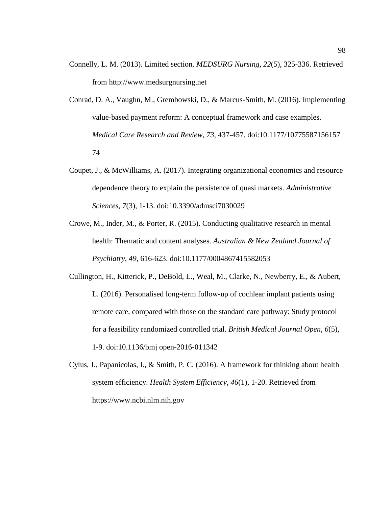- Connelly, L. M. (2013). Limited section. *MEDSURG Nursing*, *22*(5), 325-336. Retrieved from [http://www.medsurgnursing.net](http://www.medsurgnursing.net/)
- Conrad, D. A., Vaughn, M., Grembowski, D., & Marcus-Smith, M. (2016). Implementing value-based payment reform: A conceptual framework and case examples. *Medical Care Research and Review*, *73*, 437-457. doi:10.1177/10775587156157 74
- Coupet, J., & McWilliams, A. (2017). Integrating organizational economics and resource dependence theory to explain the persistence of quasi markets. *Administrative Sciences*, *7*(3), 1-13. doi:10.3390/admsci7030029
- Crowe, M., Inder, M., & Porter, R. (2015). Conducting qualitative research in mental health: Thematic and content analyses. *Australian & New Zealand Journal of Psychiatry*, *49*, 616-623. doi:10.1177/0004867415582053
- Cullington, H., Kitterick, P., DeBold, L., Weal, M., Clarke, N., Newberry, E., & Aubert, L. (2016). Personalised long-term follow-up of cochlear implant patients using remote care, compared with those on the standard care pathway: Study protocol for a feasibility randomized controlled trial. *British Medical Journal Open*, *6*(5), 1-9. doi:10.1136/bmj open-2016-011342
- Cylus, J., Papanicolas, I., & Smith, P. C. (2016). A framework for thinking about health system efficiency. *Health System Efficiency*, *46*(1), 1-20. Retrieved from https://www.ncbi.nlm.nih.gov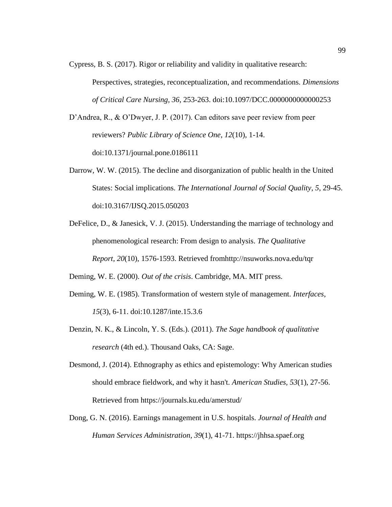Cypress, B. S. (2017). Rigor or reliability and validity in qualitative research:

Perspectives, strategies, reconceptualization, and recommendations. *Dimensions of Critical Care Nursing*, *36*, 253-263. doi:10.1097/DCC.0000000000000253

D'Andrea, R., & O'Dwyer, J. P. (2017). Can editors save peer review from peer reviewers? *Public Library of Science One*, *12*(10), 1-14. doi:10.1371/journal.pone.0186111

- Darrow, W. W. (2015). The decline and disorganization of public health in the United States: Social implications. *The International Journal of Social Quality*, *5*, 29-45. doi:10.3167/IJSQ.2015.050203
- DeFelice, D., & Janesick, V. J. (2015). Understanding the marriage of technology and phenomenological research: From design to analysis. *The Qualitative Report, 20*(10), 1576-1593. Retrieved fromhttp://nsuworks.nova.edu/tqr

Deming, W. E. (2000). *Out of the crisis*. Cambridge, MA. MIT press.

- Deming, W. E. (1985). Transformation of western style of management. *Interfaces*, *15*(3), 6-11. [doi:10.1287/inte.15.3.6](https://doi.org/10.1287/inte.15.3.6)
- Denzin, N. K., & Lincoln, Y. S. (Eds.). (2011). *The Sage handbook of qualitative research* (4th ed.). Thousand Oaks, CA: Sage.
- Desmond, J. (2014). Ethnography as ethics and epistemology: Why American studies should embrace fieldwork, and why it hasn't. *American Studies, 53*(1), 27-56. Retrieved from https://journals.ku.edu/amerstud/
- Dong, G. N. (2016). Earnings management in U.S. hospitals. *Journal of Health and Human Services Administration*, *39*(1), 41-71. https://jhhsa.spaef.org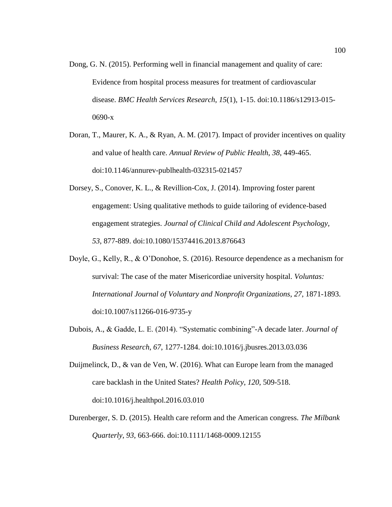- Dong, G. N. (2015). Performing well in financial management and quality of care: Evidence from hospital process measures for treatment of cardiovascular disease. *BMC Health Services Research*, *15*(1), 1-15. doi:10.1186/s12913-015- 0690-x
- Doran, T., Maurer, K. A., & Ryan, A. M. (2017). Impact of provider incentives on quality and value of health care. *Annual Review of Public Health*, *38*, 449-465. doi:10.1146/annurev-publhealth-032315-021457
- Dorsey, S., Conover, K. L., & Revillion-Cox, J. (2014). Improving foster parent engagement: Using qualitative methods to guide tailoring of evidence-based engagement strategies. *Journal of Clinical Child and Adolescent Psychology, 53*, 877-889. doi:10.1080/15374416.2013.876643
- Doyle, G., Kelly, R., & O'Donohoe, S. (2016). Resource dependence as a mechanism for survival: The case of the mater Misericordiae university hospital. *Voluntas: International Journal of Voluntary and Nonprofit Organizations*, *27*, 1871-1893. doi:10.1007/s11266-016-9735-y
- Dubois, A., & Gadde, L. E. (2014). "Systematic combining"-A decade later. *Journal of Business Research*, *67*, 1277-1284. doi:10.1016/j.jbusres.2013.03.036
- Duijmelinck, D., & van de Ven, W. (2016). What can Europe learn from the managed care backlash in the United States? *Health Policy*, *120*, 509-518. doi:10.1016/j.healthpol.2016.03.010
- Durenberger, S. D. (2015). Health care reform and the American congress. *The Milbank Quarterly*, *93*, 663-666. doi:10.1111/1468-0009.12155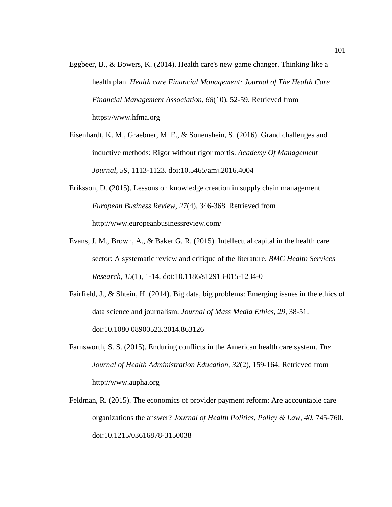- Eggbeer, B., & Bowers, K. (2014). Health care's new game changer. Thinking like a health plan. *Health care Financial Management: Journal of The Health Care Financial Management Association*, *68*(10), 52-59. Retrieved from [https://www.hfma.](https://www.hfma/)org
- Eisenhardt, K. M., Graebner, M. E., & Sonenshein, S. (2016). Grand challenges and inductive methods: Rigor without rigor mortis. *Academy Of Management Journal*, *59*, 1113-1123. doi:10.5465/amj.2016.4004
- Eriksson, D. (2015). Lessons on knowledge creation in supply chain management. *European Business Review, 27*(4), 346-368. Retrieved from http://www.europeanbusinessreview.com/
- Evans, J. M., Brown, A., & Baker G. R. (2015). Intellectual capital in the health care sector: A systematic review and critique of the literature. *BMC Health Services Research, 15*(1)*,* 1-14*.* doi:10.1186/s12913-015-1234-0
- Fairfield, J., & Shtein, H. (2014). Big data, big problems: Emerging issues in the ethics of data science and journalism. *Journal of Mass Media Ethics*, *29*, 38-51. doi:10.1080 08900523.2014.863126
- Farnsworth, S. S. (2015). Enduring conflicts in the American health care system. *The Journal of Health Administration Education, 32*(2), 159-164. Retrieved from [http://www.](http://www/)aupha.org
- Feldman, R. (2015). The economics of provider payment reform: Are accountable care organizations the answer? *Journal of Health Politics, Policy & Law*, *40*, 745-760. doi:10.1215/03616878-3150038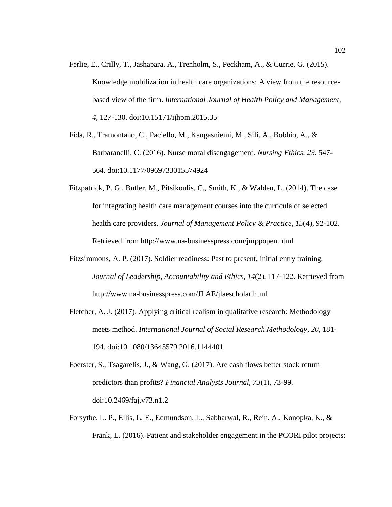- Ferlie, E., Crilly, T., Jashapara, A., Trenholm, S., Peckham, A., & Currie, G. (2015). Knowledge mobilization in health care organizations: A view from the resourcebased view of the firm. *International Journal of Health Policy and Management*, *4*, 127-130. doi:10.15171/ijhpm.2015.35
- Fida, R., Tramontano, C., Paciello, M., Kangasniemi, M., Sili, A., Bobbio, A., & Barbaranelli, C. (2016). Nurse moral disengagement. *Nursing Ethics*, *23*, 547- 564. doi:10.1177/0969733015574924
- Fitzpatrick, P. G., Butler, M., Pitsikoulis, C., Smith, K., & Walden, L. (2014). The case for integrating health care management courses into the curricula of selected health care providers. *Journal of Management Policy & Practice*, *15*(4), 92-102. Retrieved from http://www.na-businesspress.com/jmppopen.html
- Fitzsimmons, A. P. (2017). Soldier readiness: Past to present, initial entry training. *Journal of Leadership, Accountability and Ethics, 14*(2), 117-122. Retrieved from <http://www.na-businesspress.com/JLAE/jlaescholar.html>
- Fletcher, A. J. (2017). Applying critical realism in qualitative research: Methodology meets method. *International Journal of Social Research Methodology*, *20*, 181- 194. doi:10.1080/13645579.2016.1144401
- Foerster, S., Tsagarelis, J., & Wang, G. (2017). Are cash flows better stock return predictors than profits? *Financial Analysts Journal*, *73*(1), 73-99. [doi:10.2469/faj.v73.n1.2](https://doi.org/10.2469/faj.v73.n1.2)
- Forsythe, L. P., Ellis, L. E., Edmundson, L., Sabharwal, R., Rein, A., Konopka, K., & Frank, L. (2016). Patient and stakeholder engagement in the PCORI pilot projects: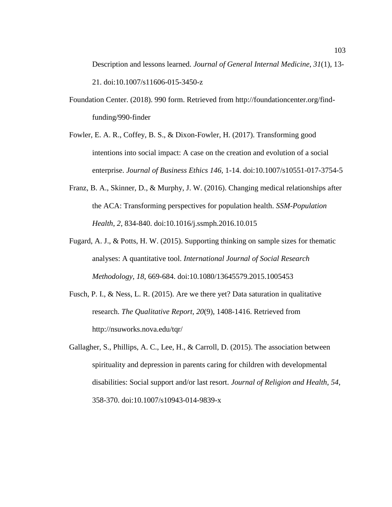Description and lessons learned. *Journal of General Internal Medicine*, *31*(1), 13- 21. doi:10.1007/s11606-015-3450-z

- Foundation Center. (2018). 990 form. Retrieved from http://foundationcenter.org/findfunding/990-finder
- Fowler, E. A. R., Coffey, B. S., & Dixon-Fowler, H. (2017). Transforming good intentions into social impact: A case on the creation and evolution of a social enterprise. *Journal of Business Ethics 146,* 1-14. doi:10.1007/s10551-017-3754-5
- Franz, B. A., Skinner, D., & Murphy, J. W. (2016). Changing medical relationships after the ACA: Transforming perspectives for population health. *SSM-Population Health*, *2*, 834-840. doi:10.1016/j.ssmph.2016.10.015
- Fugard, A. J., & Potts, H. W. (2015). Supporting thinking on sample sizes for thematic analyses: A quantitative tool. *International Journal of Social Research Methodology*, *18*, 669-684. doi:10.1080/13645579.2015.1005453
- Fusch, P. I., & Ness, L. R. (2015). Are we there yet? Data saturation in qualitative research. *The Qualitative Report, 20*(9), 1408-1416. Retrieved from [http://nsuworks.](http://nsuworks/)nova.edu/tqr/
- Gallagher, S., Phillips, A. C., Lee, H., & Carroll, D. (2015). The association between spirituality and depression in parents caring for children with developmental disabilities: Social support and/or last resort. *Journal of Religion and Health, 54*, 358-370. doi:10.1007/s10943-014-9839-x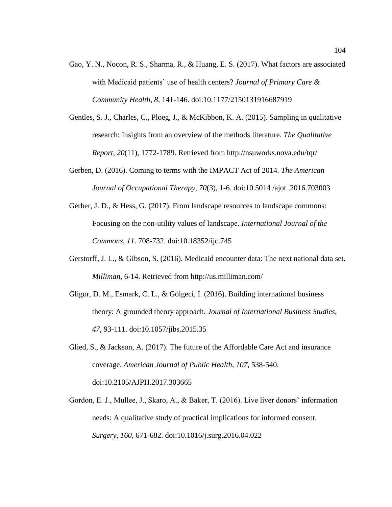- Gao, Y. N., Nocon, R. S., Sharma, R., & Huang, E. S. (2017). What factors are associated with Medicaid patients' use of health centers? *Journal of Primary Care & Community Health*, *8*, 141-146. doi:10.1177/2150131916687919
- Gentles, S. J., Charles, C., Ploeg, J., & McKibbon, K. A. (2015). Sampling in qualitative research: Insights from an overview of the methods literature. *The Qualitative Report*, *20*(11), 1772-1789. Retrieved from http://nsuworks.nova.edu/tqr/
- Gerben, D. (2016). Coming to terms with the IMPACT Act of 2014. *The American Journal of Occupational Therapy*, *70*(3), 1-6. doi:10.5014 /ajot .2016.703003
- Gerber, J. D., & Hess, G. (2017). From landscape resources to landscape commons: Focusing on the non-utility values of landscape. *International Journal of the Commons*, *11*. 708-732. doi:10.18352/ijc.745
- Gerstorff, J. L., & Gibson, S. (2016). Medicaid encounter data: The next national data set. *Milliman,* 6-14. Retrieved from<http://us.milliman.com/>
- Gligor, D. M., Esmark, C. L., & Gölgeci, I. (2016). Building international business theory: A grounded theory approach. *Journal of International Business Studies, 47*, 93-111. doi:10.1057/jibs.2015.35
- Glied, S., & Jackson, A. (2017). The future of the Affordable Care Act and insurance coverage. *American Journal of Public Health*, *107*, 538-540. doi:10.2105/AJPH.2017.303665
- Gordon, E. J., Mullee, J., Skaro, A., & Baker, T. (2016). Live liver donors' information needs: A qualitative study of practical implications for informed consent. *Surgery*, *160*, 671-682. doi:10.1016/j.surg.2016.04.022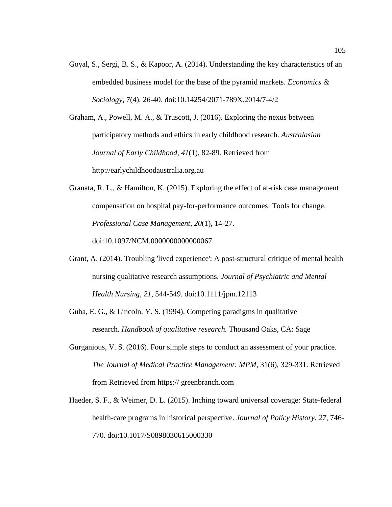Goyal, S., Sergi, B. S., & Kapoor, A. (2014). Understanding the key characteristics of an embedded business model for the base of the pyramid markets. *Economics & Sociology*, *7*(4), 26-40. doi:10.14254/2071-789X.2014/7-4/2

Graham, A., Powell, M. A., & Truscott, J. (2016). Exploring the nexus between participatory methods and ethics in early childhood research. *Australasian Journal of Early Childhood*, *41*(1), 82-89. Retrieved from http://earlychildhoodaustralia.org.au

Granata, R. L., & Hamilton, K. (2015). Exploring the effect of at-risk case management compensation on hospital pay-for-performance outcomes: Tools for change. *Professional Case Management*, *20*(1), 14-27.

doi:10.1097/NCM.0000000000000067

- Grant, A. (2014). Troubling 'lived experience': A post-structural critique of mental health nursing qualitative research assumptions. *Journal of Psychiatric and Mental Health Nursing*, *21*, 544-549. doi:10.1111/jpm.12113
- Guba, E. G., & Lincoln, Y. S. (1994). Competing paradigms in qualitative research. *Handbook of qualitative research.* Thousand Oaks, CA: Sage
- Gurganious, V. S. (2016). Four simple steps to conduct an assessment of your practice. *The Journal of Medical Practice Management: MPM,* 31(6), 329-331. Retrieved from Retrieved from https:// greenbranch.com
- Haeder, S. F., & Weimer, D. L. (2015). Inching toward universal coverage: State-federal health-care programs in historical perspective. *Journal of Policy History*, *27*, 746- 770. doi:10.1017/S0898030615000330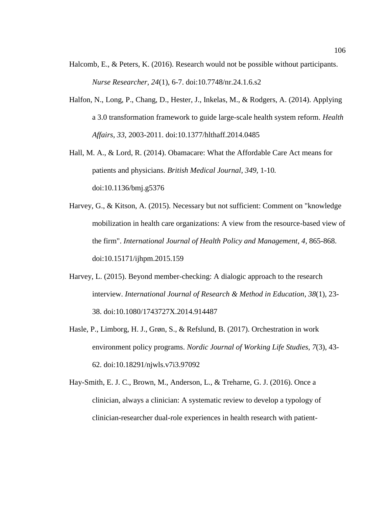- Halcomb, E., & Peters, K. (2016). Research would not be possible without participants. *Nurse Researcher, 24*(1), 6-7. doi:10.7748/nr.24.1.6.s2
- Halfon, N., Long, P., Chang, D., Hester, J., Inkelas, M., & Rodgers, A. (2014). Applying a 3.0 transformation framework to guide large-scale health system reform. *Health Affairs*, *33*, 2003-2011. doi:10.1377/hlthaff.2014.0485
- Hall, M. A., & Lord, R. (2014). Obamacare: What the Affordable Care Act means for patients and physicians. *British Medical Journal*, *349,* 1-10*.* doi:10.1136/bmj.g5376
- Harvey, G., & Kitson, A. (2015). Necessary but not sufficient: Comment on "knowledge mobilization in health care organizations: A view from the resource-based view of the firm". *International Journal of Health Policy and Management*, *4,* 865-868. doi:10.15171/ijhpm.2015.159
- Harvey, L. (2015). Beyond member-checking: A dialogic approach to the research interview. *International Journal of Research & Method in Education*, *38*(1), 23- 38. doi:10.1080/1743727X.2014.914487
- Hasle, P., Limborg, H. J., Grøn, S., & Refslund, B. (2017). Orchestration in work environment policy programs. *Nordic Journal of Working Life Studies, 7*(3), 43- 62. doi:10.18291/njwls.v7i3.97092
- Hay-Smith, E. J. C., Brown, M., Anderson, L., & Treharne, G. J. (2016). Once a clinician, always a clinician: A systematic review to develop a typology of clinician-researcher dual-role experiences in health research with patient-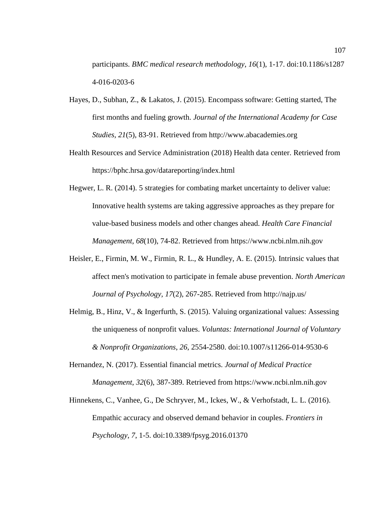participants. *BMC medical research methodology*, *16*(1), 1-17. doi:10.1186/s1287 4-016-0203-6

- Hayes, D., Subhan, Z., & Lakatos, J. (2015). Encompass software: Getting started, The first months and fueling growth. *Journal of the International Academy for Case Studies, 21*(5), 83-91. Retrieved from http://www.abacademies.org
- Health Resources and Service Administration (2018) Health data center. Retrieved from https://bphc.hrsa.gov/datareporting/index.html
- Hegwer, L. R. (2014). 5 strategies for combating market uncertainty to deliver value: Innovative health systems are taking aggressive approaches as they prepare for value-based business models and other changes ahead. *Health Care Financial Management*, *68*(10), 74-82. Retrieved from [https://www.ncbi.nlm.nih.gov](https://www.ncbi.nlm.nih.gov/)
- Heisler, E., Firmin, M. W., Firmin, R. L., & Hundley, A. E. (2015). Intrinsic values that affect men's motivation to participate in female abuse prevention. *North American Journal of Psychology, 17*(2), 267-285. Retrieved from http://najp.us/
- Helmig, B., Hinz, V., & Ingerfurth, S. (2015). Valuing organizational values: Assessing the uniqueness of nonprofit values. *Voluntas: International Journal of Voluntary & Nonprofit Organizations*, *26*, 2554-2580. doi:10.1007/s11266-014-9530-6
- Hernandez, N. (2017). Essential financial metrics. *Journal of Medical Practice Management*, *32*(6), 387-389. Retrieved from [https://www.ncbi.nlm.nih.gov](https://www.ncbi.nlm.nih.gov/)
- Hinnekens, C., Vanhee, G., De Schryver, M., Ickes, W., & Verhofstadt, L. L. (2016). Empathic accuracy and observed demand behavior in couples. *Frontiers in Psychology*, *7*, 1-5. doi:10.3389/fpsyg.2016.01370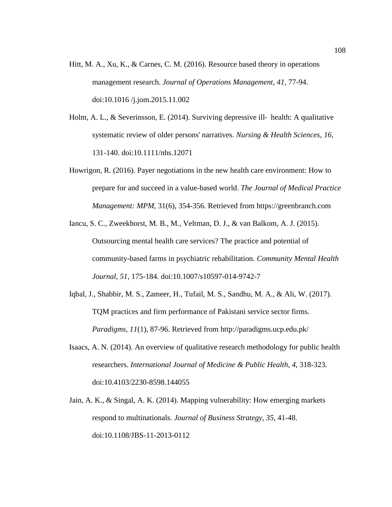- Hitt, M. A., Xu, K., & Carnes, C. M. (2016). Resource based theory in operations management research. *Journal of Operations Management*, *41*, 77-94. doi:10.1016 /j.jom.2015.11.002
- Holm, A. L., & Severinsson, E. (2014). Surviving depressive ill-health: A qualitative systematic review of older persons' narratives. *Nursing & Health Sciences*, *16*, 131-140. doi:10.1111/nhs.12071
- Howrigon, R. (2016). Payer negotiations in the new health care environment: How to prepare for and succeed in a value-based world. *The Journal of Medical Practice Management: MPM*, 31(6), 354-356. Retrieved from https://greenbranch.com
- Iancu, S. C., Zweekhorst, M. B., M., Veltman, D. J., & van Balkom, A. J. (2015). Outsourcing mental health care services? The practice and potential of community-based farms in psychiatric rehabilitation. *Community Mental Health Journal, 51*, 175-184. doi:10.1007/s10597-014-9742-7
- Iqbal, J., Shabbir, M. S., Zameer, H., Tufail, M. S., Sandhu, M. A., & Ali, W. (2017). TQM practices and firm performance of Pakistani service sector firms. *Paradigms, 11*(1), 87-96. Retrieved from http://paradigms.ucp.edu.pk/
- Isaacs, A. N. (2014). An overview of qualitative research methodology for public health researchers. *International Journal of Medicine & Public Health*, *4*, 318-323. doi:10.4103/2230-8598.144055
- Jain, A. K., & Singal, A. K. (2014). Mapping vulnerability: How emerging markets respond to multinationals. *Journal of Business Strategy*, *35*, 41-48. doi:10.1108/JBS-11-2013-0112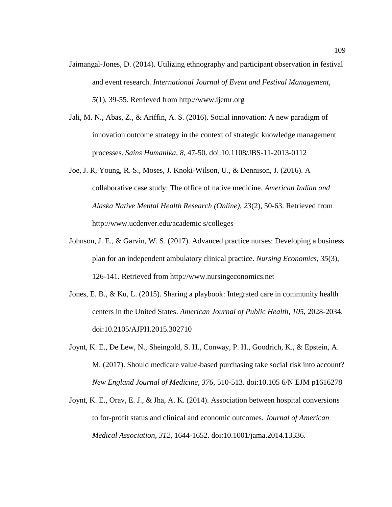- Jaimangal-Jones, D. (2014). Utilizing ethnography and participant observation in festival and event research. *International Journal of Event and Festival Management, 5*(1), 39-55. Retrieved from http://www.ijemr.org
- Jali, M. N., Abas, Z., & Ariffin, A. S. (2016). Social innovation: A new paradigm of innovation outcome strategy in the context of strategic knowledge management processes. *Sains Humanika*, *8,* 47-50. doi:10.1108/JBS-11-2013-0112
- Joe, J. R, Young, R. S., Moses, J. Knoki-Wilson, U., & Dennison, J. (2016). A collaborative case study: The office of native medicine. *American Indian and Alaska Native Mental Health Research (Online), 23*(2), 50-63. Retrieved from [http://www.ucdenver.](http://www.ucdenver/)edu/academic s/colleges
- Johnson, J. E., & Garvin, W. S. (2017). Advanced practice nurses: Developing a business plan for an independent ambulatory clinical practice. *Nursing Economics, 35*(3), 126-141. Retrieved from [http://www.nursingeconomics.net](http://www.nursingeconomics.net/)
- Jones, E. B., & Ku, L. (2015). Sharing a playbook: Integrated care in community health centers in the United States. *American Journal of Public Health*, *105*, 2028-2034. doi:10.2105/AJPH.2015.302710
- Joynt, K. E., De Lew, N., Sheingold, S. H., Conway, P. H., Goodrich, K., & Epstein, A. M. (2017). Should medicare value-based purchasing take social risk into account? *New England Journal of Medicine*, *376*, 510-513. doi:10.105 6/N EJM p1616278
- Joynt, K. E., Orav, E. J., & Jha, A. K. (2014). Association between hospital conversions to for-profit status and clinical and economic outcomes. *Journal of American Medical Association*, *312*, 1644-1652. doi:10.1001/jama.2014.13336.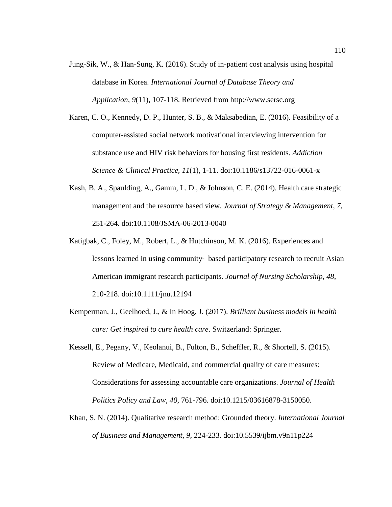- Jung-Sik, W., & Han-Sung, K. (2016). Study of in-patient cost analysis using hospital database in Korea. *International Journal of Database Theory and Application*, *9*(11), 107-118. Retrieved from [http://www.sersc.org](http://www.sersc.org/)
- Karen, C. O., Kennedy, D. P., Hunter, S. B., & Maksabedian, E. (2016). Feasibility of a computer-assisted social network motivational interviewing intervention for substance use and HIV risk behaviors for housing first residents. *Addiction Science & Clinical Practice, 11*(1)*,* 1-11. doi:10.1186/s13722-016-0061-x
- Kash, B. A., Spaulding, A., Gamm, L. D., & Johnson, C. E. (2014). Health care strategic management and the resource based view. *Journal of Strategy & Management*, *7*, 251-264. doi:10.1108/JSMA-06-2013-0040
- Katigbak, C., Foley, M., Robert, L., & Hutchinson, M. K. (2016). Experiences and lessons learned in using community‐ based participatory research to recruit Asian American immigrant research participants. *Journal of Nursing Scholarship*, *48*, 210-218. doi:10.1111/jnu.12194
- Kemperman, J., Geelhoed, J., & In Hoog, J. (2017). *Brilliant business models in health care: Get inspired to cure health care*. Switzerland: Springer.
- Kessell, E., Pegany, V., Keolanui, B., Fulton, B., Scheffler, R., & Shortell, S. (2015). Review of Medicare, Medicaid, and commercial quality of care measures: Considerations for assessing accountable care organizations. *Journal of Health Politics Policy and Law*, *40*, 761-796. doi:10.1215/03616878-3150050.
- Khan, S. N. (2014). Qualitative research method: Grounded theory. *International Journal of Business and Management*, *9*, 224-233. doi:10.5539/ijbm.v9n11p224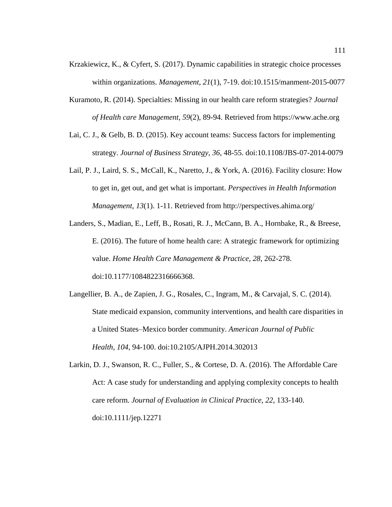- Krzakiewicz, K., & Cyfert, S. (2017). Dynamic capabilities in strategic choice processes within organizations. *Management, 21*(1), 7-19. doi:10.1515/manment-2015-0077
- Kuramoto, R. (2014). Specialties: Missing in our health care reform strategies? *Journal of Health care Management*, *59*(2), 89-94. Retrieved from [https://www.](https://www/)ache.org
- Lai, C. J., & Gelb, B. D. (2015). Key account teams: Success factors for implementing strategy. *Journal of Business Strategy*, *36*, 48-55. doi:10.1108/JBS-07-2014-0079
- Lail, P. J., Laird, S. S., McCall, K., Naretto, J., & York, A. (2016). Facility closure: How to get in, get out, and get what is important. *Perspectives in Health Information Management*, *13*(1). 1-11. Retrieved from http://perspectives.ahima.org/
- Landers, S., Madian, E., Leff, B., Rosati, R. J., McCann, B. A., Hornbake, R., & Breese, E. (2016). The future of home health care: A strategic framework for optimizing value. *Home Health Care Management & Practice*, *28*, 262-278. doi:10.1177/1084822316666368.
- Langellier, B. A., de Zapien, J. G., Rosales, C., Ingram, M., & Carvajal, S. C. (2014). State medicaid expansion, community interventions, and health care disparities in a United States–Mexico border community. *American Journal of Public Health*, *104*, 94-100. doi:10.2105/AJPH.2014.302013
- Larkin, D. J., Swanson, R. C., Fuller, S., & Cortese, D. A. (2016). The Affordable Care Act: A case study for understanding and applying complexity concepts to health care reform. *Journal of Evaluation in Clinical Practice*, *22*, 133-140. doi:10.1111/jep.12271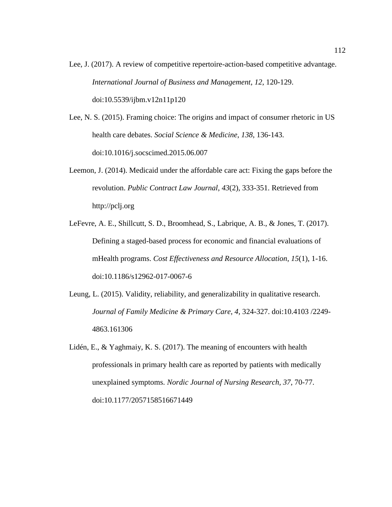- Lee, J. (2017). A review of competitive repertoire-action-based competitive advantage. *International Journal of Business and Management*, *12*, 120-129. doi:10.5539/ijbm.v12n11p120
- Lee, N. S. (2015). Framing choice: The origins and impact of consumer rhetoric in US health care debates. *Social Science & Medicine*, *138*, 136-143. doi:10.1016/j.socscimed.2015.06.007
- Leemon, J. (2014). Medicaid under the affordable care act: Fixing the gaps before the revolution. *Public Contract Law Journal*, *43*(2), 333-351. Retrieved from [http://pclj.](http://pclj/)org
- LeFevre, A. E., Shillcutt, S. D., Broomhead, S., Labrique, A. B., & Jones, T. (2017). Defining a staged-based process for economic and financial evaluations of mHealth programs. *Cost Effectiveness and Resource Allocation*, *15*(1), 1-16. doi:10.1186/s12962-017-0067-6
- Leung, L. (2015). Validity, reliability, and generalizability in qualitative research. *Journal of Family Medicine & Primary Care*, *4*, 324-327. doi:10.4103 /2249- 4863.161306
- Lidén, E., & Yaghmaiy, K. S. (2017). The meaning of encounters with health professionals in primary health care as reported by patients with medically unexplained symptoms. *Nordic Journal of Nursing Research, 37*, 70-77. doi:10.1177/2057158516671449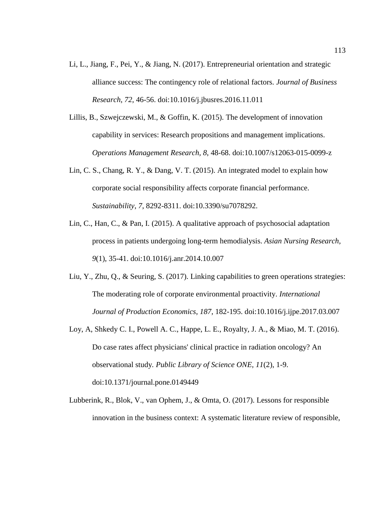- Li, L., Jiang, F., Pei, Y., & Jiang, N. (2017). Entrepreneurial orientation and strategic alliance success: The contingency role of relational factors. *Journal of Business Research*, *72*, 46-56. doi:10.1016/j.jbusres.2016.11.011
- Lillis, B., Szwejczewski, M., & Goffin, K. (2015). The development of innovation capability in services: Research propositions and management implications. *Operations Management Research, 8*, 48-68. doi:10.1007/s12063-015-0099-z
- Lin, C. S., Chang, R. Y., & Dang, V. T. (2015). An integrated model to explain how corporate social responsibility affects corporate financial performance. *Sustainability*, *7*, 8292-8311. doi[:10.3390/su7078292.](http://dx.doi.org/10.3390/su7078292)
- Lin, C., Han, C., & Pan, I. (2015). A qualitative approach of psychosocial adaptation process in patients undergoing long-term hemodialysis. *Asian Nursing Research, 9*(1), 35-41. doi:10.1016/j.anr.2014.10.007
- Liu, Y., Zhu, Q., & Seuring, S. (2017). Linking capabilities to green operations strategies: The moderating role of corporate environmental proactivity. *International Journal of Production Economics*, *187*, 182-195. [doi:10.1016/j.ijpe.2017.03.007](https://doi.org/10.1016/j.ijpe.2017.03.007)
- Loy, A, Shkedy C. I., Powell A. C., Happe, L. E., Royalty, J. A., & Miao, M. T. (2016). Do case rates affect physicians' clinical practice in radiation oncology? An observational study*. Public Library of Science ONE, 11*(2), 1-9. doi:10.1371/journal.pone.0149449
- Lubberink, R., Blok, V., van Ophem, J., & Omta, O. (2017). Lessons for responsible innovation in the business context: A systematic literature review of responsible,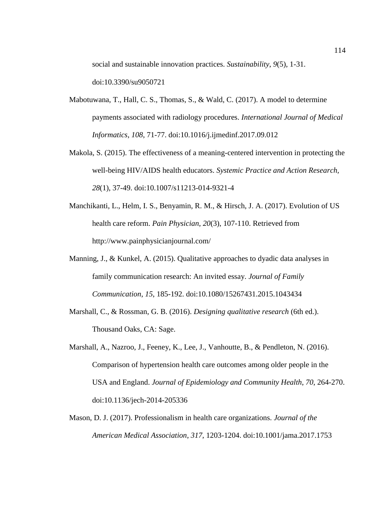social and sustainable innovation practices. *Sustainability*, *9*(5), 1-31. doi:10.3390/su9050721

- Mabotuwana, T., Hall, C. S., Thomas, S., & Wald, C. (2017). A model to determine payments associated with radiology procedures. *International Journal of Medical Informatics*, *108*, 71-77. [doi:10.1016/j.ijmedinf.2017.09.012](https://doi.org/10.1016/j.ijmedinf.2017.09.012)
- Makola, S. (2015). The effectiveness of a meaning-centered intervention in protecting the well-being HIV/AIDS health educators. *Systemic Practice and Action Research, 28*(1), 37-49. doi:10.1007/s11213-014-9321-4
- Manchikanti, L., Helm, I. S., Benyamin, R. M., & Hirsch, J. A. (2017). Evolution of US health care reform. *Pain Physician*, *20*(3), 107-110. Retrieved from [http://www.](http://www/)painphysicianjournal.com/
- Manning, J., & Kunkel, A. (2015). Qualitative approaches to dyadic data analyses in family communication research: An invited essay. *Journal of Family Communication*, *15*, 185-192. doi:10.1080/15267431.2015.1043434
- Marshall, C., & Rossman, G. B. (2016). *Designing qualitative research* (6th ed.). Thousand Oaks, CA: Sage.
- Marshall, A., Nazroo, J., Feeney, K., Lee, J., Vanhoutte, B., & Pendleton, N. (2016). Comparison of hypertension health care outcomes among older people in the USA and England. *Journal of Epidemiology and Community Health*, *70*, 264-270. doi:10.1136/jech-2014-205336
- Mason, D. J. (2017). Professionalism in health care organizations. *Journal of the American Medical Association*, *317*, 1203-1204. doi:10.1001/jama.2017.1753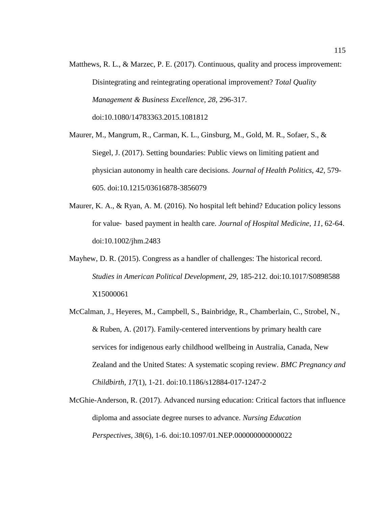Matthews, R. L., & Marzec, P. E. (2017). Continuous, quality and process improvement: Disintegrating and reintegrating operational improvement? *Total Quality Management & Business Excellence*, *28*, 296-317. doi:10.1080/14783363.2015.1081812

Maurer, M., Mangrum, R., Carman, K. L., Ginsburg, M., Gold, M. R., Sofaer, S., & Siegel, J. (2017). Setting boundaries: Public views on limiting patient and physician autonomy in health care decisions. *Journal of Health Politics, 42*, 579- 605. doi:10.1215/03616878-3856079

- Maurer, K. A., & Ryan, A. M. (2016). No hospital left behind? Education policy lessons for value‐ based payment in health care. *Journal of Hospital Medicine*, *11*, 62-64. doi:10.1002/jhm.2483
- Mayhew, D. R. (2015). Congress as a handler of challenges: The historical record. *Studies in American Political Development, 29*, 185-212. doi:10.1017/S0898588 X15000061
- McCalman, J., Heyeres, M., Campbell, S., Bainbridge, R., Chamberlain, C., Strobel, N., & Ruben, A. (2017). Family-centered interventions by primary health care services for indigenous early childhood wellbeing in Australia, Canada, New Zealand and the United States: A systematic scoping review. *BMC Pregnancy and Childbirth, 17*(1), 1-21. doi:10.1186/s12884-017-1247-2
- McGhie-Anderson, R. (2017). Advanced nursing education: Critical factors that influence diploma and associate degree nurses to advance. *Nursing Education Perspectives, 38*(6), 1-6. doi:10.1097/01.NEP.000000000000022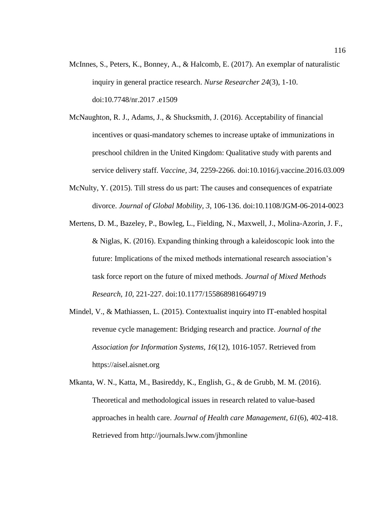- McInnes, S., Peters, K., Bonney, A., & Halcomb, E. (2017). An exemplar of naturalistic inquiry in general practice research. *Nurse Researcher 24*(3), 1-10. doi:10.7748/nr.2017 .e1509
- McNaughton, R. J., Adams, J., & Shucksmith, J. (2016). Acceptability of financial incentives or quasi-mandatory schemes to increase uptake of immunizations in preschool children in the United Kingdom: Qualitative study with parents and service delivery staff. *Vaccine, 34*, 2259-2266. doi:10.1016/j.vaccine.2016.03.009
- McNulty, Y. (2015). Till stress do us part: The causes and consequences of expatriate divorce. *Journal of Global Mobility, 3*, 106-136. doi:10.1108/JGM-06-2014-0023
- Mertens, D. M., Bazeley, P., Bowleg, L., Fielding, N., Maxwell, J., Molina-Azorin, J. F., & Niglas, K. (2016). Expanding thinking through a kaleidoscopic look into the future: Implications of the mixed methods international research association's task force report on the future of mixed methods. *Journal of Mixed Methods Research*, *10*, 221-227. doi:10.1177/1558689816649719
- Mindel, V., & Mathiassen, L. (2015). Contextualist inquiry into IT-enabled hospital revenue cycle management: Bridging research and practice. *Journal of the Association for Information Systems, 16*(12), 1016-1057. Retrieved from https://aisel.aisnet.org
- Mkanta, W. N., Katta, M., Basireddy, K., English, G., & de Grubb, M. M. (2016). Theoretical and methodological issues in research related to value-based approaches in health care. *Journal of Health care Management*, *61*(6), 402-418. Retrieved from<http://journals.lww.com/jhmonline>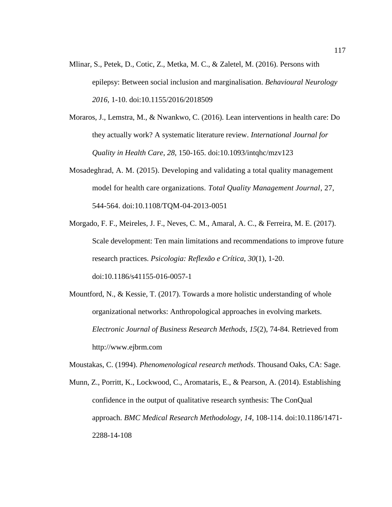- Mlinar, S., Petek, D., Cotic, Z., Metka, M. C., & Zaletel, M. (2016). Persons with epilepsy: Between social inclusion and marginalisation. *Behavioural Neurology 2016,* 1-10. doi:10.1155/2016/2018509
- Moraros, J., Lemstra, M., & Nwankwo, C. (2016). Lean interventions in health care: Do they actually work? A systematic literature review. *International Journal for Quality in Health Care*, *28*, 150-165. doi:10.1093/intqhc/mzv123
- Mosadeghrad, A. M. (2015). Developing and validating a total quality management model for health care organizations. *Total Quality Management Journal*, 27, 544-564. doi:10.1108/TQM-04-2013-0051
- Morgado, F. F., Meireles, J. F., Neves, C. M., Amaral, A. C., & Ferreira, M. E. (2017). Scale development: Ten main limitations and recommendations to improve future research practices. *Psicologia: Reflexão e Crítica*, *30*(1), 1-20. doi:10.1186/s41155-016-0057-1
- Mountford, N., & Kessie, T. (2017). Towards a more holistic understanding of whole organizational networks: Anthropological approaches in evolving markets. *Electronic Journal of Business Research Methods, 15*(2), 74-84. Retrieved from http://www.ejbrm.com

Moustakas, C. (1994). *Phenomenological research methods*. Thousand Oaks, CA: Sage.

Munn, Z., Porritt, K., Lockwood, C., Aromataris, E., & Pearson, A. (2014). Establishing confidence in the output of qualitative research synthesis: The ConQual approach. *BMC Medical Research Methodology*, *14*, 108-114. doi:10.1186/1471- 2288-14-108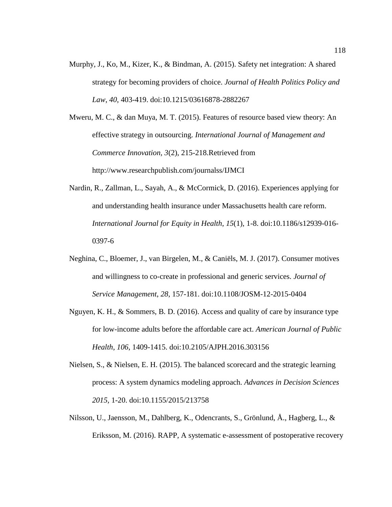Murphy, J., Ko, M., Kizer, K., & Bindman, A. (2015). Safety net integration: A shared strategy for becoming providers of choice. *Journal of Health Politics Policy and Law*, *40*, 403-419. doi:10.1215/03616878-2882267

Mweru, M. C., & dan Muya, M. T. (2015). Features of resource based view theory: An effective strategy in outsourcing. *International Journal of Management and Commerce Innovation, 3*(2), 215-218.Retrieved from http://www.researchpublish.com/journalss/IJMCI

- Nardin, R., Zallman, L., Sayah, A., & McCormick, D. (2016). Experiences applying for and understanding health insurance under Massachusetts health care reform. *International Journal for Equity in Health*, *15*(1)*,* 1-8. doi:10.1186/s12939-016- 0397-6
- Neghina, C., Bloemer, J., van Birgelen, M., & Caniëls, M. J. (2017). Consumer motives and willingness to co-create in professional and generic services. *Journal of Service Management*, *28*, 157-181. doi:10.1108/JOSM-12-2015-0404
- Nguyen, K. H., & Sommers, B. D. (2016). Access and quality of care by insurance type for low-income adults before the affordable care act. *American Journal of Public Health*, *106*, 1409-1415. doi:10.2105/AJPH.2016.303156
- Nielsen, S., & Nielsen, E. H. (2015). The balanced scorecard and the strategic learning process: A system dynamics modeling approach. *Advances in Decision Sciences 2015,* 1-20. doi:10.1155/2015/213758
- Nilsson, U., Jaensson, M., Dahlberg, K., Odencrants, S., Grönlund, Å., Hagberg, L., & Eriksson, M. (2016). RAPP, A systematic e-assessment of postoperative recovery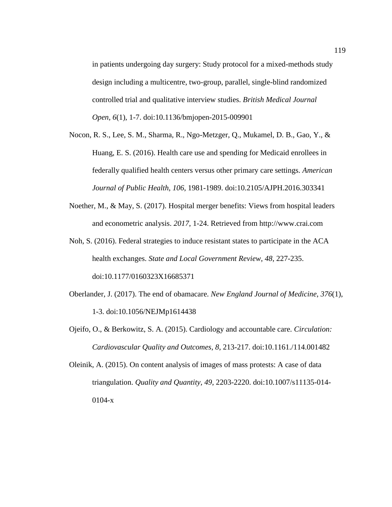in patients undergoing day surgery: Study protocol for a mixed-methods study design including a multicentre, two-group, parallel, single-blind randomized controlled trial and qualitative interview studies. *British Medical Journal Open, 6*(1)*,* 1-7. doi:10.1136/bmjopen-2015-009901

- Nocon, R. S., Lee, S. M., Sharma, R., Ngo-Metzger, Q., Mukamel, D. B., Gao, Y., & Huang, E. S. (2016). Health care use and spending for Medicaid enrollees in federally qualified health centers versus other primary care settings. *American Journal of Public Health*, *106*, 1981-1989. doi:10.2105/AJPH.2016.303341
- Noether, M., & May, S. (2017). Hospital merger benefits: Views from hospital leaders and econometric analysis. *2017*, 1-24. Retrieved from http://www.crai.com
- Noh, S. (2016). Federal strategies to induce resistant states to participate in the ACA health exchanges. *State and Local Government Review*, *48*, 227-235. doi:10.1177/0160323X16685371
- Oberlander, J. (2017). The end of obamacare. *New England Journal of Medicine*, *376*(1), 1-3. doi:10.1056/NEJMp1614438
- Ojeifo, O., & Berkowitz, S. A. (2015). Cardiology and accountable care. *Circulation: Cardiovascular Quality and Outcomes*, *8*, 213-217. doi:10.1161./114.001482
- Oleinik, A. (2015). On content analysis of images of mass protests: A case of data triangulation. *Quality and Quantity, 49*, 2203-2220. doi:10.1007/s11135-014- 0104-x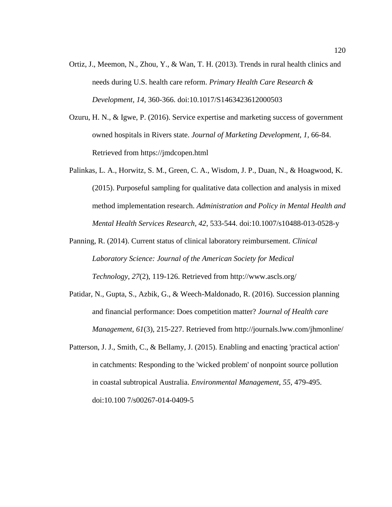- Ortiz, J., Meemon, N., Zhou, Y., & Wan, T. H. (2013). Trends in rural health clinics and needs during U.S. health care reform. *Primary Health Care Research & Development*, *14*, 360-366. doi:10.1017/S1463423612000503
- Ozuru, H. N., & Igwe, P. (2016). Service expertise and marketing success of government owned hospitals in Rivers state. *Journal of Marketing Development*, *1*, 66-84. Retrieved from https://jmdcopen.html
- Palinkas, L. A., Horwitz, S. M., Green, C. A., Wisdom, J. P., Duan, N., & Hoagwood, K. (2015). Purposeful sampling for qualitative data collection and analysis in mixed method implementation research. *Administration and Policy in Mental Health and Mental Health Services Research, 42*, 533-544. doi:10.1007/s10488-013-0528-y
- Panning, R. (2014). Current status of clinical laboratory reimbursement. *Clinical Laboratory Science: Journal of the American Society for Medical Technology*, *27*(2), 119-126. Retrieved from http://www.ascls.org/
- Patidar, N., Gupta, S., Azbik, G., & Weech-Maldonado, R. (2016). Succession planning and financial performance: Does competition matter? *Journal of Health care Management*, *61*(3), 215-227. Retrieved from<http://journals.lww.com/jhmonline/>
- Patterson, J. J., Smith, C., & Bellamy, J. (2015). Enabling and enacting 'practical action' in catchments: Responding to the 'wicked problem' of nonpoint source pollution in coastal subtropical Australia. *Environmental Management, 55*, 479-495. doi:10.100 7/s00267-014-0409-5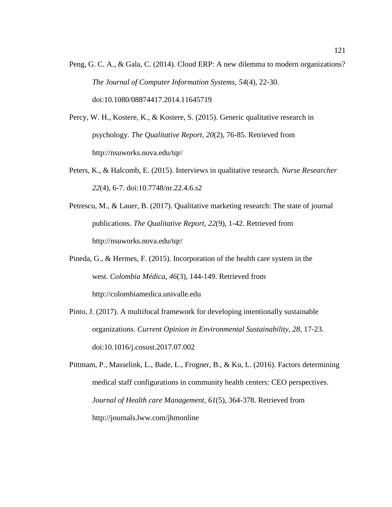- Peng, G. C. A., & Gala, C. (2014). Cloud ERP: A new dilemma to modern organizations? *The Journal of Computer Information Systems, 54*(4), 22-30. [doi:10.1080/08874417.2014.11645719](https://doi.org/10.1080/08874417.2014.11645719)
- Percy, W. H., Kostere, K., & Kostere, S. (2015). Generic qualitative research in psychology. *The Qualitative Report, 20*(2), 76-85. Retrieved from [http://nsuworks.nova.](http://nsuworks.nova/)edu/tqr/
- Peters, K., & Halcomb, E. (2015). Interviews in qualitative research. *Nurse Researcher 22*(4), 6-7. doi:10.7748/nr.22.4.6.s2
- Petrescu, M., & Lauer, B. (2017). Qualitative marketing research: The state of journal publications. *The Qualitative Report*, *22*(9), 1-42. Retrieved from http://nsuworks.nova.edu/tqr/
- Pineda, G., & Hermes, F. (2015). Incorporation of the health care system in the west. *Colombia Médica*, *46*(3), 144-149. Retrieved from [http://colombiamedica.](http://colombiamedica/)univalle.edu
- Pinto, J. (2017). A multifocal framework for developing intentionally sustainable organizations. *Current Opinion in Environmental Sustainability*, *28*, 17-23. doi:10.1016/j.cosust.2017.07.002
- Pittmam, P., Masselink, L., Bade, L., Frogner, B., & Ku, L. (2016). Factors determining medical staff configurations in community health centers: CEO perspectives. *Journal of Health care Management, 61*(5), 364-378. Retrieved from http://journals.lww.com/jhmonline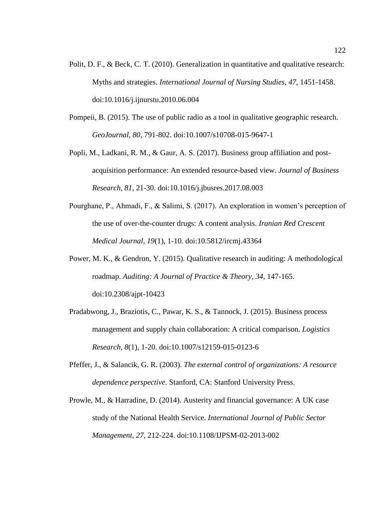- Polit, D. F., & Beck, C. T. (2010). Generalization in quantitative and qualitative research: Myths and strategies. *International Journal of Nursing Studies*, *47*, 1451-1458. doi:10.1016/j.ijnurstu.2010.06.004
- Pompeii, B. (2015). The use of public radio as a tool in qualitative geographic research. *GeoJournal, 80*, 791-802. doi:10.1007/s10708-015-9647-1
- Popli, M., Ladkani, R. M., & Gaur, A. S. (2017). Business group affiliation and postacquisition performance: An extended resource-based view. *Journal of Business Research*, *81*, 21-30. doi:10.1016/j.jbusres.2017.08.003
- Pourghane, P., Ahmadi, F., & Salimi, S. (2017). An exploration in women's perception of the use of over-the-counter drugs: A content analysis. *Iranian Red Crescent Medical Journal*, *19*(1)*,* 1-10. doi:10.5812/ircmj.43364
- Power, M. K., & Gendron, Y. (2015). Qualitative research in auditing: A methodological roadmap. *Auditing: A Journal of Practice & Theory*, *34*, 147-165. doi:10.2308/ajpt-10423
- Pradabwong, J., Braziotis, C., Pawar, K. S., & Tannock, J. (2015). Business process management and supply chain collaboration: A critical comparison. *Logistics Research*, *8*(1), 1-20. doi:10.1007/s12159-015-0123-6
- Pfeffer, J., & Salancik, G. R. (2003). *The external control of organizations: A resource dependence perspective*. Stanford, CA: Stanford University Press.
- Prowle, M., & Harradine, D. (2014). Austerity and financial governance: A UK case study of the National Health Service. *International Journal of Public Sector Management*, *27*, 212-224. doi:10.1108/IJPSM-02-2013-002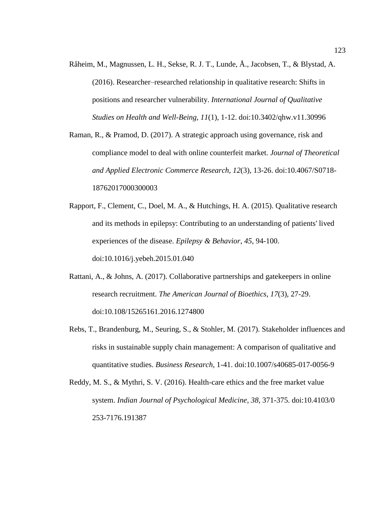- Råheim, M., Magnussen, L. H., Sekse, R. J. T., Lunde, Å., Jacobsen, T., & Blystad, A. (2016). Researcher–researched relationship in qualitative research: Shifts in positions and researcher vulnerability. *International Journal of Qualitative Studies on Health and Well-Being*, *11*(1), 1-12. [doi:10.3402/qhw.v11.30996](http://dx.doi.org/10.3402/qhw.v11.30996)
- Raman, R., & Pramod, D. (2017). A strategic approach using governance, risk and compliance model to deal with online counterfeit market. *Journal of Theoretical and Applied Electronic Commerce Research, 12*(3), 13-26. doi:10.4067/S0718- 18762017000300003
- Rapport, F., Clement, C., Doel, M. A., & Hutchings, H. A. (2015). Qualitative research and its methods in epilepsy: Contributing to an understanding of patients' lived experiences of the disease. *Epilepsy & Behavior*, *45*, 94-100. doi:10.1016/j.yebeh.2015.01.040
- Rattani, A., & Johns, A. (2017). Collaborative partnerships and gatekeepers in online research recruitment. *The American Journal of Bioethics*, *17*(3), 27-29. doi:10.108/15265161.2016.1274800
- Rebs, T., Brandenburg, M., Seuring, S., & Stohler, M. (2017). Stakeholder influences and risks in sustainable supply chain management: A comparison of qualitative and quantitative studies. *Business Research,* 1-41. doi:10.1007/s40685-017-0056-9
- Reddy, M. S., & Mythri, S. V. (2016). Health-care ethics and the free market value system. *Indian Journal of Psychological Medicine*, *38,* 371-375. doi:10.4103/0 253-7176.191387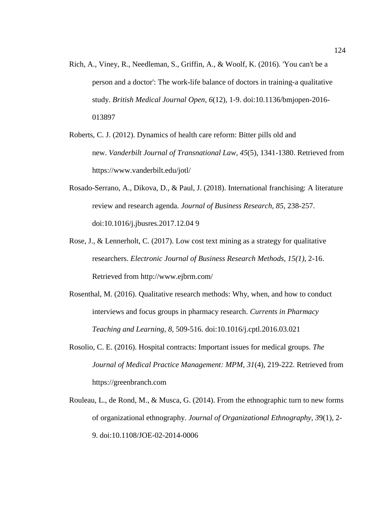- Rich, A., Viney, R., Needleman, S., Griffin, A., & Woolf, K. (2016). 'You can't be a person and a doctor': The work-life balance of doctors in training-a qualitative study. *British Medical Journal Open, 6*(12)*,* 1-9. doi:10.1136/bmjopen-2016- 013897
- Roberts, C. J. (2012). Dynamics of health care reform: Bitter pills old and new. *Vanderbilt Journal of Transnational Law*, *45*(5), 1341-1380. Retrieved from <https://www.vanderbilt.edu/jotl/>
- Rosado-Serrano, A., Dikova, D., & Paul, J. (2018). International franchising: A literature review and research agenda. *Journal of Business Research*, *85*, 238-257. doi:10.1016/j.jbusres.2017.12.04 9
- Rose, J., & Lennerholt, C. (2017). Low cost text mining as a strategy for qualitative researchers. *Electronic Journal of Business Research Methods, 15(1)*, 2-16. Retrieved from<http://www.ejbrm.com/>
- Rosenthal, M. (2016). Qualitative research methods: Why, when, and how to conduct interviews and focus groups in pharmacy research. *Currents in Pharmacy Teaching and Learning*, *8*, 509-516. doi:10.1016/j.cptl.2016.03.021
- Rosolio, C. E. (2016). Hospital contracts: Important issues for medical groups. *The Journal of Medical Practice Management: MPM, 31*(4), 219-222. Retrieved from https://greenbranch.com
- Rouleau, L., de Rond, M., & Musca, G. (2014). From the ethnographic turn to new forms of organizational ethnography. *Journal of Organizational Ethnography, 3*9(1), 2- 9. doi:10.1108/JOE-02-2014-0006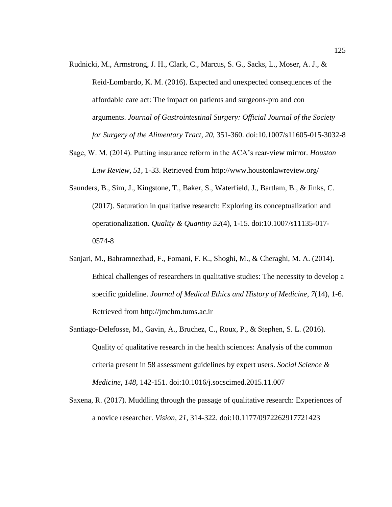Rudnicki, M., Armstrong, J. H., Clark, C., Marcus, S. G., Sacks, L., Moser, A. J., &

Reid-Lombardo, K. M. (2016). Expected and unexpected consequences of the affordable care act: The impact on patients and surgeons-pro and con arguments. *Journal of Gastrointestinal Surgery: Official Journal of the Society for Surgery of the Alimentary Tract*, *20*, 351-360. doi:10.1007/s11605-015-3032-8

- Sage, W. M. (2014). Putting insurance reform in the ACA's rear-view mirror. *Houston Law Review, 51,* 1-33. Retrieved from<http://www.houstonlawreview.org/>
- Saunders, B., Sim, J., Kingstone, T., Baker, S., Waterfield, J., Bartlam, B., & Jinks, C. (2017). Saturation in qualitative research: Exploring its conceptualization and operationalization. *Quality & Quantity 52*(4), 1-15. doi:10.1007/s11135-017- 0574-8
- Sanjari, M., Bahramnezhad, F., Fomani, F. K., Shoghi, M., & Cheraghi, M. A. (2014). Ethical challenges of researchers in qualitative studies: The necessity to develop a specific guideline. *Journal of Medical Ethics and History of Medicine*, *7*(14), 1-6. Retrieved from [http://jmehm.tums.ac.ir](http://jmehm.tums.ac.ir/)
- Santiago-Delefosse, M., Gavin, A., Bruchez, C., Roux, P., & Stephen, S. L. (2016). Quality of qualitative research in the health sciences: Analysis of the common criteria present in 58 assessment guidelines by expert users. *Social Science & Medicine*, *148*, 142-151. doi:10.1016/j.socscimed.2015.11.007
- Saxena, R. (2017). Muddling through the passage of qualitative research: Experiences of a novice researcher. *Vision, 21*, 314-322. doi:10.1177/0972262917721423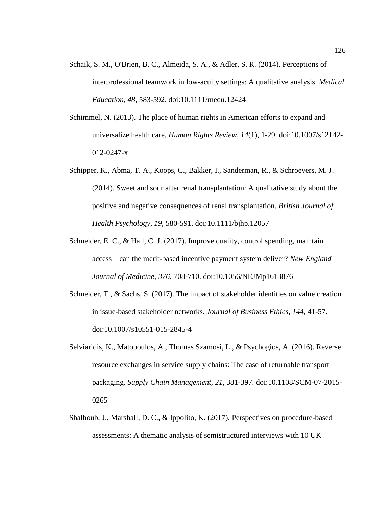- Schaik, S. M., O'Brien, B. C., Almeida, S. A., & Adler, S. R. (2014). Perceptions of interprofessional teamwork in low-acuity settings: A qualitative analysis. *Medical Education*, *48*, 583-592. doi:10.1111/medu.12424
- Schimmel, N. (2013). The place of human rights in American efforts to expand and universalize health care. *Human Rights Review*, *14*(1), 1-29. doi:10.1007/s12142- 012-0247-x
- Schipper, K., Abma, T. A., Koops, C., Bakker, I., Sanderman, R., & Schroevers, M. J. (2014). Sweet and sour after renal transplantation: A qualitative study about the positive and negative consequences of renal transplantation. *British Journal of Health Psychology*, *19*, 580-591. doi:10.1111/bjhp.12057
- Schneider, E. C., & Hall, C. J. (2017). Improve quality, control spending, maintain access—can the merit-based incentive payment system deliver? *New England Journal of Medicine*, *376*, 708-710. doi:10.1056/NEJMp1613876
- Schneider, T., & Sachs, S. (2017). The impact of stakeholder identities on value creation in issue-based stakeholder networks. *Journal of Business Ethics, 144*, 41-57. doi:10.1007/s10551-015-2845-4
- Selviaridis, K., Matopoulos, A., Thomas Szamosi, L., & Psychogios, A. (2016). Reverse resource exchanges in service supply chains: The case of returnable transport packaging. *Supply Chain Management, 21*, 381-397. doi:10.1108/SCM-07-2015- 0265
- Shalhoub, J., Marshall, D. C., & Ippolito, K. (2017). Perspectives on procedure-based assessments: A thematic analysis of semistructured interviews with 10 UK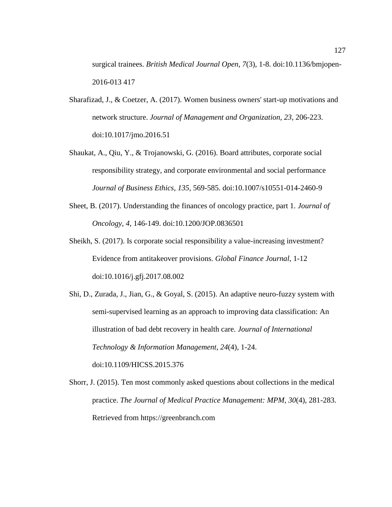surgical trainees. *British Medical Journal Open*, *7*(3), 1-8. doi:10.1136/bmjopen-2016-013 417

- Sharafizad, J., & Coetzer, A. (2017). Women business owners' start-up motivations and network structure. *Journal of Management and Organization, 23*, 206-223. doi:10.1017/jmo.2016.51
- Shaukat, A., Qiu, Y., & Trojanowski, G. (2016). Board attributes, corporate social responsibility strategy, and corporate environmental and social performance *Journal of Business Ethics, 135*, 569-585. doi:10.1007/s10551-014-2460-9
- Sheet, B. (2017). Understanding the finances of oncology practice, part 1. *Journal of Oncology*, *4,* 146-149. doi:10.1200/JOP.0836501
- Sheikh, S. (2017). Is corporate social responsibility a value-increasing investment? Evidence from antitakeover provisions. *Global Finance Journal*, 1-12 doi:10.1016/j.gfj.2017.08.002
- Shi, D., Zurada, J., Jian, G., & Goyal, S. (2015). An adaptive neuro-fuzzy system with semi-supervised learning as an approach to improving data classification: An illustration of bad debt recovery in health care. *Journal of International Technology & Information Management*, *24*(4), 1-24. doi:10.1109/HICSS.2015.376
- Shorr, J. (2015). Ten most commonly asked questions about collections in the medical practice. *The Journal of Medical Practice Management: MPM, 30*(4), 281-283. Retrieved from https://greenbranch.com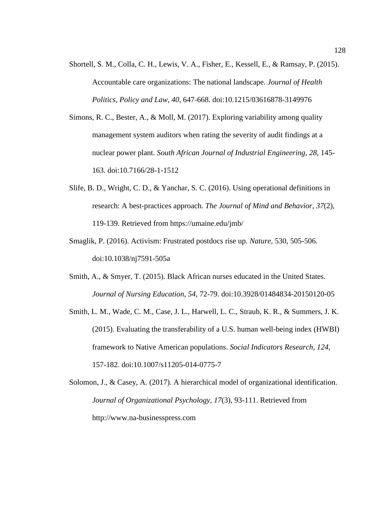- Shortell, S. M., Colla, C. H., Lewis, V. A., Fisher, E., Kessell, E., & Ramsay, P. (2015). Accountable care organizations: The national landscape. *Journal of Health Politics, Policy and Law*, *40*, 647-668. doi[:10.1215/03616878-3149976](https://dx.doi.org/10.1215%2F03616878-3149976)
- Simons, R. C., Bester, A., & Moll, M. (2017). Exploring variability among quality management system auditors when rating the severity of audit findings at a nuclear power plant. *South African Journal of Industrial Engineering, 28*, 145- 163. doi:10.7166/28-1-1512
- Slife, B. D., Wright, C. D., & Yanchar, S. C. (2016). Using operational definitions in research: A best-practices approach. *The Journal of Mind and Behavior, 37*(2), 119-139. Retrieved from https://umaine.edu/jmb/
- Smaglik, P. (2016). Activism: Frustrated postdocs rise up. *Nature,* 530, 505-506. doi:10.1038/nj7591-505a
- Smith, A., & Smyer, T. (2015). Black African nurses educated in the United States. *Journal of Nursing Education, 54*, 72-79. doi:10.3928/01484834-20150120-05
- Smith, L. M., Wade, C. M., Case, J. L., Harwell, L. C., Straub, K. R., & Summers, J. K. (2015). Evaluating the transferability of a U.S. human well-being index (HWBI) framework to Native American populations. *Social Indicators Research, 124*, 157-182. doi:10.1007/s11205-014-0775-7
- Solomon, J., & Casey, A. (2017). A hierarchical model of organizational identification. *Journal of Organizational Psychology, 17*(3), 93-111. Retrieved from http://www.na-businesspress.com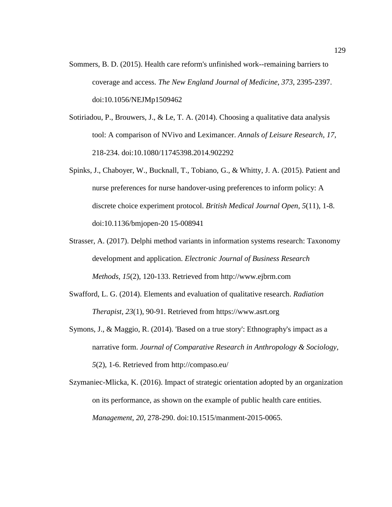- Sommers, B. D. (2015). Health care reform's unfinished work--remaining barriers to coverage and access. *The New England Journal of Medicine*, *373*, 2395-2397. doi:10.1056/NEJMp1509462
- Sotiriadou, P., Brouwers, J., & Le, T. A. (2014). Choosing a qualitative data analysis tool: A comparison of NVivo and Leximancer. *Annals of Leisure Research*, *17*, 218-234. doi:10.1080/11745398.2014.902292
- Spinks, J., Chaboyer, W., Bucknall, T., Tobiano, G., & Whitty, J. A. (2015). Patient and nurse preferences for nurse handover-using preferences to inform policy: A discrete choice experiment protocol. *British Medical Journal Open, 5*(11)*,* 1-8. doi:10.1136/bmjopen-20 15-008941
- Strasser, A. (2017). Delphi method variants in information systems research: Taxonomy development and application. *Electronic Journal of Business Research Methods, 15*(2), 120-133. Retrieved from http://www.ejbrm.com
- Swafford, L. G. (2014). Elements and evaluation of qualitative research. *Radiation Therapist*, *23*(1), 90-91. Retrieved from [https://www.asrt.org](https://www.asrt.org/)
- Symons, J., & Maggio, R. (2014). 'Based on a true story': Ethnography's impact as a narrative form. *Journal of Comparative Research in Anthropology & Sociology, 5*(2), 1-6. Retrieved from http://compaso.eu/
- Szymaniec-Mlicka, K. (2016). Impact of strategic orientation adopted by an organization on its performance, as shown on the example of public health care entities. *Management*, *20*, 278-290. doi:10.1515/manment-2015-0065.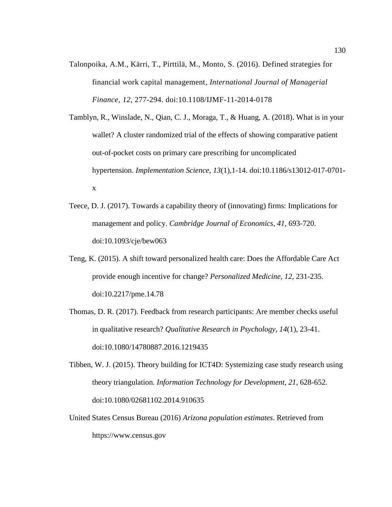- Talonpoika, A.M., Kärri, T., Pirttilä, M., Monto, S. (2016). Defined strategies for financial work capital management, *International Journal of Managerial Finance, 12*, 277-294. doi:10.1108/IJMF-11-2014-0178
- Tamblyn, R., Winslade, N., Qian, C. J., Moraga, T., & Huang, A. (2018). What is in your wallet? A cluster randomized trial of the effects of showing comparative patient out-of-pocket costs on primary care prescribing for uncomplicated hypertension. *Implementation Science*, *13*(1),1-14. doi:10.1186/s13012-017-0701 x
- Teece, D. J. (2017). Towards a capability theory of (innovating) firms: Implications for management and policy. *Cambridge Journal of Economics*, *41*, 693-720. doi:10.1093/cje/bew063
- Teng, K. (2015). A shift toward personalized health care: Does the Affordable Care Act provide enough incentive for change? *Personalized Medicine*, *12*, 231-235. [doi:10.2217/pme.14.78](https://doi.org/10.2217/pme.14.78)
- Thomas, D. R. (2017). Feedback from research participants: Are member checks useful in qualitative research? *Qualitative Research in Psychology*, *14*(1), 23-41. doi:10.1080/14780887.2016.1219435
- Tibben, W. J. (2015). Theory building for ICT4D: Systemizing case study research using theory triangulation. *Information Technology for Development*, *21*, 628-652. doi:10.1080/02681102.2014.910635
- United States Census Bureau (2016) *Arizona population estimates*. Retrieved from https://www.census.gov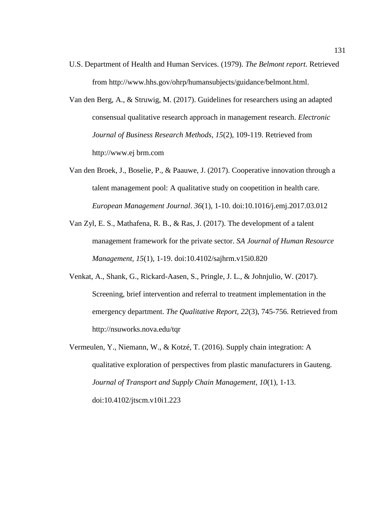- U.S. Department of Health and Human Services. (1979). *The Belmont report*. Retrieved from [http://www.hhs.gov/ohrp/humansubjects/guidance/belmont.html.](http://www.hhs.gov/ohrp/humansubjects/guidance/belmont.html)
- Van den Berg, A., & Struwig, M. (2017). Guidelines for researchers using an adapted consensual qualitative research approach in management research. *Electronic Journal of Business Research Methods*, *15*(2), 109-119. Retrieved from http://www.ej brm.com
- Van den Broek, J., Boselie, P., & Paauwe, J. (2017). Cooperative innovation through a talent management pool: A qualitative study on coopetition in health care. *European Management Journal*. *36*(1), 1-10. doi:10.1016/j.emj.2017.03.012
- Van Zyl, E. S., Mathafena, R. B., & Ras, J. (2017). The development of a talent management framework for the private sector. *SA Journal of Human Resource Management, 15*(1)*,* 1-19. doi:10.4102/sajhrm.v15i0.820
- Venkat, A., Shank, G., Rickard-Aasen, S., Pringle, J. L., & Johnjulio, W. (2017). Screening, brief intervention and referral to treatment implementation in the emergency department. *The Qualitative Report, 22*(3), 745-756. Retrieved from http://nsuworks.nova.edu/tqr
- Vermeulen, Y., Niemann, W., & Kotzé, T. (2016). Supply chain integration: A qualitative exploration of perspectives from plastic manufacturers in Gauteng. *Journal of Transport and Supply Chain Management, 10*(1)*,* 1-13. doi:10.4102/jtscm.v10i1.223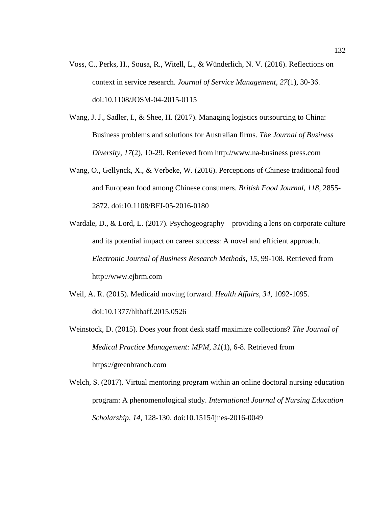- Voss, C., Perks, H., Sousa, R., Witell, L., & Wünderlich, N. V. (2016). Reflections on context in service research. *Journal of Service Management*, *27*(1), 30-36. doi:10.1108/JOSM-04-2015-0115
- Wang, J. J., Sadler, I., & Shee, H. (2017). Managing logistics outsourcing to China: Business problems and solutions for Australian firms. *The Journal of Business Diversity, 17*(2), 10-29. Retrieved from [http://www.na-business](http://www.na-business/) press.com
- Wang, O., Gellynck, X., & Verbeke, W. (2016). Perceptions of Chinese traditional food and European food among Chinese consumers. *British Food Journal, 118*, 2855- 2872. doi:10.1108/BFJ-05-2016-0180
- Wardale, D., & Lord, L. (2017). Psychogeography providing a lens on corporate culture and its potential impact on career success: A novel and efficient approach. *Electronic Journal of Business Research Methods, 15*, 99-108. Retrieved from http://www.ejbrm.com
- Weil, A. R. (2015). Medicaid moving forward. *Health Affairs, 34*, 1092-1095. doi:10.1377/hlthaff.2015.0526
- Weinstock, D. (2015). Does your front desk staff maximize collections? *The Journal of Medical Practice Management: MPM*, *31*(1), 6-8. Retrieved from https://greenbranch.com
- Welch, S. (2017). Virtual mentoring program within an online doctoral nursing education program: A phenomenological study. *International Journal of Nursing Education Scholarship, 14*, 128-130. doi:10.1515/ijnes-2016-0049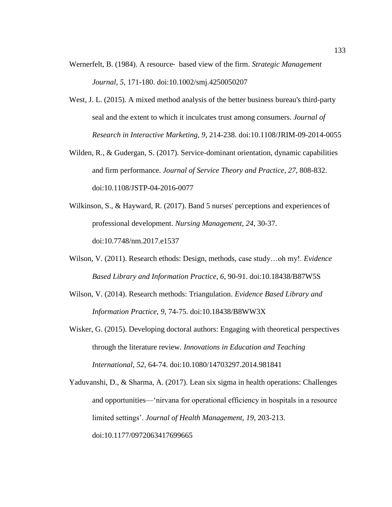- Wernerfelt, B. (1984). A resource‐ based view of the firm. *Strategic Management Journal, 5*, 171-180. doi:10.1002/smj.4250050207
- West, J. L. (2015). A mixed method analysis of the better business bureau's third-party seal and the extent to which it inculcates trust among consumers. *Journal of Research in Interactive Marketing, 9*, 214-238. doi:10.1108/JRIM-09-2014-0055
- Wilden, R., & Gudergan, S. (2017). Service-dominant orientation, dynamic capabilities and firm performance. *Journal of Service Theory and Practice*, *27*, 808-832. doi:10.1108/JSTP-04-2016-0077
- Wilkinson, S., & Hayward, R. (2017). Band 5 nurses' perceptions and experiences of professional development. *Nursing Management, 24*, 30-37. doi:10.7748/nm.2017.e1537
- Wilson, V. (2011). Research ethods: Design, methods, case study…oh my!. *Evidence Based Library and Information Practice*, *6*, 90-91. doi:10.18438/B87W5S
- Wilson, V. (2014). Research methods: Triangulation. *Evidence Based Library and Information Practice*, *9*, 74-75. doi:10.18438/B8WW3X
- Wisker, G. (2015). Developing doctoral authors: Engaging with theoretical perspectives through the literature review. *Innovations in Education and Teaching International*, *52*, 64-74. doi:10.1080/14703297.2014.981841
- Yaduvanshi, D., & Sharma, A. (2017). Lean six sigma in health operations: Challenges and opportunities—'nirvana for operational efficiency in hospitals in a resource limited settings'. *Journal of Health Management*, *19*, 203-213. doi:10.1177/0972063417699665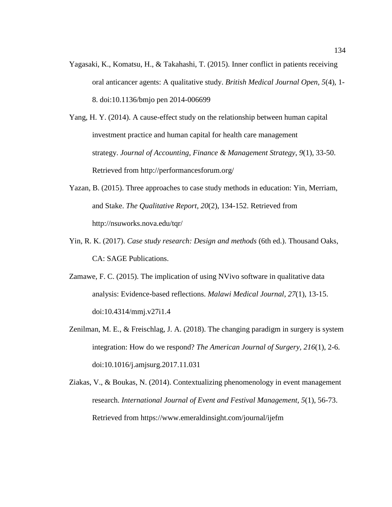Yagasaki, K., Komatsu, H., & Takahashi, T. (2015). Inner conflict in patients receiving oral anticancer agents: A qualitative study. *British Medical Journal Open, 5*(4)*,* 1- 8. doi:10.1136/bmjo pen 2014-006699

Yang, H. Y. (2014). A cause-effect study on the relationship between human capital investment practice and human capital for health care management strategy. *Journal of Accounting, Finance & Management Strategy*, *9*(1), 33-50. Retrieved from<http://performancesforum.org/>

- Yazan, B. (2015). Three approaches to case study methods in education: Yin, Merriam, and Stake. *The Qualitative Report*, *20*(2), 134-152. Retrieved from http://nsuworks.nova.edu/tqr/
- Yin, R. K. (2017). *Case study research: Design and methods* (6th ed.). Thousand Oaks, CA: SAGE Publications.
- Zamawe, F. C. (2015). The implication of using NVivo software in qualitative data analysis: Evidence-based reflections. *Malawi Medical Journal*, *27*(1), 13-15. doi:10.4314/mmj.v27i1.4
- Zenilman, M. E., & Freischlag, J. A. (2018). The changing paradigm in surgery is system integration: How do we respond? *The American Journal of Surgery, 216*(1), 2-6. doi:10.1016/j.amjsurg.2017.11.031
- Ziakas, V., & Boukas, N. (2014). Contextualizing phenomenology in event management research. *International Journal of Event and Festival Management, 5*(1), 56-73. Retrieved from https://www.emeraldinsight.com/journal/ijefm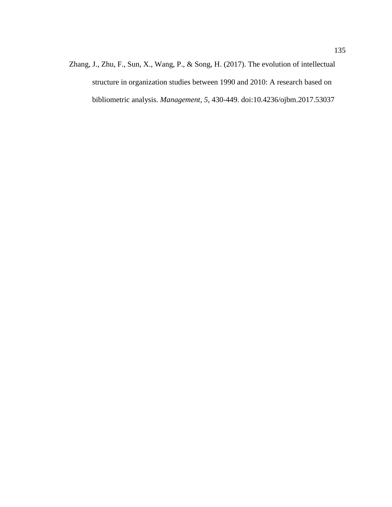Zhang, J., Zhu, F., Sun, X., Wang, P., & Song, H. (2017). The evolution of intellectual structure in organization studies between 1990 and 2010: A research based on bibliometric analysis. *Management*, *5*, 430-449. doi[:10.4236/ojbm.2017.53037](https://doi.org/10.4236/ojbm.2017.53037)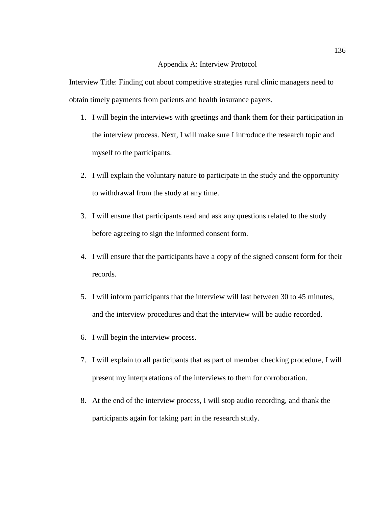## Appendix A: Interview Protocol

Interview Title: Finding out about competitive strategies rural clinic managers need to obtain timely payments from patients and health insurance payers.

- 1. I will begin the interviews with greetings and thank them for their participation in the interview process. Next, I will make sure I introduce the research topic and myself to the participants.
- 2. I will explain the voluntary nature to participate in the study and the opportunity to withdrawal from the study at any time.
- 3. I will ensure that participants read and ask any questions related to the study before agreeing to sign the informed consent form.
- 4. I will ensure that the participants have a copy of the signed consent form for their records.
- 5. I will inform participants that the interview will last between 30 to 45 minutes, and the interview procedures and that the interview will be audio recorded.
- 6. I will begin the interview process.
- 7. I will explain to all participants that as part of member checking procedure, I will present my interpretations of the interviews to them for corroboration.
- 8. At the end of the interview process, I will stop audio recording, and thank the participants again for taking part in the research study.